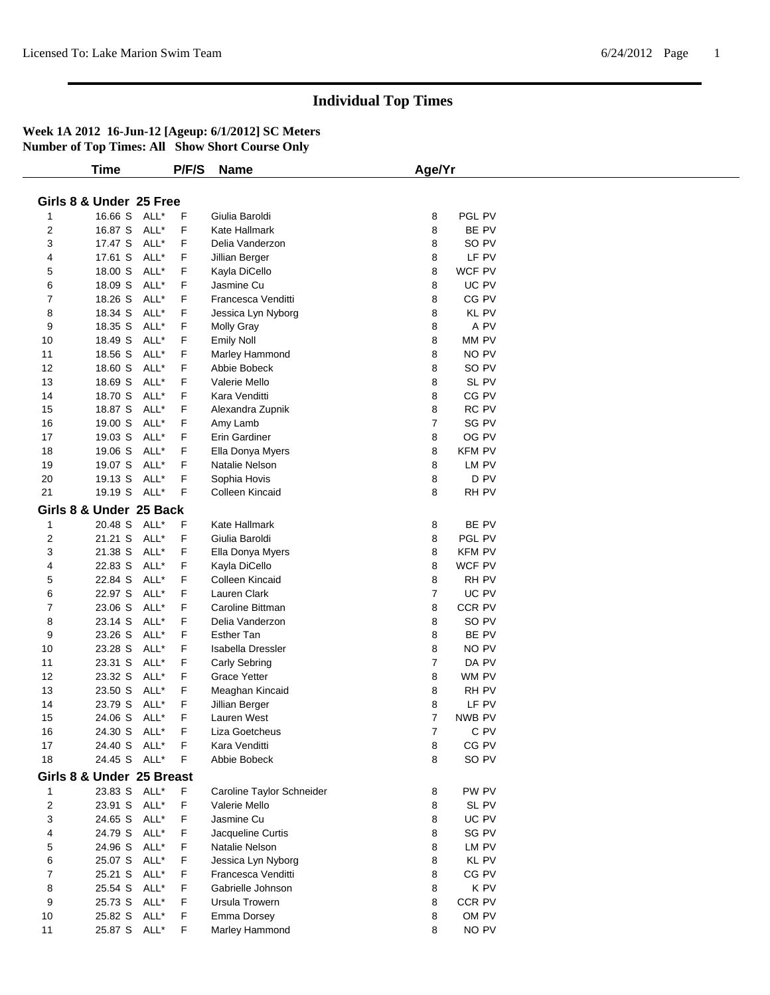|                | <b>Time</b>               |      | P/F/S | <b>Name</b>               | Age/Yr         |               |  |
|----------------|---------------------------|------|-------|---------------------------|----------------|---------------|--|
|                |                           |      |       |                           |                |               |  |
|                | Girls 8 & Under 25 Free   |      |       |                           |                |               |  |
| 1              | 16.66 S ALL*              |      | F     | Giulia Baroldi            | 8              | PGL PV        |  |
| $\overline{2}$ | 16.87 S ALL*              |      | F     | Kate Hallmark             | 8              | BE PV         |  |
| 3              | 17.47 S ALL*              |      | F     | Delia Vanderzon           | 8              | SO PV         |  |
| 4              | 17.61 S                   | ALL* | F     | Jillian Berger            | 8              | LF PV         |  |
| 5              | 18.00 S                   | ALL* | F     | Kayla DiCello             | 8              | WCF PV        |  |
| 6              | 18.09 S                   | ALL* | F     | Jasmine Cu                | 8              | UC PV         |  |
| 7              | 18.26 S                   | ALL* | F     | Francesca Venditti        | 8              | CG PV         |  |
| 8              | 18.34 S                   | ALL* | F     | Jessica Lyn Nyborg        | 8              | KL PV         |  |
| 9              | 18.35 S                   | ALL* | F     | <b>Molly Gray</b>         | 8              | A PV          |  |
| 10             | 18.49 S                   | ALL* | F     | Emily Noll                | 8              | MM PV         |  |
| 11             | 18.56 S                   | ALL* | F     | Marley Hammond            | 8              | NO PV         |  |
| 12             | 18.60 S                   | ALL* | F     | Abbie Bobeck              | 8              | SO PV         |  |
| 13             | 18.69 S                   | ALL* | F     | Valerie Mello             | 8              | SL PV         |  |
| 14             | 18.70 S                   | ALL* | F     | Kara Venditti             | 8              | CG PV         |  |
| 15             | 18.87 S ALL*              |      | F     | Alexandra Zupnik          | 8              | RC PV         |  |
| 16             | 19.00 S                   | ALL* | F     | Amy Lamb                  | $\overline{7}$ | SG PV         |  |
| 17             | 19.03 S                   | ALL* | F     | Erin Gardiner             | 8              | OG PV         |  |
| 18             | 19.06 S                   | ALL* | F     | Ella Donya Myers          | 8              | <b>KFM PV</b> |  |
| 19             | 19.07 S                   | ALL* | F     | Natalie Nelson            | 8              | LM PV         |  |
| 20             | 19.13 S                   | ALL* | F     | Sophia Hovis              | 8              | D PV          |  |
| 21             | 19.19 S ALL*              |      | F     | Colleen Kincaid           | 8              | RH PV         |  |
|                | Girls 8 & Under 25 Back   |      |       |                           |                |               |  |
|                |                           |      |       |                           |                |               |  |
| $\mathbf{1}$   | 20.48 S ALL*              |      | F     | Kate Hallmark             | 8              | BE PV         |  |
| 2              | 21.21 S                   | ALL* | F     | Giulia Baroldi            | 8              | PGL PV        |  |
| 3              | 21.38 S                   | ALL* | F     | Ella Donya Myers          | 8              | <b>KFM PV</b> |  |
| 4              | 22.83 S                   | ALL* | F     | Kayla DiCello             | 8              | WCF PV        |  |
| 5              | 22.84 S                   | ALL* | F     | Colleen Kincaid           | 8              | RH PV         |  |
| 6              | 22.97 S                   | ALL* | F     | Lauren Clark              | $\overline{7}$ | UC PV         |  |
| $\overline{7}$ | 23.06 S                   | ALL* | F     | Caroline Bittman          | 8              | CCR PV        |  |
| 8              | 23.14 S                   | ALL* | F     | Delia Vanderzon           | 8              | SO PV         |  |
| 9              | 23.26 S                   | ALL* | F     | <b>Esther Tan</b>         | 8              | BE PV         |  |
| 10             | 23.28 S                   | ALL* | F     | Isabella Dressler         | 8              | NO PV         |  |
| 11             | 23.31 S                   | ALL* | F     | Carly Sebring             | 7              | DA PV         |  |
| 12             | 23.32 S                   | ALL* | F     | <b>Grace Yetter</b>       | 8              | WM PV         |  |
| 13             | 23.50 S                   | ALL* | F     | Meaghan Kincaid           | 8              | RH PV         |  |
| 14             | 23.79 S                   | ALL* | F     | Jillian Berger            | 8              | LF PV         |  |
| 15             | 24.06 S ALL*              |      | F     | Lauren West               | 7              | NWB PV        |  |
| 16             | 24.30 S                   | ALL* | F     | Liza Goetcheus            | 7              | C PV          |  |
| 17             | 24.40 S                   | ALL* | F     | Kara Venditti             | 8              | CG PV         |  |
| 18             | 24.45 S ALL*              |      | F     | Abbie Bobeck              | 8              | SO PV         |  |
|                | Girls 8 & Under 25 Breast |      |       |                           |                |               |  |
| 1              | 23.83 S ALL*              |      | F     | Caroline Taylor Schneider | 8              | PW PV         |  |
| $\overline{2}$ | 23.91 S ALL*              |      | F     | Valerie Mello             | 8              | SL PV         |  |
| 3              | 24.65 S ALL*              |      | F     | Jasmine Cu                | 8              | UC PV         |  |
| 4              | 24.79 S ALL*              |      | F     | Jacqueline Curtis         | 8              | SG PV         |  |
| 5              | 24.96 S ALL*              |      | F     | Natalie Nelson            | 8              | LM PV         |  |
| 6              | 25.07 S ALL*              |      | F     | Jessica Lyn Nyborg        | 8              | <b>KL PV</b>  |  |
| 7              | 25.21 S ALL*              |      | F     | Francesca Venditti        | 8              | CG PV         |  |
| 8              | 25.54 S                   | ALL* | F     | Gabrielle Johnson         | 8              | K PV          |  |
| 9              | 25.73 S                   | ALL* | F     | Ursula Trowern            | 8              | CCR PV        |  |
| 10             | 25.82 S ALL*              |      | F     | Emma Dorsey               | 8              | OM PV         |  |
| 11             | 25.87 S ALL*              |      | F     | Marley Hammond            | 8              | NO PV         |  |
|                |                           |      |       |                           |                |               |  |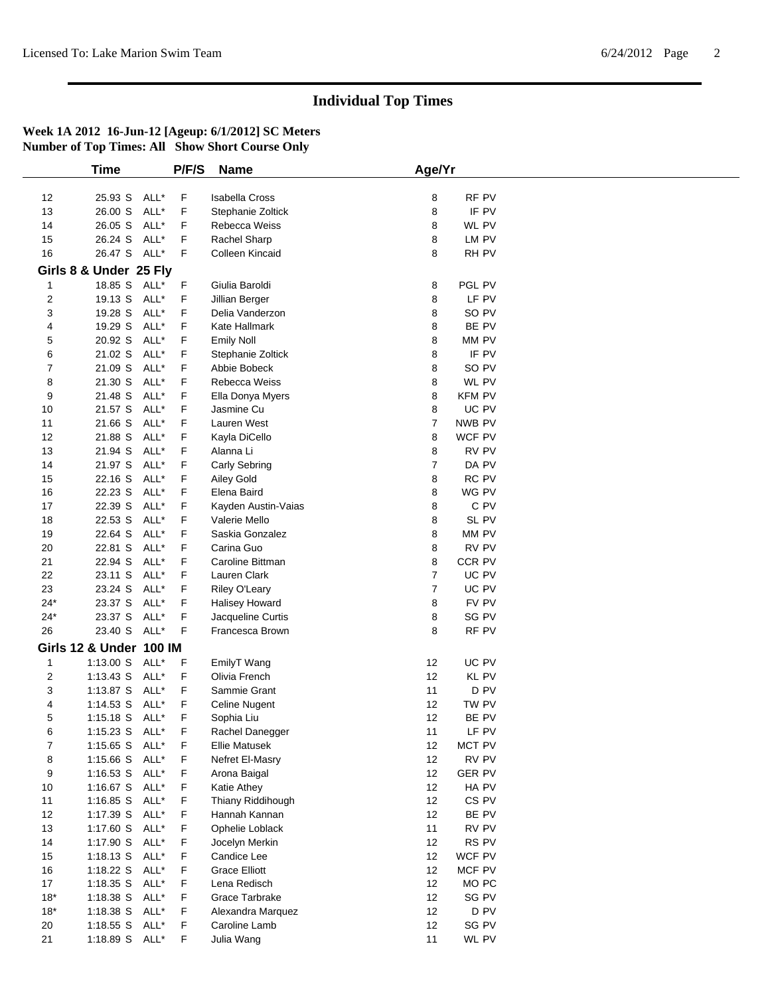|                         | <b>Time</b>             |      | P/F/S       | <b>Name</b>           | Age/Yr         |               |  |
|-------------------------|-------------------------|------|-------------|-----------------------|----------------|---------------|--|
|                         |                         |      |             |                       |                |               |  |
| 12                      | 25.93 S                 | ALL* | F           | <b>Isabella Cross</b> | 8              | RF PV         |  |
| 13                      | 26.00 S                 | ALL* | F           | Stephanie Zoltick     | 8              | IF PV         |  |
| 14                      | 26.05 S                 | ALL* | F           | Rebecca Weiss         | 8              | WL PV         |  |
| 15                      | 26.24 S                 | ALL* | F           | Rachel Sharp          | 8              | LM PV         |  |
| 16                      | 26.47 S ALL*            |      | F.          | Colleen Kincaid       | 8              | RH PV         |  |
|                         | Girls 8 & Under 25 Fly  |      |             |                       |                |               |  |
| $\overline{1}$          | 18.85 S                 | ALL* | F           | Giulia Baroldi        | 8              | PGL PV        |  |
| 2                       | 19.13 S                 | ALL* | F           | Jillian Berger        | 8              | LF PV         |  |
| 3                       | 19.28 S                 | ALL* | F           | Delia Vanderzon       | 8              | SO PV         |  |
| 4                       | 19.29 S                 | ALL* | F           | Kate Hallmark         | 8              | BE PV         |  |
| 5                       | 20.92 S                 | ALL* | F           | <b>Emily Noll</b>     | 8              | MM PV         |  |
| 6                       | 21.02 S                 | ALL* | F           | Stephanie Zoltick     | 8              | IF PV         |  |
| 7                       | 21.09 S                 | ALL* | F           | Abbie Bobeck          | 8              | SO PV         |  |
| 8                       | 21.30 S                 | ALL* | F           | Rebecca Weiss         | 8              | WL PV         |  |
| 9                       | 21.48 S                 | ALL* | F           | Ella Donya Myers      | 8              | <b>KFM PV</b> |  |
| 10                      | 21.57 S                 | ALL* | F           | Jasmine Cu            | 8              | UC PV         |  |
| 11                      | 21.66 S                 | ALL* | F           | Lauren West           | $\overline{7}$ | NWB PV        |  |
| 12                      | 21.88 S                 | ALL* | F           | Kayla DiCello         | 8              | WCF PV        |  |
| 13                      | 21.94 S                 | ALL* | F           | Alanna Li             | 8              | RV PV         |  |
| 14                      | 21.97 S                 | ALL* | F           | Carly Sebring         | $\overline{7}$ | DA PV         |  |
| 15                      | 22.16 S                 | ALL* | F           | Ailey Gold            | 8              | RC PV         |  |
| 16                      | 22.23 S                 | ALL* | F           | Elena Baird           | 8              | WG PV         |  |
| 17                      | 22.39 S                 | ALL* | F           | Kayden Austin-Vaias   | 8              | C PV          |  |
| 18                      | 22.53 S                 | ALL* | F           | Valerie Mello         | 8              | SL PV         |  |
| 19                      | 22.64 S                 | ALL* | F           | Saskia Gonzalez       | 8              | MM PV         |  |
| 20                      | 22.81 S                 | ALL* | F           | Carina Guo            | 8              | RV PV         |  |
| 21                      | 22.94 S                 | ALL* | F           | Caroline Bittman      | 8              | CCR PV        |  |
| 22                      | 23.11 S                 | ALL* | F           | Lauren Clark          | $\overline{7}$ | UC PV         |  |
| 23                      | 23.24 S                 | ALL* | F           | Riley O'Leary         | $\overline{7}$ | UC PV         |  |
| $24*$                   | 23.37 S                 | ALL* | F           | Halisey Howard        | 8              | FV PV         |  |
| $24*$                   | 23.37 S                 | ALL* | F           | Jacqueline Curtis     | 8              | SG PV         |  |
| 26                      | 23.40 S                 | ALL* | F           | Francesca Brown       | 8              | RF PV         |  |
|                         | Girls 12 & Under 100 IM |      |             |                       |                |               |  |
|                         | 1:13.00 S               | ALL* | F           |                       |                | UC PV         |  |
| 1                       |                         |      |             | EmilyT Wang           | 12             |               |  |
| $\overline{\mathbf{c}}$ | 1:13.43 S               | ALL* | F           | Olivia French         | 12             | KL PV         |  |
| 3                       | 1:13.87 S               | ALL* | F           | Sammie Grant          | 11             | D PV          |  |
| 4                       | 1:14.53 S               | ALL* | F           | Celine Nugent         | 12             | TW PV         |  |
| 5                       | 1:15.18 S               | ALL* | F           | Sophia Liu            | 12             | BE PV         |  |
| 6                       | 1:15.23 S ALL*          |      | F           | Rachel Danegger       | 11             | LF PV         |  |
| 7                       | 1:15.65 S               | ALL* | F           | <b>Ellie Matusek</b>  | 12             | MCT PV        |  |
| 8                       | 1:15.66 S               | ALL* | F           | Nefret El-Masry       | 12             | RV PV         |  |
| 9                       | 1:16.53 $S$             | ALL* | F           | Arona Baigal          | 12             | <b>GER PV</b> |  |
| 10                      | 1:16.67 S               | ALL* | F           | Katie Athey           | 12             | HA PV         |  |
| 11                      | $1:16.85$ S             | ALL* | F           | Thiany Riddihough     | 12             | CS PV         |  |
| 12                      | 1:17.39 S               | ALL* | $\mathsf F$ | Hannah Kannan         | 12             | BE PV         |  |
| 13                      | 1:17.60 S               | ALL* | F           | Ophelie Loblack       | 11             | RV PV         |  |
| 14                      | 1:17.90 S               | ALL* | F           | Jocelyn Merkin        | 12             | RS PV         |  |
| 15                      | $1:18.13$ S             | ALL* | F           | Candice Lee           | 12             | WCF PV        |  |
| 16                      | 1:18.22 S               | ALL* | F           | <b>Grace Elliott</b>  | 12             | MCF PV        |  |
| 17                      | 1:18.35 S               | ALL* | F           | Lena Redisch          | 12             | MO PC         |  |
| $18*$                   | 1:18.38 S               | ALL* | F           | Grace Tarbrake        | 12             | SG PV         |  |
| $18*$                   | 1:18.38 S               | ALL* | F           | Alexandra Marquez     | 12             | D PV          |  |
| 20                      | $1:18.55$ S             | ALL* | F           | Caroline Lamb         | 12             | SG PV         |  |
| 21                      | 1:18.89 S               | ALL* | F.          | Julia Wang            | 11             | WL PV         |  |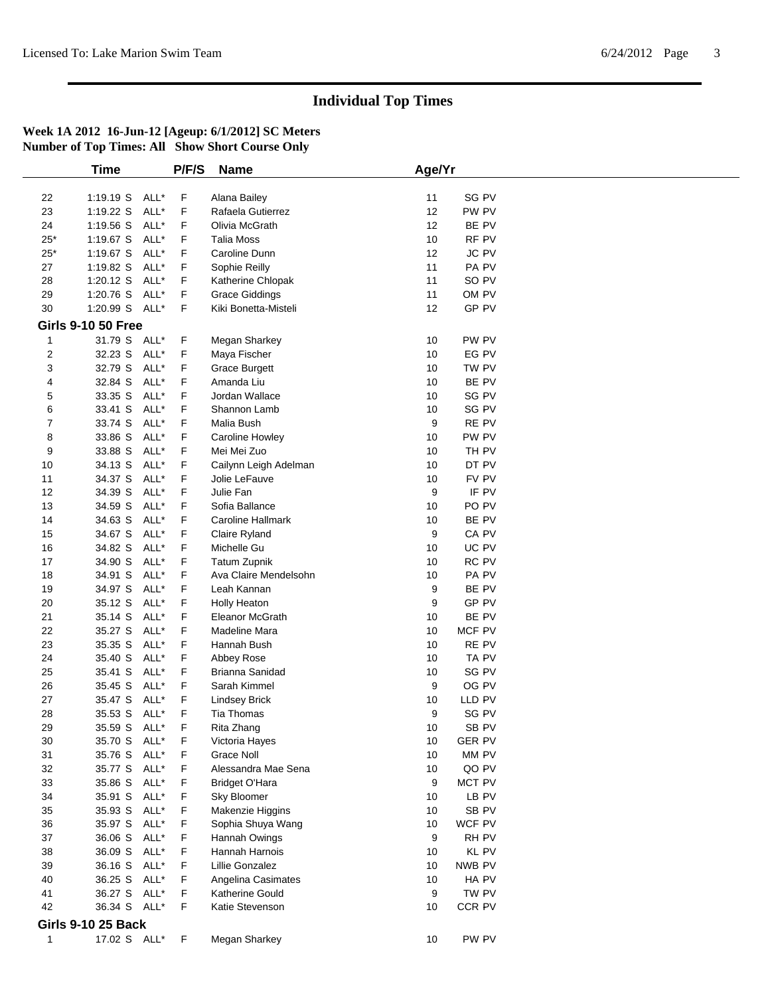|             | <b>Time</b>               |      | P/F/S | <b>Name</b>            | Age/Yr |                  |  |
|-------------|---------------------------|------|-------|------------------------|--------|------------------|--|
|             |                           |      |       |                        |        |                  |  |
| 22          | 1:19.19 S                 | ALL* | F     | Alana Bailey           | 11     | SG PV            |  |
| 23          | 1:19.22 S                 | ALL* | F     | Rafaela Gutierrez      | 12     | PW PV            |  |
| 24          | 1:19.56 S                 | ALL* | F     | Olivia McGrath         | 12     | BE PV            |  |
| $25*$       | 1:19.67 S                 | ALL* | F     | <b>Talia Moss</b>      | 10     | RF PV            |  |
| $25^{\ast}$ | 1:19.67 S                 | ALL* | F     | Caroline Dunn          | 12     | JC PV            |  |
| 27          | 1:19.82 S                 | ALL* | F     | Sophie Reilly          | 11     | PA PV            |  |
| 28          | $1:20.12$ S               | ALL* | F     | Katherine Chlopak      | 11     | SO <sub>PV</sub> |  |
| 29          | 1:20.76 S                 | ALL* | F     | <b>Grace Giddings</b>  | 11     | OM PV            |  |
| 30          | 1:20.99 S ALL*            |      | F     | Kiki Bonetta-Misteli   | 12     | GP PV            |  |
|             |                           |      |       |                        |        |                  |  |
|             | <b>Girls 9-10 50 Free</b> |      |       |                        |        |                  |  |
| 1           | 31.79 S ALL*              |      | F.    | Megan Sharkey          | 10     | PW PV            |  |
| 2           | 32.23 S                   | ALL* | F     | Maya Fischer           | 10     | EG PV            |  |
| 3           | 32.79 S                   | ALL* | F     | <b>Grace Burgett</b>   | 10     | TW PV            |  |
| 4           | 32.84 S                   | ALL* | F     | Amanda Liu             | 10     | BE PV            |  |
| 5           | 33.35 S                   | ALL* | F     | Jordan Wallace         | 10     | SG PV            |  |
| 6           | 33.41 S                   | ALL* | F     | Shannon Lamb           | 10     | SG PV            |  |
| 7           | 33.74 S                   | ALL* | F     | Malia Bush             | 9      | RE PV            |  |
| 8           | 33.86 S                   | ALL* | F     | Caroline Howley        | 10     | PW PV            |  |
| 9           | 33.88 S                   | ALL* | F     | Mei Mei Zuo            | 10     | TH PV            |  |
| 10          | 34.13 S                   | ALL* | F     | Cailynn Leigh Adelman  | 10     | DT PV            |  |
| 11          | 34.37 S                   | ALL* | F     | Jolie LeFauve          | 10     | FV PV            |  |
| 12          | 34.39 S                   | ALL* | F     | Julie Fan              | 9      | IF PV            |  |
|             |                           | ALL* |       | Sofia Ballance         |        |                  |  |
| 13          | 34.59 S                   |      | F     |                        | 10     | PO <sub>PV</sub> |  |
| 14          | 34.63 S                   | ALL* | F     | Caroline Hallmark      | 10     | BE PV            |  |
| 15          | 34.67 S                   | ALL* | F     | Claire Ryland          | 9      | CA PV            |  |
| 16          | 34.82 S                   | ALL* | F     | Michelle Gu            | 10     | UC PV            |  |
| 17          | 34.90 S                   | ALL* | F     | <b>Tatum Zupnik</b>    | 10     | RC PV            |  |
| 18          | 34.91 S                   | ALL* | F     | Ava Claire Mendelsohn  | 10     | PA PV            |  |
| 19          | 34.97 S                   | ALL* | F     | Leah Kannan            | 9      | BE PV            |  |
| 20          | 35.12 S                   | ALL* | F     | <b>Holly Heaton</b>    | 9      | GP PV            |  |
| 21          | 35.14 S                   | ALL* | F     | Eleanor McGrath        | 10     | BE PV            |  |
| 22          | 35.27 S                   | ALL* | F     | Madeline Mara          | 10     | MCF PV           |  |
| 23          | 35.35 S                   | ALL* | F     | Hannah Bush            | 10     | RE PV            |  |
| 24          | 35.40 S                   | ALL* | F     | Abbey Rose             | 10     | TA PV            |  |
| 25          | 35.41 S                   | ALL* | F     | Brianna Sanidad        | 10     | SG PV            |  |
| 26          | 35.45 S                   | ALL* | F     | Sarah Kimmel           | 9      | OG PV            |  |
| 27          | 35.47 S                   | ALL* | F     | <b>Lindsey Brick</b>   | 10     | LLD PV           |  |
| 28          | 35.53 S ALL*              |      | F     | Tia Thomas             | 9      | SG PV            |  |
| 29          | 35.59 S                   | ALL* | F     | Rita Zhang             | 10     | SB PV            |  |
|             |                           |      |       |                        |        |                  |  |
| 30          | 35.70 S ALL*              |      | F     | Victoria Hayes         | 10     | <b>GER PV</b>    |  |
| 31          | 35.76 S                   | ALL* | F     | <b>Grace Noll</b>      | 10     | MM PV            |  |
| 32          | 35.77 S                   | ALL* | F     | Alessandra Mae Sena    | 10     | QO PV            |  |
| 33          | 35.86 S                   | ALL* | F     | <b>Bridget O'Hara</b>  | 9      | MCT PV           |  |
| 34          | 35.91 S                   | ALL* | F     | Sky Bloomer            | 10     | LB PV            |  |
| 35          | 35.93 S                   | ALL* | F     | Makenzie Higgins       | 10     | SB PV            |  |
| 36          | 35.97 S                   | ALL* | F     | Sophia Shuya Wang      | 10     | WCF PV           |  |
| 37          | 36.06 S                   | ALL* | F     | Hannah Owings          | 9      | RH PV            |  |
| 38          | 36.09 S                   | ALL* | F     | Hannah Harnois         | 10     | KL PV            |  |
| 39          | 36.16 S                   | ALL* | F     | Lillie Gonzalez        | 10     | NWB PV           |  |
| 40          | 36.25 S                   | ALL* | F     | Angelina Casimates     | 10     | HA PV            |  |
| 41          | 36.27 S                   | ALL* | F     | <b>Katherine Gould</b> | 9      | TW PV            |  |
| 42          | 36.34 S ALL*              |      | F     | Katie Stevenson        | 10     | CCR PV           |  |
|             |                           |      |       |                        |        |                  |  |
|             | <b>Girls 9-10 25 Back</b> |      |       |                        |        |                  |  |
| 1           | 17.02 S ALL*              |      | F     | Megan Sharkey          | 10     | PW PV            |  |
|             |                           |      |       |                        |        |                  |  |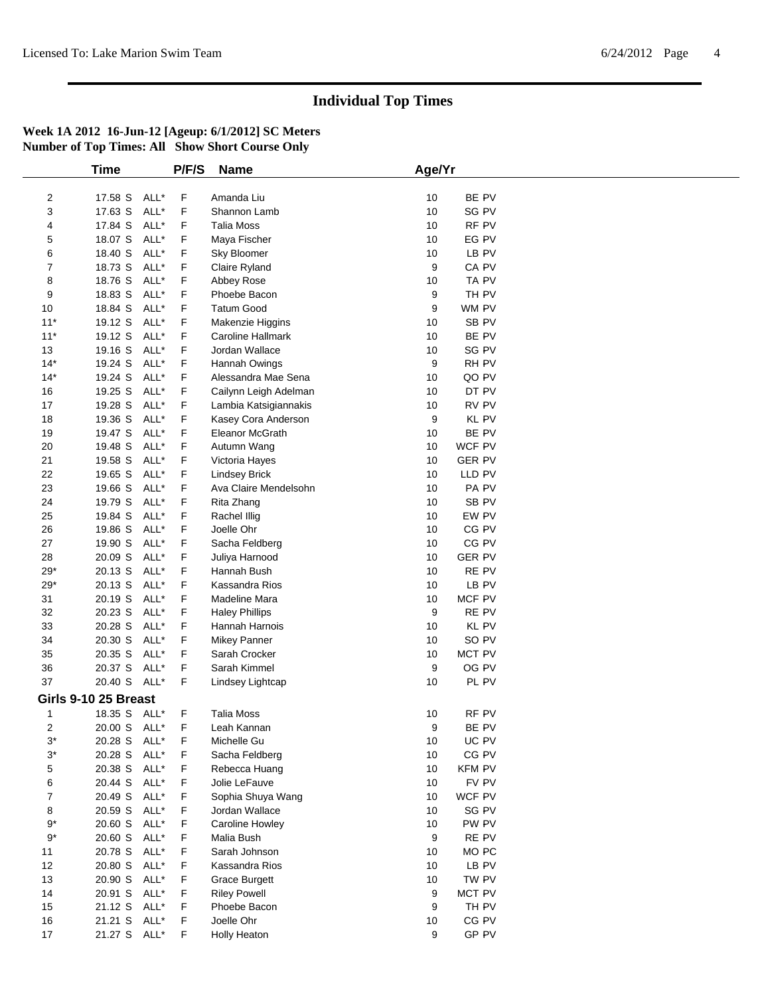|                | <b>Time</b>          |      | P/F/S | <b>Name</b>            | Age/Yr |               |  |
|----------------|----------------------|------|-------|------------------------|--------|---------------|--|
|                |                      |      |       |                        |        |               |  |
| $\overline{c}$ | 17.58 S              | ALL* | F     | Amanda Liu             | 10     | BE PV         |  |
| 3              | 17.63 S              | ALL* | F     | Shannon Lamb           | 10     | SG PV         |  |
| 4              | 17.84 S              | ALL* | F     | <b>Talia Moss</b>      | 10     | RF PV         |  |
| 5              | 18.07 S              | ALL* | F     | Maya Fischer           | 10     | EG PV         |  |
| 6              | 18.40 S              | ALL* | F     | Sky Bloomer            | 10     | LB PV         |  |
| 7              | 18.73 S              | ALL* | F     | Claire Ryland          | 9      | CA PV         |  |
| 8              | 18.76 S              | ALL* | F     | Abbey Rose             | 10     | TA PV         |  |
| 9              | 18.83 S              | ALL* | F     | Phoebe Bacon           | 9      | TH PV         |  |
| 10             | 18.84 S              | ALL* | F     | <b>Tatum Good</b>      | 9      | WM PV         |  |
| $11*$          | 19.12 S              | ALL* | F     | Makenzie Higgins       | 10     | SB PV         |  |
| $11*$          | 19.12 S              | ALL* | F     | Caroline Hallmark      | 10     | BE PV         |  |
| 13             | 19.16 S              | ALL* | F     | Jordan Wallace         | 10     | SG PV         |  |
| $14*$          | 19.24 S              | ALL* | F     | Hannah Owings          | 9      | RH PV         |  |
| $14^*$         | 19.24 S              | ALL* | F     | Alessandra Mae Sena    | 10     | QO PV         |  |
|                |                      |      |       |                        |        |               |  |
| 16             | 19.25 S              | ALL* | F     | Cailynn Leigh Adelman  | 10     | DT PV         |  |
| 17             | 19.28 S              | ALL* | F     | Lambia Katsigiannakis  | 10     | RV PV         |  |
| 18             | 19.36 S              | ALL* | F     | Kasey Cora Anderson    | 9      | KL PV         |  |
| 19             | 19.47 S              | ALL* | F     | <b>Eleanor McGrath</b> | 10     | BE PV         |  |
| 20             | 19.48 S              | ALL* | F     | Autumn Wang            | 10     | WCF PV        |  |
| 21             | 19.58 S              | ALL* | F     | Victoria Hayes         | 10     | <b>GER PV</b> |  |
| 22             | 19.65 S              | ALL* | F     | <b>Lindsey Brick</b>   | 10     | LLD PV        |  |
| 23             | 19.66 S              | ALL* | F     | Ava Claire Mendelsohn  | 10     | PA PV         |  |
| 24             | 19.79 S              | ALL* | F     | Rita Zhang             | 10     | SB PV         |  |
| 25             | 19.84 S              | ALL* | F     | Rachel Illig           | 10     | EW PV         |  |
| 26             | 19.86 S              | ALL* | F     | Joelle Ohr             | 10     | CG PV         |  |
| 27             | 19.90 S              | ALL* | F     | Sacha Feldberg         | 10     | CG PV         |  |
| 28             | 20.09 S              | ALL* | F     | Juliya Harnood         | 10     | <b>GER PV</b> |  |
| $29*$          | 20.13 S              | ALL* | F     | Hannah Bush            | 10     | RE PV         |  |
| $29*$          | 20.13 S              | ALL* | F     | Kassandra Rios         | 10     | LB PV         |  |
| 31             | 20.19 S              | ALL* | F     | Madeline Mara          | 10     | MCF PV        |  |
| 32             | 20.23 S              | ALL* | F     | <b>Haley Phillips</b>  | 9      | RE PV         |  |
| 33             | 20.28 S              | ALL* | F     | Hannah Harnois         | 10     | KL PV         |  |
| 34             | 20.30 S              | ALL* | F     | Mikey Panner           | 10     | SO PV         |  |
| 35             | 20.35 S              | ALL* | F     | Sarah Crocker          | 10     | MCT PV        |  |
|                |                      | ALL* |       |                        | 9      |               |  |
| 36             | 20.37 S              |      | F     | Sarah Kimmel           |        | OG PV         |  |
| 37             | 20.40 S ALL*         |      | F     | Lindsey Lightcap       | 10     | PL PV         |  |
|                | Girls 9-10 25 Breast |      |       |                        |        |               |  |
| 1              | 18.35 S ALL*         |      | F     | <b>Talia Moss</b>      | 10     | RF PV         |  |
| 2              | 20.00 S ALL*         |      | F     | Leah Kannan            | 9      | BE PV         |  |
| 3*             | 20.28 S ALL*         |      | F     | Michelle Gu            | 10     | UC PV         |  |
| $3^*$          | 20.28 S ALL*         |      | F     | Sacha Feldberg         | 10     | CG PV         |  |
| 5              | 20.38 S              | ALL* | F     | Rebecca Huang          | 10     | <b>KFM PV</b> |  |
| 6              | 20.44 S              | ALL* | F     | Jolie LeFauve          | 10     | FV PV         |  |
| 7              | 20.49 S              | ALL* | F     | Sophia Shuya Wang      | 10     | WCF PV        |  |
| 8              | 20.59 S              | ALL* | F     | Jordan Wallace         | 10     | SG PV         |  |
| 9*             | 20.60 S              | ALL* | F     | Caroline Howley        | 10     | PW PV         |  |
| $9*$           | 20.60 S              | ALL* | F     | Malia Bush             | 9      | RE PV         |  |
| 11             |                      | ALL* |       | Sarah Johnson          | 10     |               |  |
|                | 20.78 S              |      | F     |                        |        | MO PC         |  |
| 12             | 20.80 S              | ALL* | F     | Kassandra Rios         | 10     | LB PV         |  |
| 13             | 20.90 S              | ALL* | F     | <b>Grace Burgett</b>   | 10     | TW PV         |  |
| 14             | 20.91 S ALL*         |      | F     | <b>Riley Powell</b>    | 9      | MCT PV        |  |
| 15             | 21.12 S ALL*         |      | F     | Phoebe Bacon           | 9      | TH PV         |  |
| 16             | 21.21 S ALL*         |      | F     | Joelle Ohr             | 10     | CG PV         |  |
| 17             | 21.27 S ALL*         |      | F     | <b>Holly Heaton</b>    | 9      | GP PV         |  |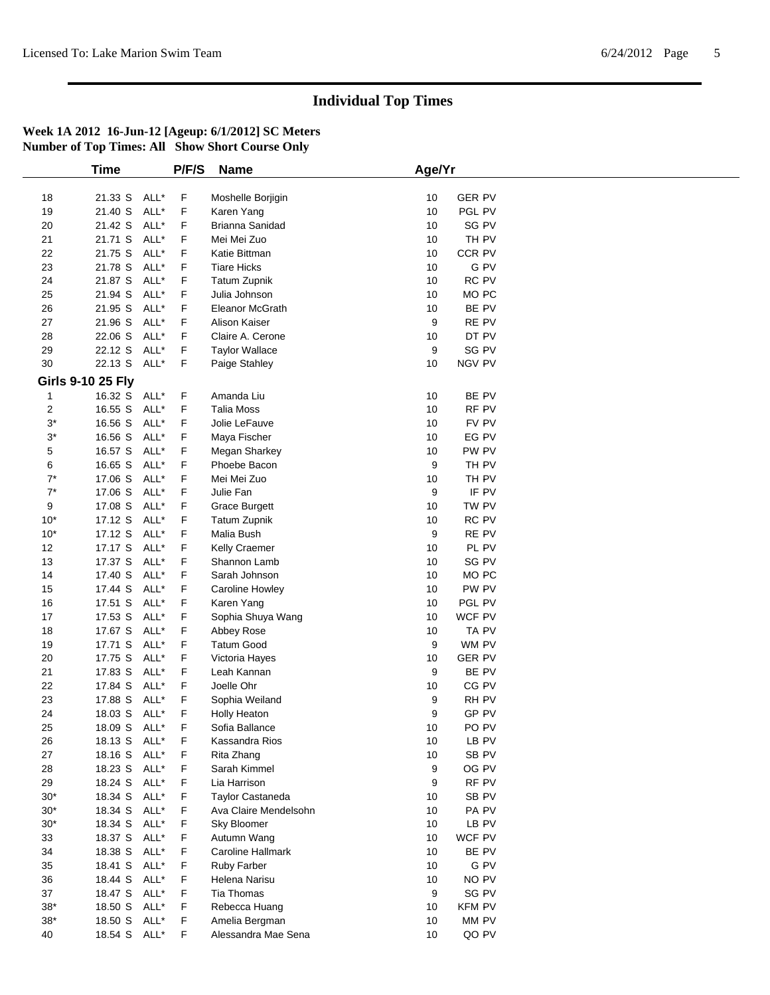|       | <b>Time</b>              |      | P/F/S | <b>Name</b>           | Age/Yr              |  |
|-------|--------------------------|------|-------|-----------------------|---------------------|--|
|       |                          |      |       |                       |                     |  |
| 18    | 21.33 S                  | ALL* | F     | Moshelle Borjigin     | <b>GER PV</b><br>10 |  |
| 19    | 21.40 S                  | ALL* | F     | Karen Yang            | 10<br>PGL PV        |  |
| 20    | 21.42 S                  | ALL* | F     | Brianna Sanidad       | SG PV<br>10         |  |
| 21    | 21.71 S                  | ALL* | F     | Mei Mei Zuo           | TH PV<br>10         |  |
| 22    | 21.75 S                  | ALL* | F     | Katie Bittman         | CCR PV<br>10        |  |
| 23    | 21.78 S                  | ALL* | F     | <b>Tiare Hicks</b>    | G PV<br>10          |  |
| 24    | 21.87 S                  | ALL* | F     | <b>Tatum Zupnik</b>   | RC PV<br>10         |  |
| 25    | 21.94 S                  | ALL* | F     | Julia Johnson         | 10<br>MO PC         |  |
| 26    | 21.95 S                  | ALL* | F     | Eleanor McGrath       | BE PV<br>10         |  |
| 27    | 21.96 S                  | ALL* | F     | Alison Kaiser         | 9<br>RE PV          |  |
| 28    | 22.06 S                  | ALL* | F     | Claire A. Cerone      | DT PV<br>10         |  |
| 29    | 22.12 S                  | ALL* | F     |                       | SG PV<br>9          |  |
|       |                          |      |       | <b>Taylor Wallace</b> |                     |  |
| 30    | 22.13 S                  | ALL* | F     | Paige Stahley         | NGV PV<br>10        |  |
|       | <b>Girls 9-10 25 Fly</b> |      |       |                       |                     |  |
| 1     | 16.32 S ALL*             |      | F     | Amanda Liu            | BE PV<br>10         |  |
| 2     | 16.55 S                  | ALL* | F     | <b>Talia Moss</b>     | 10<br>RF PV         |  |
| $3^*$ | 16.56 S                  | ALL* | F     | Jolie LeFauve         | FV PV<br>10         |  |
| $3^*$ | 16.56 S                  | ALL* | F     | Maya Fischer          | EG PV<br>10         |  |
| 5     | 16.57 S                  | ALL* | F     | Megan Sharkey         | PW PV<br>10         |  |
| 6     | 16.65 S                  | ALL* | F     | Phoebe Bacon          | 9<br>TH PV          |  |
| $7^*$ | 17.06 S                  | ALL* | F     | Mei Mei Zuo           | TH PV<br>10         |  |
| $7^*$ | 17.06 S                  | ALL* | F     | Julie Fan             | 9<br>IF PV          |  |
| 9     | 17.08 S                  | ALL* | F     | <b>Grace Burgett</b>  | TW PV<br>10         |  |
| $10*$ | 17.12 S                  | ALL* | F     | <b>Tatum Zupnik</b>   | RC PV<br>10         |  |
| $10*$ | 17.12 S                  | ALL* | F     | Malia Bush            | 9<br>RE PV          |  |
| 12    | 17.17 S                  | ALL* | F     | Kelly Craemer         | PL PV<br>10         |  |
| 13    | 17.37 S                  | ALL* | F     | Shannon Lamb          | SG PV<br>10         |  |
| 14    | 17.40 S                  | ALL* | F     | Sarah Johnson         | MO PC<br>10         |  |
| 15    | 17.44 S                  | ALL* | F     | Caroline Howley       | PW PV<br>10         |  |
| 16    | 17.51 S                  | ALL* | F     | Karen Yang            | PGL PV<br>10        |  |
| 17    |                          | ALL* | F     |                       | WCF PV<br>10        |  |
|       | 17.53 S                  |      |       | Sophia Shuya Wang     |                     |  |
| $18$  | 17.67 S                  | ALL* | F     | Abbey Rose            | TA PV<br>10         |  |
| 19    | 17.71 S                  | ALL* | F     | <b>Tatum Good</b>     | 9<br>WM PV          |  |
| 20    | 17.75 S                  | ALL* | F     | Victoria Hayes        | <b>GER PV</b><br>10 |  |
| 21    | 17.83 S                  | ALL* | F     | Leah Kannan           | 9<br>BE PV          |  |
| 22    | 17.84 S                  | ALL* | F     | Joelle Ohr            | CG PV<br>10         |  |
| 23    | 17.88 S                  | ALL* | F     | Sophia Weiland        | RH PV<br>9          |  |
| 24    | 18.03 S ALL*             |      | F     | <b>Holly Heaton</b>   | GP PV<br>9          |  |
| 25    | 18.09 S ALL*             |      | F     | Sofia Ballance        | PO PV<br>10         |  |
| 26    | 18.13 S ALL*             |      | F     | Kassandra Rios        | 10<br>LB PV         |  |
| 27    | 18.16 S                  | ALL* | F     | Rita Zhang            | SB PV<br>10         |  |
| 28    | 18.23 S                  | ALL* | F     | Sarah Kimmel          | OG PV<br>9          |  |
| 29    | 18.24 S                  | ALL* | F     | Lia Harrison          | RF PV<br>9          |  |
| $30*$ | 18.34 S                  | ALL* | F     | Taylor Castaneda      | SB PV<br>10         |  |
| $30*$ | 18.34 S                  | ALL* | F     | Ava Claire Mendelsohn | PA PV<br>10         |  |
| $30*$ | 18.34 S                  | ALL* | F     | Sky Bloomer           | 10<br>LB PV         |  |
| 33    | 18.37 S                  | ALL* | F     | Autumn Wang           | WCF PV<br>10        |  |
| 34    | 18.38 S                  | ALL* | F     | Caroline Hallmark     | 10<br>BE PV         |  |
| 35    | 18.41 S                  | ALL* | F     | <b>Ruby Farber</b>    | G PV<br>10          |  |
| 36    | 18.44 S                  | ALL* | F     | Helena Narisu         | NO PV<br>10         |  |
| 37    | 18.47 S                  | ALL* | F     | <b>Tia Thomas</b>     | SG PV<br>9          |  |
| $38*$ | 18.50 S                  | ALL* | F     | Rebecca Huang         | 10<br><b>KFM PV</b> |  |
| $38*$ | 18.50 S                  | ALL* | F     | Amelia Bergman        | MM PV<br>10         |  |
| 40    | 18.54 S ALL*             |      | F     | Alessandra Mae Sena   | QO PV<br>10         |  |
|       |                          |      |       |                       |                     |  |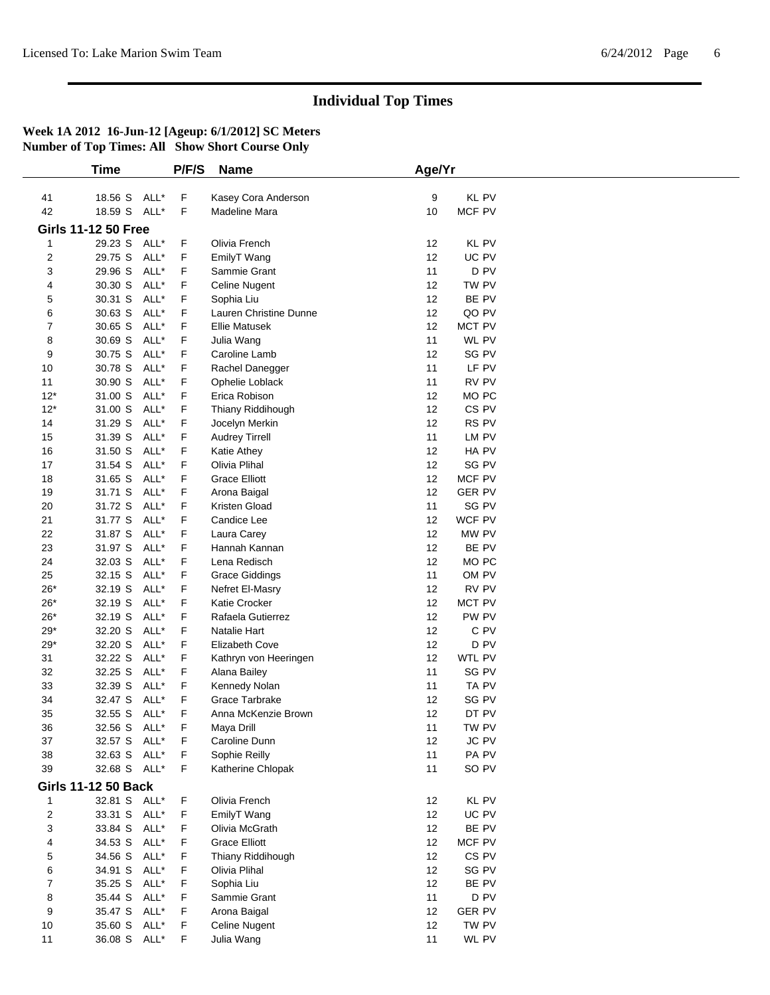|                         | Time                       |      | P/F/S | <b>Name</b>            | Age/Yr |                  |
|-------------------------|----------------------------|------|-------|------------------------|--------|------------------|
|                         |                            |      |       |                        |        |                  |
| 41                      | 18.56 S                    | ALL* | F     | Kasey Cora Anderson    | 9      | <b>KL PV</b>     |
| 42                      | 18.59 S ALL*               |      | F     | Madeline Mara          | 10     | MCF PV           |
|                         | <b>Girls 11-12 50 Free</b> |      |       |                        |        |                  |
| 1                       | 29.23 S ALL*               |      | F     | Olivia French          | 12     | <b>KL PV</b>     |
| $\overline{c}$          | 29.75 S                    | ALL* | F     | EmilyT Wang            | 12     | UC PV            |
| 3                       | 29.96 S                    | ALL* | F     | Sammie Grant           | 11     | D <sub>PV</sub>  |
| 4                       | 30.30 S                    | ALL* | F     | Celine Nugent          | 12     | TW PV            |
| 5                       | 30.31 S                    | ALL* | F     | Sophia Liu             | 12     | BE PV            |
| 6                       | 30.63 S                    | ALL* | F     | Lauren Christine Dunne | 12     | QO PV            |
| $\overline{7}$          | 30.65 S                    | ALL* | F     | <b>Ellie Matusek</b>   | 12     | <b>MCT PV</b>    |
| 8                       | 30.69 S                    | ALL* | F     | Julia Wang             | 11     | <b>WL PV</b>     |
| 9                       | 30.75 S                    | ALL* | F     | Caroline Lamb          | 12     | SG PV            |
| 10                      | 30.78 S                    | ALL* | F     | Rachel Danegger        | 11     | LF PV            |
| 11                      | 30.90 S                    | ALL* | F     | Ophelie Loblack        | 11     | RV PV            |
| $12*$                   | 31.00 S                    | ALL* | F     | Erica Robison          | 12     | MO PC            |
| $12*$                   | 31.00 S                    | ALL* | F     | Thiany Riddihough      | 12     | CS <sub>PV</sub> |
| 14                      | 31.29 S                    | ALL* | F     | Jocelyn Merkin         | 12     | RS PV            |
| 15                      | 31.39 S                    | ALL* | F     | <b>Audrey Tirrell</b>  | 11     | LM PV            |
| 16                      | 31.50 S                    | ALL* | F     | Katie Athey            | 12     | HA PV            |
| 17                      | 31.54 S                    | ALL* | F     | Olivia Plihal          | 12     | SG PV            |
| 18                      | 31.65 S                    | ALL* | F     | <b>Grace Elliott</b>   | 12     | MCF PV           |
| 19                      | 31.71 S                    | ALL* | F     |                        | 12     | <b>GER PV</b>    |
|                         |                            |      |       | Arona Baigal           |        |                  |
| 20                      | 31.72 S                    | ALL* | F     | Kristen Gload          | 11     | SG PV            |
| 21                      | 31.77 S                    | ALL* | F     | Candice Lee            | 12     | WCF PV           |
| 22                      | 31.87 S                    | ALL* | F     | Laura Carey            | 12     | MW PV            |
| 23                      | 31.97 S                    | ALL* | F     | Hannah Kannan          | 12     | BE PV            |
| 24                      | 32.03 S                    | ALL* | F     | Lena Redisch           | 12     | MO <sub>PC</sub> |
| 25                      | 32.15 S                    | ALL* | F     | <b>Grace Giddings</b>  | 11     | OM PV            |
| $26*$                   | 32.19 S                    | ALL* | F     | Nefret El-Masry        | 12     | RV PV            |
| $26*$                   | 32.19 S                    | ALL* | F     | Katie Crocker          | 12     | <b>MCT PV</b>    |
| $26*$                   | 32.19 S                    | ALL* | F     | Rafaela Gutierrez      | 12     | PW PV            |
| $29*$                   | 32.20 S                    | ALL* | F     | Natalie Hart           | 12     | C PV             |
| $29*$                   | 32.20 S                    | ALL* | F     | <b>Elizabeth Cove</b>  | 12     | D PV             |
| 31                      | 32.22 S                    | ALL* | F     | Kathryn von Heeringen  | 12     | WTL PV           |
| 32                      | 32.25 S                    | ALL* | F     | Alana Bailey           | 11     | SG PV            |
| 33                      | 32.39 S                    | ALL* | F     | Kennedy Nolan          | 11     | TA PV            |
| 34                      | 32.47 S                    | ALL* | F     | Grace Tarbrake         | 12     | SG PV            |
| 35                      | 32.55 S                    | ALL* | F     | Anna McKenzie Brown    | 12     | DT PV            |
| 36                      | 32.56 S ALL*               |      | F     | Maya Drill             | 11     | TW PV            |
| 37                      | 32.57 S ALL*               |      | F     | Caroline Dunn          | 12     | JC PV            |
| 38                      | 32.63 S                    | ALL* | F     | Sophie Reilly          | 11     | PA PV            |
| 39                      | 32.68 S ALL*               |      | F     | Katherine Chlopak      | 11     | SO PV            |
|                         |                            |      |       |                        |        |                  |
|                         | <b>Girls 11-12 50 Back</b> |      |       |                        |        |                  |
| 1                       | 32.81 S ALL*               |      | F     | Olivia French          | 12     | KL PV            |
| $\overline{\mathbf{c}}$ | 33.31 S                    | ALL* | F     | EmilyT Wang            | 12     | UC PV            |
| 3                       | 33.84 S                    | ALL* | F     | Olivia McGrath         | 12     | BE PV            |
| 4                       | 34.53 S                    | ALL* | F     | <b>Grace Elliott</b>   | 12     | MCF PV           |
| 5                       | 34.56 S                    | ALL* | F     | Thiany Riddihough      | 12     | CS <sub>PV</sub> |
| 6                       | 34.91 S                    | ALL* | F     | Olivia Plihal          | 12     | SG PV            |
| 7                       | 35.25 S                    | ALL* | F     | Sophia Liu             | 12     | BE PV            |
| 8                       | 35.44 S                    | ALL* | F     | Sammie Grant           | 11     | D PV             |
| 9                       | 35.47 S                    | ALL* | F     | Arona Baigal           | 12     | <b>GER PV</b>    |
| 10                      | 35.60 S                    | ALL* | F     | <b>Celine Nugent</b>   | 12     | TW PV            |
| $11$                    | 36.08 S ALL*               |      | F     | Julia Wang             | 11     | WL PV            |
|                         |                            |      |       |                        |        |                  |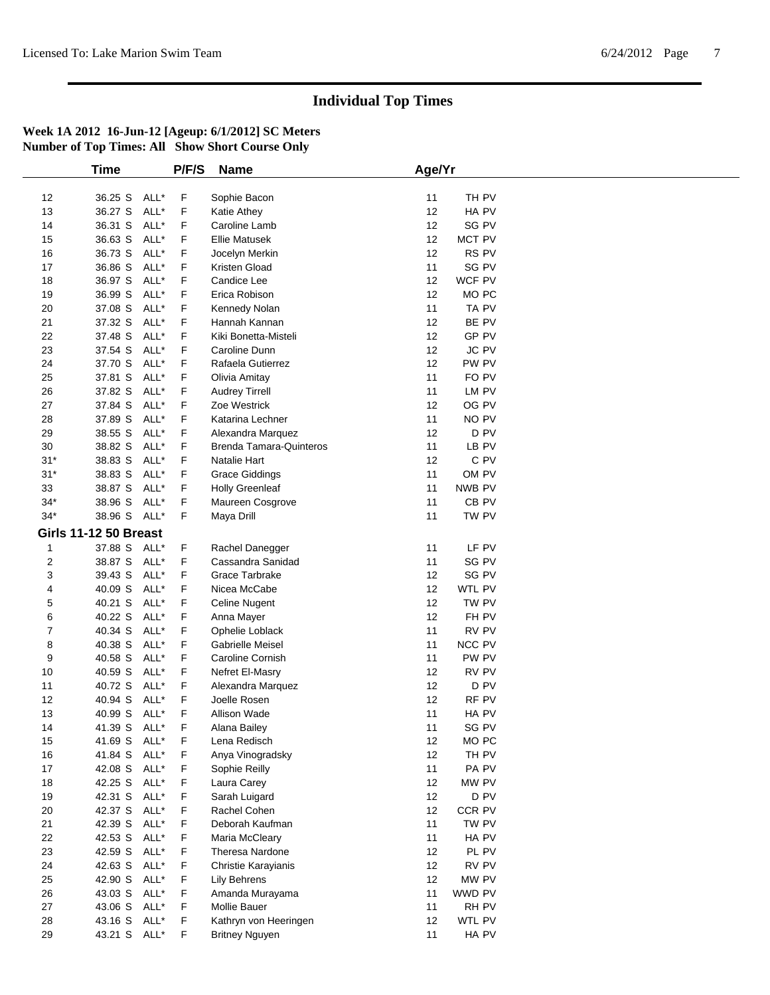|       | <b>Time</b>                  |      | P/F/S | <b>Name</b>                    | Age/Yr |                  |  |
|-------|------------------------------|------|-------|--------------------------------|--------|------------------|--|
|       |                              |      |       |                                |        |                  |  |
| 12    | 36.25 S                      | ALL* | F     | Sophie Bacon                   | 11     | TH PV            |  |
| 13    | 36.27 S                      | ALL* | F     | Katie Athey                    | 12     | HA PV            |  |
| 14    | 36.31 S                      | ALL* | F     | Caroline Lamb                  | 12     | SG PV            |  |
| 15    | 36.63 S                      | ALL* | F     | <b>Ellie Matusek</b>           | 12     | MCT PV           |  |
| 16    | 36.73 S                      | ALL* | F     | Jocelyn Merkin                 | 12     | RS <sub>PV</sub> |  |
| 17    | 36.86 S                      | ALL* | F     | Kristen Gload                  | 11     | SG PV            |  |
| 18    | 36.97 S                      | ALL* | F     | Candice Lee                    | 12     | WCF PV           |  |
| 19    | 36.99 S                      | ALL* | F     | Erica Robison                  | 12     | MO <sub>PC</sub> |  |
| 20    | 37.08 S                      | ALL* | F     | Kennedy Nolan                  | 11     | TA PV            |  |
| 21    | 37.32 S                      | ALL* | F     | Hannah Kannan                  | 12     | BE PV            |  |
| 22    | 37.48 S                      | ALL* | F     | Kiki Bonetta-Misteli           | 12     | GP PV            |  |
| 23    | 37.54 S                      | ALL* | F     | Caroline Dunn                  | 12     | JC PV            |  |
| 24    | 37.70 S                      | ALL* | F     | Rafaela Gutierrez              | 12     | PW PV            |  |
|       | 37.81 S                      | ALL* | F     |                                | 11     | FO PV            |  |
| 25    |                              |      |       | Olivia Amitay                  |        |                  |  |
| 26    | 37.82 S                      | ALL* | F     | <b>Audrey Tirrell</b>          | 11     | LM PV            |  |
| 27    | 37.84 S                      | ALL* | F     | Zoe Westrick                   | 12     | OG PV            |  |
| 28    | 37.89 S                      | ALL* | F     | Katarina Lechner               | 11     | NO PV            |  |
| 29    | 38.55 S                      | ALL* | F     | Alexandra Marquez              | 12     | D <sub>PV</sub>  |  |
| 30    | 38.82 S                      | ALL* | F     | <b>Brenda Tamara-Quinteros</b> | 11     | LB PV            |  |
| $31*$ | 38.83 S                      | ALL* | F     | Natalie Hart                   | 12     | C PV             |  |
| $31*$ | 38.83 S                      | ALL* | F     | <b>Grace Giddings</b>          | 11     | OM PV            |  |
| 33    | 38.87 S                      | ALL* | F     | <b>Holly Greenleaf</b>         | 11     | NWB PV           |  |
| $34*$ | 38.96 S                      | ALL* | F     | Maureen Cosgrove               | 11     | CB <sub>PV</sub> |  |
| $34*$ | 38.96 S ALL*                 |      | F     | Maya Drill                     | 11     | TW PV            |  |
|       | <b>Girls 11-12 50 Breast</b> |      |       |                                |        |                  |  |
| 1     | 37.88 S                      | ALL* | F     | Rachel Danegger                | 11     | LF PV            |  |
| 2     | 38.87 S                      | ALL* | F     | Cassandra Sanidad              | 11     | SG PV            |  |
| 3     | 39.43 S                      | ALL* | F     | Grace Tarbrake                 | 12     | SG PV            |  |
|       |                              | ALL* | F     |                                | 12     | WTL PV           |  |
| 4     | 40.09 S                      |      |       | Nicea McCabe                   |        |                  |  |
| 5     | 40.21 S                      | ALL* | F     | Celine Nugent                  | 12     | TW PV            |  |
| 6     | 40.22 S                      | ALL* | F     | Anna Mayer                     | 12     | FH PV            |  |
| 7     | 40.34 S                      | ALL* | F     | Ophelie Loblack                | 11     | RV PV            |  |
| 8     | 40.38 S                      | ALL* | F     | Gabrielle Meisel               | 11     | <b>NCC PV</b>    |  |
| 9     | 40.58 S                      | ALL* | F     | Caroline Cornish               | 11     | PW PV            |  |
| 10    | 40.59 S                      | ALL* | F     | Nefret El-Masry                | 12     | RV PV            |  |
| 11    | 40.72 S                      | ALL* | F     | Alexandra Marquez              | 12     | D PV             |  |
| 12    | 40.94 S                      | ALL* | F     | Joelle Rosen                   | 12     | RF PV            |  |
| 13    | 40.99 S                      | ALL* | F     | <b>Allison Wade</b>            | 11     | HA PV            |  |
| 14    | 41.39 S ALL*                 |      | F     | Alana Bailey                   | 11     | SG PV            |  |
| 15    | 41.69 S ALL*                 |      | F     | Lena Redisch                   | 12     | MO <sub>PC</sub> |  |
| 16    | 41.84 S ALL*                 |      | F     | Anya Vinogradsky               | 12     | TH PV            |  |
| 17    | 42.08 S                      | ALL* | F     | Sophie Reilly                  | 11     | PA PV            |  |
| 18    | 42.25 S                      | ALL* | F     | Laura Carey                    | 12     | MW PV            |  |
| 19    | 42.31 S                      | ALL* | F     | Sarah Luigard                  | 12     | D <sub>PV</sub>  |  |
| 20    | 42.37 S                      | ALL* | F     | Rachel Cohen                   | 12     | CCR PV           |  |
| 21    | 42.39 S                      | ALL* | F     | Deborah Kaufman                | 11     | TW PV            |  |
|       |                              | ALL* |       |                                |        |                  |  |
| 22    | 42.53 S                      |      | F     | Maria McCleary                 | 11     | HA PV            |  |
| 23    | 42.59 S                      | ALL* | F     | Theresa Nardone                | 12     | PL PV            |  |
| 24    | 42.63 S                      | ALL* | F     | Christie Karayianis            | 12     | RV PV            |  |
| 25    | 42.90 S                      | ALL* | F     | Lily Behrens                   | 12     | MW PV            |  |
| 26    | 43.03 S ALL*                 |      | F     | Amanda Murayama                | 11     | WWD PV           |  |
| 27    | 43.06 S                      | ALL* | F     | Mollie Bauer                   | 11     | RH PV            |  |
| 28    | 43.16 S                      | ALL* | F     | Kathryn von Heeringen          | 12     | WTL PV           |  |
| 29    | 43.21 S ALL*                 |      | F     | <b>Britney Nguyen</b>          | 11     | HA PV            |  |
|       |                              |      |       |                                |        |                  |  |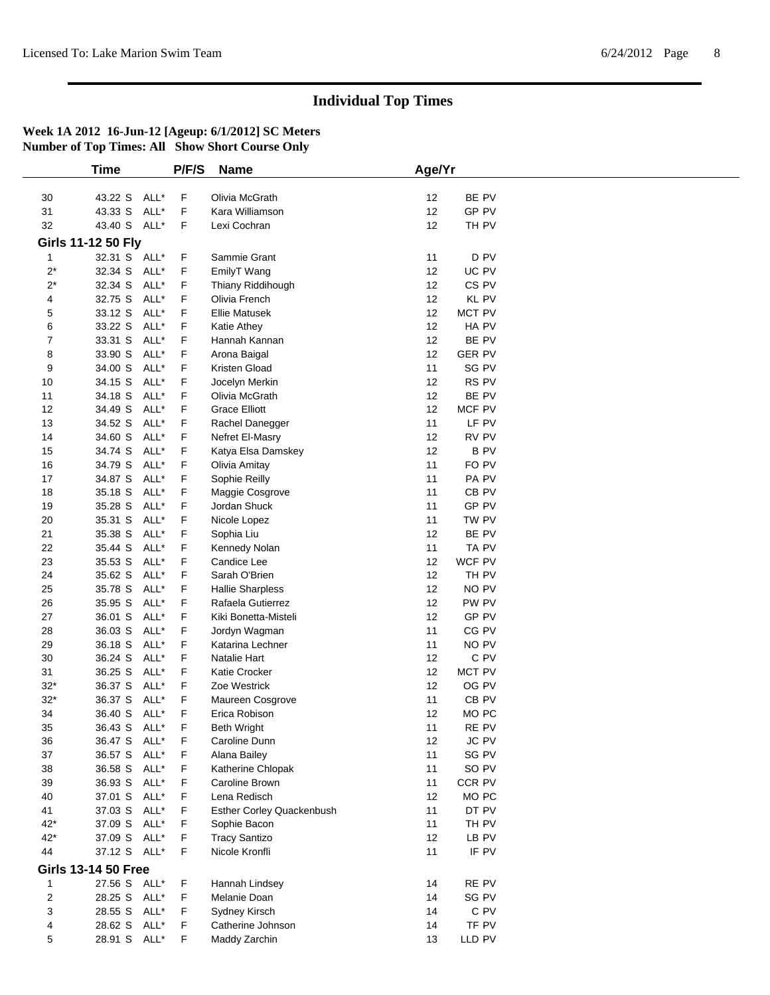|       | <b>Time</b>                |      | P/F/S | <b>Name</b>               | Age/Yr |                  |
|-------|----------------------------|------|-------|---------------------------|--------|------------------|
|       |                            |      |       |                           |        |                  |
| 30    | 43.22 S                    | ALL* | F     | Olivia McGrath            | 12     | BE PV            |
| 31    | 43.33 S                    | ALL* | F     | Kara Williamson           | 12     | GP PV            |
| 32    | 43.40 S ALL*               |      | F     | Lexi Cochran              | 12     | TH PV            |
|       | <b>Girls 11-12 50 Fly</b>  |      |       |                           |        |                  |
| 1     | 32.31 S ALL*               |      | F     | Sammie Grant              | 11     | D PV             |
| $2^*$ | 32.34 S                    | ALL* | F     | EmilyT Wang               | 12     | UC PV            |
| $2^*$ | 32.34 S                    | ALL* | F     | Thiany Riddihough         | 12     | CS <sub>PV</sub> |
| 4     | 32.75 S                    | ALL* | F     | Olivia French             | 12     | <b>KL PV</b>     |
| 5     | 33.12 S                    | ALL* | F     | <b>Ellie Matusek</b>      | 12     | <b>MCT PV</b>    |
| 6     | 33.22 S                    | ALL* | F     | Katie Athey               | 12     | HA PV            |
| 7     | 33.31 S                    | ALL* | F     | Hannah Kannan             | 12     | BE PV            |
| 8     | 33.90 S                    | ALL* | F     | Arona Baigal              | 12     | <b>GER PV</b>    |
| 9     | 34.00 S                    | ALL* | F     | Kristen Gload             | 11     | SG PV            |
| 10    | 34.15 S                    | ALL* | F     | Jocelyn Merkin            | 12     | RS PV            |
| 11    | 34.18 S                    | ALL* | F     | Olivia McGrath            | 12     | BE PV            |
| 12    | 34.49 S                    | ALL* | F     | <b>Grace Elliott</b>      | 12     | MCF PV           |
| 13    | 34.52 S                    | ALL* | F     | Rachel Danegger           | 11     | LF PV            |
| 14    | 34.60 S                    | ALL* | F     | Nefret El-Masry           | 12     | RV PV            |
| 15    | 34.74 S                    | ALL* | F     | Katya Elsa Damskey        | 12     | <b>BPV</b>       |
| 16    | 34.79 S                    | ALL* | F     |                           | 11     | FO PV            |
| 17    | 34.87 S                    | ALL* | F     | Olivia Amitay             | 11     | PA <sub>PV</sub> |
|       |                            | ALL* |       | Sophie Reilly             | 11     |                  |
| 18    | 35.18 S                    |      | F     | Maggie Cosgrove           |        | CB <sub>PV</sub> |
| 19    | 35.28 S                    | ALL* | F     | Jordan Shuck              | 11     | GP PV            |
| 20    | 35.31 S                    | ALL* | F     | Nicole Lopez              | 11     | TW PV            |
| 21    | 35.38 S                    | ALL* | F     | Sophia Liu                | 12     | BE PV            |
| 22    | 35.44 S                    | ALL* | F     | Kennedy Nolan             | 11     | TA PV            |
| 23    | 35.53 S                    | ALL* | F     | Candice Lee               | 12     | WCF PV           |
| 24    | 35.62 S                    | ALL* | F     | Sarah O'Brien             | 12     | TH PV            |
| 25    | 35.78 S                    | ALL* | F     | <b>Hallie Sharpless</b>   | 12     | NO PV            |
| 26    | 35.95 S                    | ALL* | F     | Rafaela Gutierrez         | 12     | PW PV            |
| 27    | 36.01 S                    | ALL* | F     | Kiki Bonetta-Misteli      | 12     | GP PV            |
| 28    | 36.03 S                    | ALL* | F     | Jordyn Wagman             | 11     | CG PV            |
| 29    | 36.18 S                    | ALL* | F     | Katarina Lechner          | 11     | NO PV            |
| 30    | 36.24 S                    | ALL* | F     | Natalie Hart              | 12     | C PV             |
| 31    | 36.25 S                    | ALL* | F     | Katie Crocker             | 12     | MCT PV           |
| $32*$ | 36.37 S                    | ALL* | F     | Zoe Westrick              | 12     | OG PV            |
| $32*$ | 36.37 S                    | ALL* | F     | Maureen Cosgrove          | 11     | CB <sub>PV</sub> |
| 34    | 36.40 S                    | ALL* | F     | Erica Robison             | 12     | MO <sub>PC</sub> |
| 35    | 36.43 S ALL*               |      | F     | <b>Beth Wright</b>        | 11     | RE PV            |
| 36    | 36.47 S ALL*               |      | F     | Caroline Dunn             | 12     | <b>JC PV</b>     |
| 37    | 36.57 S ALL*               |      | F     | Alana Bailey              | 11     | SG PV            |
| 38    | 36.58 S                    | ALL* | F     | Katherine Chlopak         | 11     | SO PV            |
| 39    | 36.93 S                    | ALL* | F     | Caroline Brown            | 11     | CCR PV           |
| 40    | 37.01 S                    | ALL* | F     | Lena Redisch              | 12     | MO PC            |
| 41    | 37.03 S                    | ALL* | F     | Esther Corley Quackenbush | 11     | DT PV            |
| $42*$ | 37.09 S                    | ALL* | F.    | Sophie Bacon              | 11     | TH PV            |
|       |                            |      |       |                           |        |                  |
| $42*$ | 37.09 S ALL*               |      | F     | <b>Tracy Santizo</b>      | 12     | LB PV<br>IF PV   |
| 44    | 37.12 S ALL*               |      | F     | Nicole Kronfli            | 11     |                  |
|       | <b>Girls 13-14 50 Free</b> |      |       |                           |        |                  |
| 1     | 27.56 S ALL*               |      | F     | Hannah Lindsey            | 14     | RE PV            |
| 2     | 28.25 S                    | ALL* | F     | Melanie Doan              | 14     | SG PV            |
| 3     | 28.55 S ALL*               |      | F     | Sydney Kirsch             | 14     | C PV             |
| 4     | 28.62 S ALL*               |      | F     | Catherine Johnson         | 14     | TF PV            |
| 5     | 28.91 S ALL*               |      | F     | Maddy Zarchin             | 13     | LLD PV           |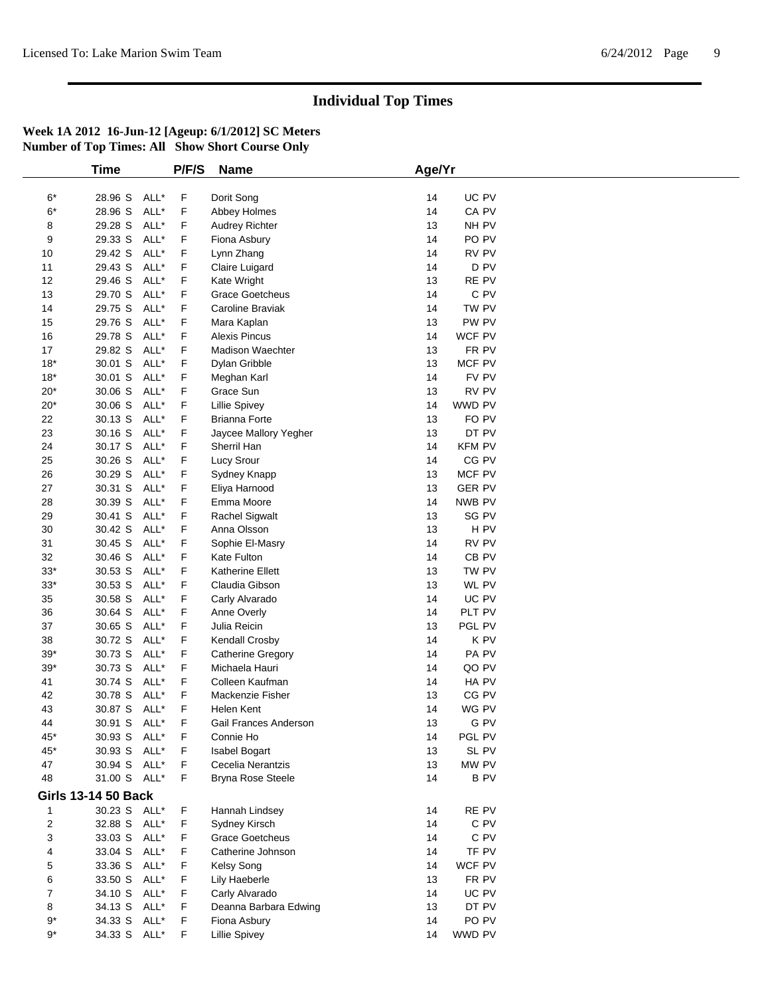|             | Time                       |      | P/F/S | <b>Name</b>              | Age/Yr |                  |  |
|-------------|----------------------------|------|-------|--------------------------|--------|------------------|--|
|             |                            |      |       |                          |        |                  |  |
| $6*$        | 28.96 S                    | ALL* | F     | Dorit Song               | 14     | UC PV            |  |
| $6*$        | 28.96 S                    | ALL* | F     | Abbey Holmes             | 14     | CA PV            |  |
| 8           | 29.28 S                    | ALL* | F     | <b>Audrey Richter</b>    | 13     | NH PV            |  |
| 9           | 29.33 S                    | ALL* | F     | Fiona Asbury             | 14     | PO PV            |  |
| 10          | 29.42 S                    | ALL* | F     | Lynn Zhang               | 14     | RV PV            |  |
| 11          | 29.43 S                    | ALL* | F     | Claire Luigard           | 14     | D PV             |  |
| 12          | 29.46 S                    | ALL* | F     | Kate Wright              | 13     | RE PV            |  |
| 13          | 29.70 S                    | ALL* | F     | <b>Grace Goetcheus</b>   | 14     | C PV             |  |
| 14          | 29.75 S                    | ALL* | F     | Caroline Braviak         | 14     | TW PV            |  |
| 15          | 29.76 S                    | ALL* | F     | Mara Kaplan              | 13     | PW PV            |  |
| $16$        | 29.78 S                    | ALL* | F     | <b>Alexis Pincus</b>     | 14     | WCF PV           |  |
| 17          | 29.82 S                    | ALL* | F     | <b>Madison Waechter</b>  | 13     | FR PV            |  |
| $18*$       | 30.01 S                    | ALL* | F     | Dylan Gribble            | 13     | MCF PV           |  |
| $18*$       | 30.01 S                    | ALL* | F     | Meghan Karl              | 14     | FV PV            |  |
| $20*$       | 30.06 S                    | ALL* | F     | Grace Sun                | 13     | RV PV            |  |
| $20*$       | 30.06 S                    | ALL* | F     | <b>Lillie Spivey</b>     | 14     | WWD PV           |  |
| 22          | 30.13 S                    | ALL* | F     | <b>Brianna Forte</b>     | 13     | FO PV            |  |
| 23          | 30.16 S                    | ALL* | F     | Jaycee Mallory Yegher    | 13     | DT PV            |  |
| 24          | 30.17 S                    | ALL* | F     | Sherril Han              | 14     | <b>KFM PV</b>    |  |
| 25          | 30.26 S                    | ALL* | F     | Lucy Srour               | 14     | CG PV            |  |
| 26          | 30.29 S                    | ALL* | F     | Sydney Knapp             | 13     | MCF PV           |  |
| 27          | 30.31 S                    | ALL* | F     | Eliya Harnood            | 13     | <b>GER PV</b>    |  |
| 28          | 30.39 S                    | ALL* | F     | Emma Moore               | 14     | NWB PV           |  |
| 29          | 30.41 S                    | ALL* | F     | <b>Rachel Sigwalt</b>    | 13     | SG PV            |  |
| 30          | 30.42 S                    | ALL* | F     | Anna Olsson              | 13     | H <sub>PV</sub>  |  |
| 31          | 30.45 S                    | ALL* | F     | Sophie El-Masry          | 14     | RV PV            |  |
| 32          | 30.46 S                    | ALL* | F     | Kate Fulton              | 14     | CB <sub>PV</sub> |  |
| $33*$       | 30.53 S                    | ALL* | F     | <b>Katherine Ellett</b>  | 13     | TW PV            |  |
| $33^{\ast}$ | 30.53 S                    | ALL* | F     | Claudia Gibson           | 13     | WL PV            |  |
| 35          | 30.58 S                    | ALL* | F     | Carly Alvarado           | 14     | UC PV            |  |
| 36          | 30.64 S                    | ALL* | F     | Anne Overly              | 14     | PLT PV           |  |
| 37          | 30.65 S                    | ALL* | F     | Julia Reicin             | 13     | PGL PV           |  |
| 38          | 30.72 S                    | ALL* | F     | Kendall Crosby           | 14     | K PV             |  |
| $39*$       | 30.73 S                    | ALL* | F     | Catherine Gregory        | 14     | PA PV            |  |
| $39*$       | 30.73 S                    | ALL* | F     | Michaela Hauri           | 14     | QO PV            |  |
| 41          | 30.74 S                    | ALL* | F     | Colleen Kaufman          | 14     | HA PV            |  |
| 42          | 30.78 S                    | ALL* | F     | Mackenzie Fisher         | 13     | CG PV            |  |
| 43          | 30.87 S                    | ALL* | F     | Helen Kent               | 14     | WG PV            |  |
| 44          | 30.91 S                    | ALL* | F     | Gail Frances Anderson    | 13     | G PV             |  |
| 45*         | 30.93 S ALL*               |      | F     | Connie Ho                | 14     | PGL PV           |  |
| 45*         | 30.93 S                    | ALL* | F     | Isabel Bogart            | 13     | SL PV            |  |
| 47          | 30.94 S ALL*               |      | F     | Cecelia Nerantzis        | 13     | MW PV            |  |
| 48          | 31.00 S ALL*               |      | F     | <b>Bryna Rose Steele</b> | 14     | <b>BPV</b>       |  |
|             |                            |      |       |                          |        |                  |  |
|             | <b>Girls 13-14 50 Back</b> |      |       |                          |        |                  |  |
| 1           | 30.23 S ALL*               |      | F     | Hannah Lindsey           | 14     | RE PV            |  |
| 2           | 32.88 S ALL*               |      | F     | Sydney Kirsch            | 14     | C PV             |  |
| 3           | 33.03 S ALL*               |      | F     | <b>Grace Goetcheus</b>   | 14     | C PV             |  |
| 4           | 33.04 S                    | ALL* | F     | Catherine Johnson        | 14     | TF PV            |  |
| 5           | 33.36 S ALL*               |      | F     | Kelsy Song               | 14     | WCF PV           |  |
| 6           | 33.50 S ALL*               |      | F     | Lily Haeberle            | 13     | FR PV            |  |
| 7           | 34.10 S                    | ALL* | F     | Carly Alvarado           | 14     | UC PV            |  |
| 8           | 34.13 S ALL*               |      | F     | Deanna Barbara Edwing    | 13     | DT PV            |  |
| 9*          | 34.33 S ALL*               |      | F     | Fiona Asbury             | 14     | PO PV            |  |
| $9^*$       | 34.33 S ALL*               |      | F     | <b>Lillie Spivey</b>     | 14     | WWD PV           |  |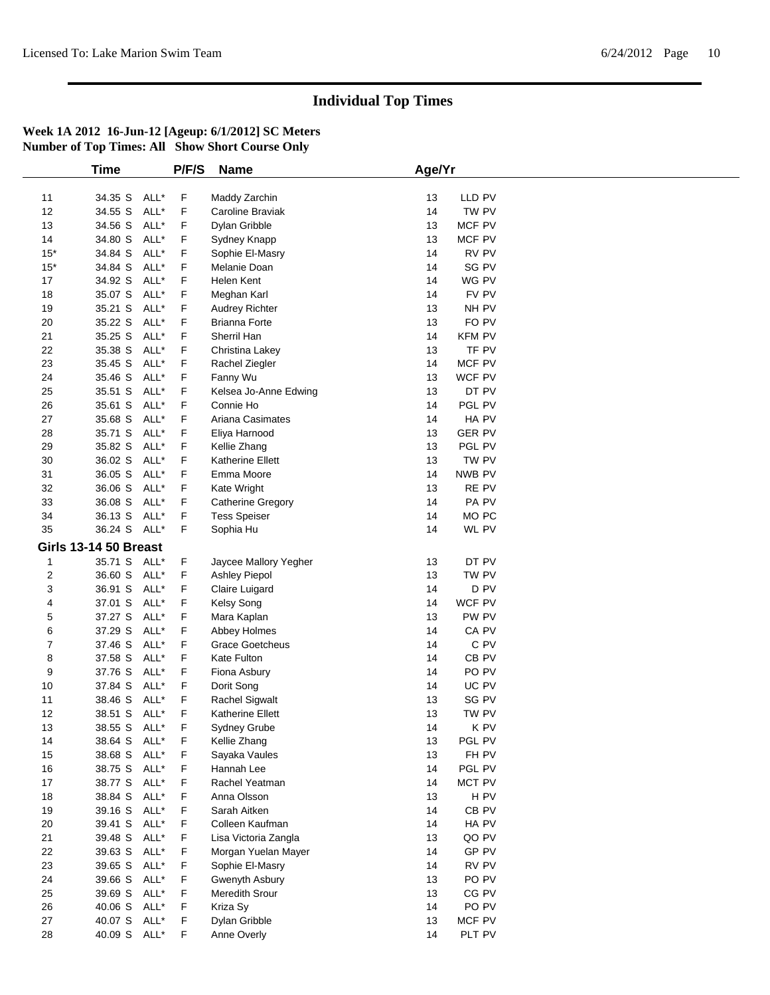|                | <b>Time</b>                  |      | P/F/S | <b>Name</b>             | Age/Yr |                  |  |
|----------------|------------------------------|------|-------|-------------------------|--------|------------------|--|
|                |                              |      |       |                         |        |                  |  |
| 11             | 34.35 S                      | ALL* | F     | Maddy Zarchin           | 13     | LLD PV           |  |
| 12             | 34.55 S                      | ALL* | F     | Caroline Braviak        | 14     | TW PV            |  |
| 13             | 34.56 S                      | ALL* | F     | Dylan Gribble           | 13     | MCF PV           |  |
| 14             | 34.80 S                      | ALL* | F     | Sydney Knapp            | 13     | MCF PV           |  |
| $15*$          | 34.84 S                      | ALL* | F     | Sophie El-Masry         | 14     | RV PV            |  |
| $15*$          | 34.84 S                      | ALL* | F     | Melanie Doan            | 14     | SG PV            |  |
| 17             | 34.92 S                      | ALL* | F     | Helen Kent              | 14     | WG PV            |  |
| 18             | 35.07 S                      | ALL* | F     | Meghan Karl             | 14     | FV PV            |  |
| 19             | 35.21 S                      | ALL* | F     | <b>Audrey Richter</b>   | 13     | NH PV            |  |
| 20             | 35.22 S                      | ALL* | F     | <b>Brianna Forte</b>    | 13     | FO PV            |  |
| 21             | 35.25 S                      | ALL* | F     | Sherril Han             | 14     | <b>KFM PV</b>    |  |
| 22             | 35.38 S                      | ALL* | F     | Christina Lakey         | 13     | TF PV            |  |
| 23             | 35.45 S                      | ALL* | F     | Rachel Ziegler          | 14     | MCF PV           |  |
| 24             | 35.46 S                      | ALL* | F     |                         | 13     | WCF PV           |  |
|                |                              |      |       | Fanny Wu                |        |                  |  |
| 25             | 35.51 S                      | ALL* | F     | Kelsea Jo-Anne Edwing   | 13     | DT PV            |  |
| 26             | 35.61 S                      | ALL* | F     | Connie Ho               | 14     | PGL PV           |  |
| 27             | 35.68 S                      | ALL* | F     | Ariana Casimates        | 14     | HA PV            |  |
| 28             | 35.71 S                      | ALL* | F     | Eliya Harnood           | 13     | <b>GER PV</b>    |  |
| 29             | 35.82 S                      | ALL* | F     | Kellie Zhang            | 13     | PGL PV           |  |
| 30             | 36.02 S                      | ALL* | F     | Katherine Ellett        | 13     | TW PV            |  |
| 31             | 36.05 S                      | ALL* | F     | Emma Moore              | 14     | NWB PV           |  |
| 32             | 36.06 S                      | ALL* | F     | Kate Wright             | 13     | RE PV            |  |
| 33             | 36.08 S                      | ALL* | F     | Catherine Gregory       | 14     | PA PV            |  |
| 34             | 36.13 S                      | ALL* | F     | <b>Tess Speiser</b>     | 14     | MO PC            |  |
| 35             | 36.24 S ALL*                 |      | F     | Sophia Hu               | 14     | WL PV            |  |
|                | <b>Girls 13-14 50 Breast</b> |      |       |                         |        |                  |  |
| 1              | 35.71 S ALL*                 |      | F     | Jaycee Mallory Yegher   | 13     | DT PV            |  |
| $\overline{2}$ | 36.60 S ALL*                 |      | F     | Ashley Piepol           | 13     | TW PV            |  |
| 3              | 36.91 S                      | ALL* | F     | Claire Luigard          | 14     | D <sub>PV</sub>  |  |
| 4              | 37.01 S                      | ALL* | F     | Kelsy Song              | 14     | WCF PV           |  |
| 5              | 37.27 S                      | ALL* | F     | Mara Kaplan             | 13     | PW PV            |  |
|                |                              | ALL* |       |                         |        |                  |  |
| 6              | 37.29 S<br>37.46 S           | ALL* | F     | Abbey Holmes            | 14     | CA PV<br>C PV    |  |
| 7              |                              |      | F     | <b>Grace Goetcheus</b>  | 14     |                  |  |
| 8              | 37.58 S                      | ALL* | F     | Kate Fulton             | 14     | CB PV            |  |
| 9              | 37.76 S                      | ALL* | F     | Fiona Asbury            | 14     | PO <sub>PV</sub> |  |
| 10             | 37.84 S                      | ALL* | F     | Dorit Song              | 14     | UC PV            |  |
| 11             | 38.46 S                      | ALL* | F     | <b>Rachel Sigwalt</b>   | 13     | SG PV            |  |
| 12             | 38.51 S                      | ALL* | F     | <b>Katherine Ellett</b> | 13     | TW PV            |  |
| 13             | 38.55 S ALL*                 |      | F     | Sydney Grube            | 14     | K PV             |  |
| 14             | 38.64 S ALL*                 |      | F     | Kellie Zhang            | 13     | PGL PV           |  |
| 15             | 38.68 S ALL*                 |      | F.    | Sayaka Vaules           | 13     | FH PV            |  |
| 16             | 38.75 S                      | ALL* | F     | Hannah Lee              | 14     | PGL PV           |  |
| $17$           | 38.77 S ALL*                 |      | F     | Rachel Yeatman          | 14     | MCT PV           |  |
| 18             | 38.84 S                      | ALL* | F     | Anna Olsson             | 13     | H <sub>PV</sub>  |  |
| 19             | 39.16 S                      | ALL* | F     | Sarah Aitken            | 14     | CB PV            |  |
| 20             | 39.41 S ALL*                 |      | F     | Colleen Kaufman         | 14     | HA PV            |  |
| 21             | 39.48 S                      | ALL* | F     | Lisa Victoria Zangla    | 13     | QO PV            |  |
| 22             | 39.63 S                      | ALL* | F     | Morgan Yuelan Mayer     | 14     | GP PV            |  |
| 23             | 39.65 S                      | ALL* | F     | Sophie El-Masry         | 14     | RV PV            |  |
| 24             | 39.66 S                      | ALL* | F     | Gwenyth Asbury          | 13     | PO <sub>PV</sub> |  |
| 25             | 39.69 S                      | ALL* | F     | Meredith Srour          | 13     | CG PV            |  |
| 26             | 40.06 S ALL*                 |      | F.    | Kriza Sy                | 14     | PO PV            |  |
| 27             | 40.07 S ALL*                 |      | F     | Dylan Gribble           | 13     | MCF PV           |  |
| 28             | 40.09 S ALL*                 |      | F     | Anne Overly             | 14     | PLT PV           |  |
|                |                              |      |       |                         |        |                  |  |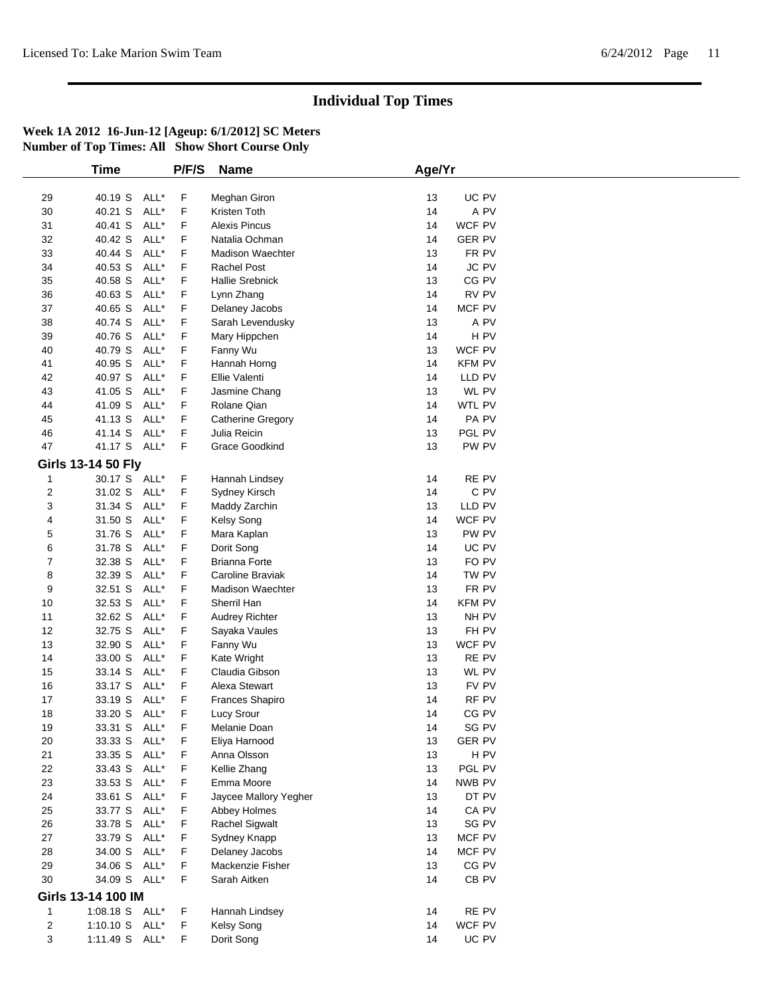|                         | <b>Time</b>               |      | P/F/S | <b>Name</b>                           | Age/Yr   |                  |  |
|-------------------------|---------------------------|------|-------|---------------------------------------|----------|------------------|--|
|                         |                           |      |       |                                       |          |                  |  |
| 29                      | 40.19 S ALL*              |      | F     | Meghan Giron                          | 13       | UC PV            |  |
| 30                      | 40.21 S                   | ALL* | F     | Kristen Toth                          | 14       | A PV             |  |
| 31                      | 40.41 S                   | ALL* | F     | <b>Alexis Pincus</b>                  | 14       | WCF PV           |  |
| 32                      | 40.42 S                   | ALL* | F     | Natalia Ochman                        | 14       | <b>GER PV</b>    |  |
| 33                      | 40.44 S                   | ALL* | F     | Madison Waechter                      | 13       | FR PV            |  |
| 34                      | 40.53 S                   | ALL* | F     | Rachel Post                           | 14       | JC PV            |  |
| 35                      | 40.58 S                   | ALL* | F     | <b>Hallie Srebnick</b>                | 13       | CG PV            |  |
| 36                      | 40.63 S                   | ALL* | F     | Lynn Zhang                            | 14       | RV PV            |  |
| 37                      | 40.65 S                   | ALL* | F     | Delaney Jacobs                        | 14       | MCF PV           |  |
| 38                      | 40.74 S                   | ALL* | F     | Sarah Levendusky                      | 13       | A PV             |  |
| 39                      | 40.76 S                   | ALL* | F     | Mary Hippchen                         | 14       | H <sub>PV</sub>  |  |
| 40                      | 40.79 S                   | ALL* | F     | Fanny Wu                              | 13       | WCF PV           |  |
| 41                      | 40.95 S                   | ALL* | F     | Hannah Horng                          | 14       | <b>KFM PV</b>    |  |
| 42                      | 40.97 S                   | ALL* | F     | Ellie Valenti                         | 14       | LLD PV           |  |
| 43                      | 41.05 S                   | ALL* | F     | Jasmine Chang                         | 13       | WL PV            |  |
| 44                      | 41.09 S                   | ALL* | F     | Rolane Qian                           | 14       | WTL PV           |  |
| 45                      | 41.13 S                   | ALL* | F     | Catherine Gregory                     | 14       | PA PV            |  |
|                         |                           | ALL* | F     |                                       |          |                  |  |
| 46<br>47                | 41.14 S                   |      |       | Julia Reicin<br><b>Grace Goodkind</b> | 13<br>13 | PGL PV           |  |
|                         | 41.17 S ALL*              |      | F     |                                       |          | PW PV            |  |
|                         | <b>Girls 13-14 50 Fly</b> |      |       |                                       |          |                  |  |
| $\mathbf{1}$            | 30.17 S ALL*              |      | F     | Hannah Lindsey                        | 14       | RE PV            |  |
| 2                       | 31.02 S ALL*              |      | F     | Sydney Kirsch                         | 14       | C PV             |  |
| 3                       | 31.34 S                   | ALL* | F     | Maddy Zarchin                         | 13       | LLD PV           |  |
| 4                       | 31.50 S                   | ALL* | F     | Kelsy Song                            | 14       | WCF PV           |  |
| 5                       | 31.76 S                   | ALL* | F     | Mara Kaplan                           | 13       | PW PV            |  |
| 6                       | 31.78 S                   | ALL* | F     | Dorit Song                            | 14       | UC PV            |  |
| 7                       | 32.38 S                   | ALL* | F     | <b>Brianna Forte</b>                  | 13       | FO PV            |  |
| 8                       | 32.39 S                   | ALL* | F     | Caroline Braviak                      | 14       | TW PV            |  |
| 9                       | 32.51 S                   | ALL* | F     | <b>Madison Waechter</b>               | 13       | FR PV            |  |
| 10                      | 32.53 S                   | ALL* | F     | Sherril Han                           | 14       | <b>KFM PV</b>    |  |
| 11                      | 32.62 S                   | ALL* | F     | <b>Audrey Richter</b>                 | 13       | NH PV            |  |
| 12                      | 32.75 S                   | ALL* | F     | Sayaka Vaules                         | 13       | FH PV            |  |
| 13                      | 32.90 S                   | ALL* | F     | Fanny Wu                              | 13       | WCF PV           |  |
| 14                      | 33.00 S                   | ALL* | F     | Kate Wright                           | 13       | RE PV            |  |
| 15                      | 33.14 S                   | ALL* | F     | Claudia Gibson                        | 13       | WL PV            |  |
| 16                      | 33.17 S                   | ALL* | F     | Alexa Stewart                         | 13       | FV PV            |  |
| 17                      | 33.19 S                   | ALL* | F     | Frances Shapiro                       | 14       | RF PV            |  |
| 18                      | 33.20 S                   | ALL* | F     | <b>Lucy Srour</b>                     | 14       | CG PV            |  |
| 19                      | 33.31 S ALL*              |      | F     | Melanie Doan                          | 14       | SG PV            |  |
| 20                      |                           |      | F     |                                       |          | <b>GER PV</b>    |  |
|                         | 33.33 S ALL*              |      |       | Eliya Harnood                         | 13       | H PV             |  |
| 21                      | 33.35 S ALL*              |      | F     | Anna Olsson                           | 13       |                  |  |
| 22                      | 33.43 S ALL*              |      | F     | Kellie Zhang                          | 13       | PGL PV           |  |
| 23                      | 33.53 S ALL*              |      | F     | Emma Moore                            | 14       | NWB PV           |  |
| 24                      | 33.61 S ALL*              |      | F     | Jaycee Mallory Yegher                 | 13       | DT PV            |  |
| 25                      | 33.77 S                   | ALL* | F     | Abbey Holmes                          | 14       | CA PV            |  |
| 26                      | 33.78 S ALL*              |      | F     | Rachel Sigwalt                        | 13       | SG PV            |  |
| 27                      | 33.79 S ALL*              |      | F     | Sydney Knapp                          | 13       | MCF PV           |  |
| 28                      | 34.00 S                   | ALL* | F     | Delaney Jacobs                        | 14       | MCF PV           |  |
| 29                      | 34.06 S ALL*              |      | F     | Mackenzie Fisher                      | 13       | CG PV            |  |
| $30\,$                  | 34.09 S ALL*              |      | F     | Sarah Aitken                          | 14       | CB <sub>PV</sub> |  |
|                         | Girls 13-14 100 IM        |      |       |                                       |          |                  |  |
| 1                       | 1:08.18 S ALL*            |      | F     | Hannah Lindsey                        | 14       | RE PV            |  |
| $\overline{\mathbf{c}}$ | 1:10.10 S ALL*            |      | F     | Kelsy Song                            | 14       | WCF PV           |  |
|                         |                           |      |       |                                       | 14       |                  |  |
| 3                       | 1:11.49 S ALL*            |      | F.    | Dorit Song                            |          | UC PV            |  |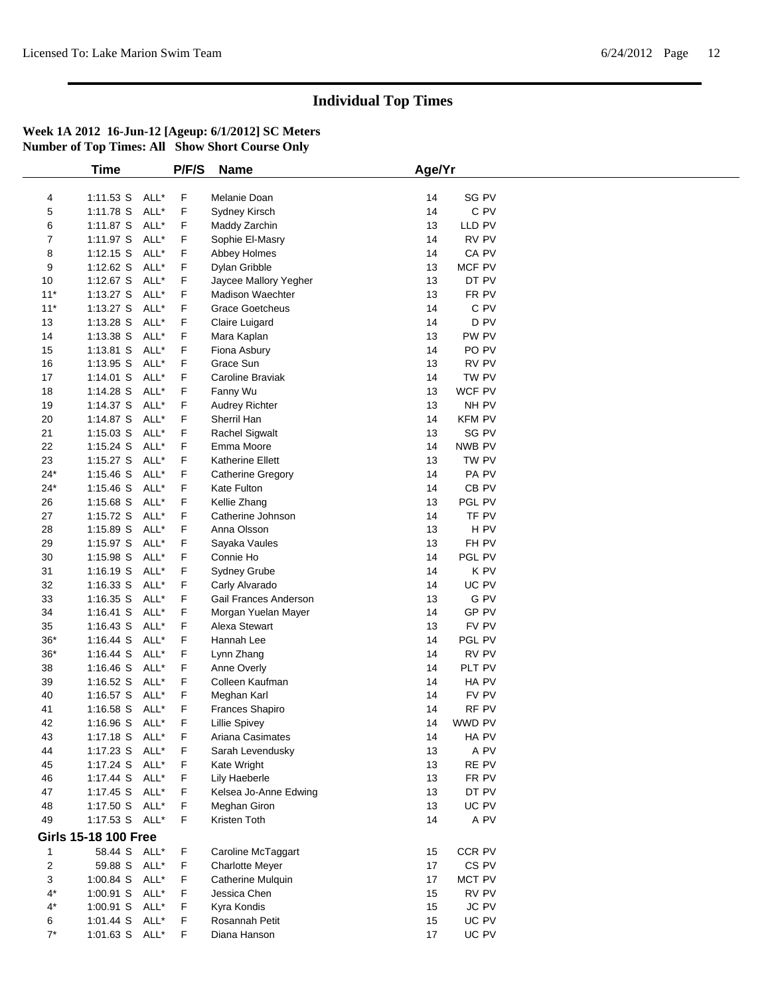|                         | Time                        |      | P/F/S | <b>Name</b>             | Age/Yr |                  |  |
|-------------------------|-----------------------------|------|-------|-------------------------|--------|------------------|--|
|                         |                             |      |       |                         |        |                  |  |
| 4                       | 1:11.53 S ALL*              |      | F     | Melanie Doan            | 14     | SG PV            |  |
| 5                       | 1:11.78 S                   | ALL* | F     | Sydney Kirsch           | 14     | C PV             |  |
| 6                       | $1:11.87$ S                 | ALL* | F     | Maddy Zarchin           | 13     | LLD PV           |  |
| 7                       | 1:11.97 S                   | ALL* | F     | Sophie El-Masry         | 14     | RV PV            |  |
| 8                       | $1:12.15$ S                 | ALL* | F     | Abbey Holmes            | 14     | CA PV            |  |
| 9                       | $1:12.62$ S                 | ALL* | F     | Dylan Gribble           | 13     | MCF PV           |  |
| 10                      | 1:12.67 S ALL*              |      | F     | Jaycee Mallory Yegher   | 13     | DT PV            |  |
| $11*$                   | $1:13.27$ S                 | ALL* | F     | <b>Madison Waechter</b> | 13     | FR PV            |  |
| $11*$                   | $1:13.27$ S                 | ALL* | F     | <b>Grace Goetcheus</b>  | 14     | C PV             |  |
| 13                      | $1:13.28$ S                 | ALL* | F     | Claire Luigard          | 14     | D <sub>PV</sub>  |  |
| 14                      | 1:13.38 S                   | ALL* | F     | Mara Kaplan             | 13     | PW PV            |  |
| 15                      | 1:13.81 S                   | ALL* | F     | Fiona Asbury            | 14     | PO <sub>PV</sub> |  |
| 16                      | 1:13.95 S                   | ALL* | F     | Grace Sun               | 13     | RV PV            |  |
| 17                      | $1:14.01$ S                 | ALL* | F     | Caroline Braviak        | 14     | TW PV            |  |
| 18                      | 1:14.28 S                   | ALL* | F     | Fanny Wu                | 13     | WCF PV           |  |
| 19                      | $1:14.37$ S                 | ALL* | F     | Audrey Richter          | 13     | NH PV            |  |
| 20                      | 1:14.87 S                   | ALL* | F     | Sherril Han             | 14     | <b>KFM PV</b>    |  |
| 21                      | $1:15.03$ S                 | ALL* | F     | <b>Rachel Sigwalt</b>   | 13     | SG PV            |  |
| 22                      | $1:15.24$ S                 | ALL* | F     | Emma Moore              | 14     | NWB PV           |  |
| 23                      | $1:15.27$ S                 | ALL* | F     | Katherine Ellett        | 13     | TW PV            |  |
| $24*$                   | $1:15.46$ S                 | ALL* | F     | Catherine Gregory       | 14     | PA PV            |  |
| $24*$                   | $1:15.46$ S                 | ALL* | F     | Kate Fulton             | 14     | CB <sub>PV</sub> |  |
| 26                      | 1:15.68 S                   | ALL* | F     | Kellie Zhang            | 13     | PGL PV           |  |
| 27                      | 1:15.72 S                   | ALL* | F     | Catherine Johnson       | 14     | TF PV            |  |
| 28                      | 1:15.89 S                   | ALL* | F     | Anna Olsson             | 13     | H PV             |  |
| 29                      | $1:15.97$ S                 | ALL* | F     | Sayaka Vaules           | 13     | FH PV            |  |
| 30                      | 1:15.98 S                   | ALL* | F     | Connie Ho               | 14     | PGL PV           |  |
| 31                      | 1:16.19 S                   | ALL* | F     | Sydney Grube            | 14     | K PV             |  |
| 32                      | $1:16.33$ S                 | ALL* | F     | Carly Alvarado          | 14     | UC PV            |  |
| 33                      | $1:16.35$ S                 | ALL* | F     | Gail Frances Anderson   | 13     | G PV             |  |
| 34                      | 1:16.41 S ALL*              |      | F     | Morgan Yuelan Mayer     | 14     | GP PV            |  |
| 35                      | $1:16.43$ S                 | ALL* | F     | Alexa Stewart           | 13     | FV PV            |  |
| $36*$                   | $1:16.44$ S                 | ALL* | F     | Hannah Lee              | 14     | PGL PV           |  |
| $36*$                   | $1:16.44$ S                 | ALL* | F     | Lynn Zhang              | 14     | RV PV            |  |
| 38                      | $1:16.46$ S                 | ALL* | F     | Anne Overly             | 14     | PLT PV           |  |
| 39                      | $1:16.52$ S                 | ALL* | F     | Colleen Kaufman         | 14     | HA PV            |  |
| 40                      | $1:16.57$ S                 | ALL* | F     | Meghan Karl             | 14     | FV PV            |  |
| 41                      | $1:16.58$ S                 | ALL* | F     | Frances Shapiro         | 14     | RF PV            |  |
| 42                      | 1:16.96 S                   | ALL* | F     | <b>Lillie Spivey</b>    | 14     | WWD PV           |  |
| 43                      | 1:17.18 S ALL*              |      | F     | Ariana Casimates        | 14     | HA PV            |  |
| 44                      | 1:17.23 S ALL*              |      | F     | Sarah Levendusky        | 13     | A PV             |  |
| 45                      | $1:17.24$ S                 | ALL* | F     | Kate Wright             | 13     | RE PV            |  |
| 46                      | 1:17.44 S ALL*              |      | F     | Lily Haeberle           | 13     | FR PV            |  |
| 47                      | 1:17.45 S ALL*              |      | F     | Kelsea Jo-Anne Edwing   | 13     | DT PV            |  |
| 48                      | 1:17.50 S ALL*              |      | F     | Meghan Giron            | 13     | UC PV            |  |
| 49                      | 1:17.53 S ALL*              |      | F     | Kristen Toth            | 14     | A PV             |  |
|                         |                             |      |       |                         |        |                  |  |
|                         | <b>Girls 15-18 100 Free</b> |      |       |                         |        |                  |  |
| $\mathbf{1}$            | 58.44 S ALL*                |      | F     | Caroline McTaggart      | 15     | CCR PV           |  |
| $\overline{\mathbf{c}}$ | 59.88 S ALL*                |      | F     | <b>Charlotte Meyer</b>  | 17     | CS PV            |  |
| 3                       | 1:00.84 S ALL*              |      | F     | Catherine Mulquin       | 17     | <b>MCT PV</b>    |  |
| $4^*$                   | 1:00.91 S ALL*              |      | F     | Jessica Chen            | 15     | RV PV            |  |
| 4*                      | 1:00.91 S ALL*              |      | F     | Kyra Kondis             | 15     | JC PV            |  |
| 6                       | 1:01.44 S ALL*              |      | F     | Rosannah Petit          | 15     | UC PV            |  |
| $7^*$                   | 1:01.63 S ALL*              |      | F     | Diana Hanson            | 17     | UC PV            |  |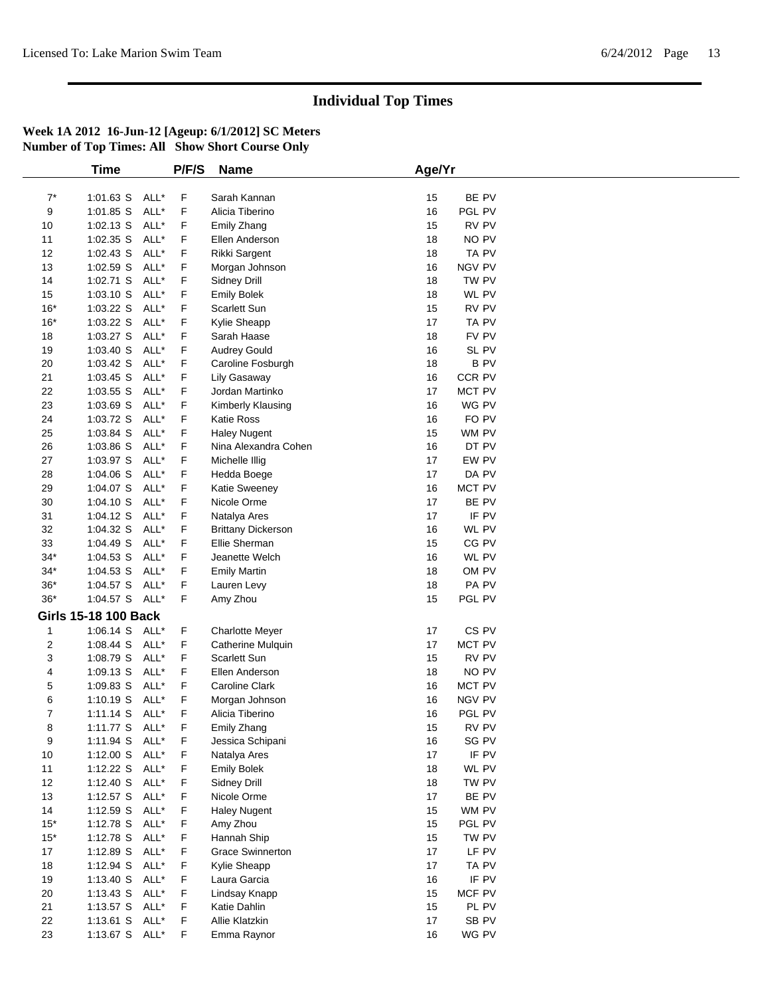|       | Time                        |      | P/F/S | <b>Name</b>               | Age/Yr                 |
|-------|-----------------------------|------|-------|---------------------------|------------------------|
|       |                             |      |       |                           |                        |
| $7^*$ | $1:01.63$ S                 | ALL* | F     | Sarah Kannan              | BE PV<br>15            |
| 9     | 1:01.85 S                   | ALL* | F     | Alicia Tiberino           | 16<br>PGL PV           |
| 10    | $1:02.13$ S                 | ALL* | F     | Emily Zhang               | 15<br>RV PV            |
| 11    | 1:02.35 S                   | ALL* | F     | Ellen Anderson            | NO PV<br>18            |
| 12    | 1:02.43 S                   | ALL* | F     | Rikki Sargent             | TA PV<br>18            |
| 13    | 1:02.59 S                   | ALL* | F     | Morgan Johnson            | 16<br>NGV PV           |
| 14    | 1:02.71 S                   | ALL* | F     | Sidney Drill              | TW PV<br>18            |
| 15    | 1:03.10 S                   | ALL* | F     | <b>Emily Bolek</b>        | 18<br>WL PV            |
| $16*$ | 1:03.22 S                   | ALL* | F     | Scarlett Sun              | 15<br>RV PV            |
| $16*$ | 1:03.22 S                   | ALL* | F     | Kylie Sheapp              | 17<br>TA PV            |
| 18    | 1:03.27 S                   | ALL* | F     | Sarah Haase               | 18<br>FV PV            |
| 19    | 1:03.40 S                   | ALL* | F     | <b>Audrey Gould</b>       | 16<br>SL PV            |
| 20    | 1:03.42 S                   | ALL* | F     | Caroline Fosburgh         | <b>BPV</b><br>18       |
| 21    | 1:03.45 S                   | ALL* | F     | Lily Gasaway              | CCR PV<br>16           |
| 22    | $1:03.55$ S                 | ALL* | F     | Jordan Martinko           | 17<br>MCT PV           |
|       |                             |      |       |                           |                        |
| 23    | 1:03.69 S                   | ALL* | F     | Kimberly Klausing         | WG PV<br>16            |
| 24    | 1:03.72 S                   | ALL* | F     | <b>Katie Ross</b>         | FO PV<br>16            |
| 25    | 1:03.84 S                   | ALL* | F     | <b>Haley Nugent</b>       | 15<br>WM PV            |
| 26    | 1:03.86 S                   | ALL* | F     | Nina Alexandra Cohen      | DT PV<br>16            |
| 27    | 1:03.97 S                   | ALL* | F     | Michelle Illig            | EW PV<br>17            |
| 28    | 1:04.06 S                   | ALL* | F     | Hedda Boege               | 17<br>DA PV            |
| 29    | 1:04.07 S                   | ALL* | F     | <b>Katie Sweeney</b>      | MCT PV<br>16           |
| 30    | 1:04.10 S                   | ALL* | F     | Nicole Orme               | 17<br>BE PV            |
| 31    | 1:04.12 S                   | ALL* | F     | Natalya Ares              | IF PV<br>17            |
| 32    | 1:04.32 S                   | ALL* | F     | <b>Brittany Dickerson</b> | WL PV<br>16            |
| 33    | 1:04.49 S                   | ALL* | F     | Ellie Sherman             | CG PV<br>15            |
| $34*$ | 1:04.53 S                   | ALL* | F     | Jeanette Welch            | 16<br>WL PV            |
| $34*$ | 1:04.53 S                   | ALL* | F     | <b>Emily Martin</b>       | OM PV<br>18            |
| $36*$ | 1:04.57 S                   | ALL* | F     | Lauren Levy               | PA PV<br>18            |
| $36*$ | 1:04.57 S ALL*              |      | F     | Amy Zhou                  | 15<br>PGL PV           |
|       | <b>Girls 15-18 100 Back</b> |      |       |                           |                        |
| 1     | $1:06.14$ S                 | ALL* | F     | <b>Charlotte Meyer</b>    | CS <sub>PV</sub><br>17 |
| 2     | $1:08.44$ S                 | ALL* | F     | <b>Catherine Mulquin</b>  | MCT PV<br>17           |
| 3     | 1:08.79 S                   | ALL* | F.    | <b>Scarlett Sun</b>       | RV PV<br>15            |
| 4     | 1:09.13 S                   | ALL* | F     | Ellen Anderson            | NO PV<br>18            |
| 5     | 1:09.83 S                   | ALL* | F     | Caroline Clark            | MCT PV<br>16           |
|       |                             | ALL* |       |                           |                        |
| 6     | $1:10.19$ S                 |      | F     | Morgan Johnson            | NGV PV<br>16           |
| 7     | $1:11.14$ S                 | ALL* | F     | Alicia Tiberino           | PGL PV<br>16           |
| 8     | 1:11.77 S ALL*              |      | F     | Emily Zhang               | 15<br>RV PV            |
| 9     | 1:11.94 S ALL*              |      | F     | Jessica Schipani          | SG PV<br>16            |
| 10    | 1:12.00 S ALL*              |      | F     | Natalya Ares              | IF PV<br>17            |
| 11    | $1:12.22$ S                 | ALL* | F     | <b>Emily Bolek</b>        | WL PV<br>18            |
| 12    | 1:12.40 S                   | ALL* | F     | Sidney Drill              | 18<br>TW PV            |
| 13    | $1:12.57$ S                 | ALL* | F     | Nicole Orme               | 17<br>BE PV            |
| 14    | $1:12.59$ S                 | ALL* | F     | <b>Haley Nugent</b>       | 15<br>WM PV            |
| $15*$ | 1:12.78 S                   | ALL* | F     | Amy Zhou                  | 15<br>PGL PV           |
| $15*$ | $1:12.78$ S                 | ALL* | F     | Hannah Ship               | 15<br>TW PV            |
| 17    | $1:12.89$ S                 | ALL* | F     | <b>Grace Swinnerton</b>   | LF PV<br>17            |
| 18    | $1:12.94$ S                 | ALL* | F     | Kylie Sheapp              | 17<br>TA PV            |
| 19    | 1:13.40 S                   | ALL* | F     | Laura Garcia              | IF PV<br>16            |
| 20    | $1:13.43$ S                 | ALL* | F     | Lindsay Knapp             | MCF PV<br>15           |
| 21    | 1:13.57 $S$                 | ALL* | F.    | Katie Dahlin              | 15<br>PL PV            |
| 22    | $1:13.61$ S                 | ALL* | F     | Allie Klatzkin            | SB PV<br>17            |
| 23    | 1:13.67 S ALL*              |      | F     | Emma Raynor               | WG PV<br>16            |
|       |                             |      |       |                           |                        |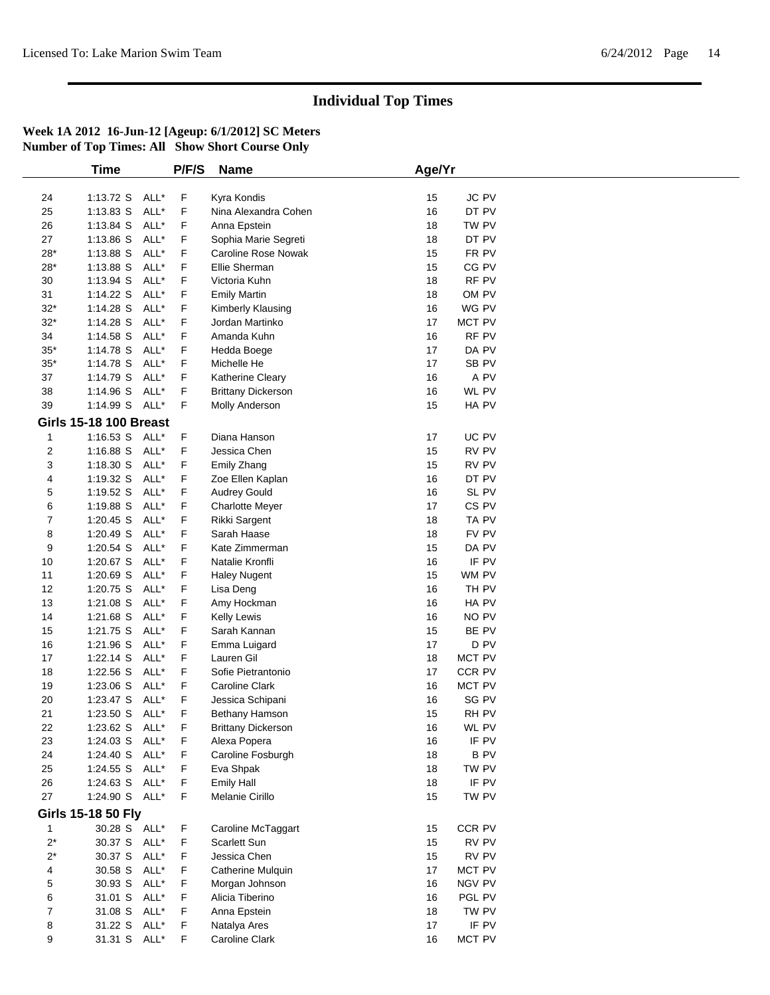|                | Time                          | P/F/S | <b>Name</b>                | Age/Yr |                  |  |
|----------------|-------------------------------|-------|----------------------------|--------|------------------|--|
|                |                               |       |                            |        |                  |  |
| 24             | 1:13.72 S ALL*                | F     | Kyra Kondis                | 15     | <b>JC PV</b>     |  |
| 25             | ALL*<br>$1:13.83$ S           | F     | Nina Alexandra Cohen       | 16     | DT PV            |  |
| 26             | 1:13.84 S<br>ALL*             | F     | Anna Epstein               | 18     | TW PV            |  |
| 27             | 1:13.86 S<br>ALL*             | F     | Sophia Marie Segreti       | 18     | DT PV            |  |
| $28*$          | 1:13.88 S<br>ALL*             | F     | <b>Caroline Rose Nowak</b> | 15     | FR PV            |  |
| $28*$          | 1:13.88 S<br>ALL*             | F     | Ellie Sherman              | 15     | CG PV            |  |
| 30             | ALL*<br>1:13.94 S             | F     | Victoria Kuhn              | 18     | RF PV            |  |
| 31             | 1:14.22 S<br>ALL*             | F     | <b>Emily Martin</b>        | 18     | OM PV            |  |
| $32*$          | 1:14.28 S<br>ALL*             | F     | Kimberly Klausing          | 16     | WG PV            |  |
| $32*$          | 1:14.28 S<br>ALL*             | F     | Jordan Martinko            | 17     | MCT PV           |  |
| 34             | 1:14.58 S<br>ALL*             | F     | Amanda Kuhn                | 16     | RF PV            |  |
| $35^{\ast}$    | 1:14.78 S<br>ALL*             | F     | Hedda Boege                | 17     | DA PV            |  |
| $35*$          | 1:14.78 S<br>ALL*             | F     | Michelle He                | 17     | SB <sub>PV</sub> |  |
| 37             | 1:14.79 S<br>ALL*             | F     | Katherine Cleary           | 16     | A PV             |  |
| 38             | 1:14.96 S<br>ALL*             | F     | <b>Brittany Dickerson</b>  | 16     | WL PV            |  |
| 39             | 1:14.99 S ALL*                | F     | Molly Anderson             | 15     | HA PV            |  |
|                | <b>Girls 15-18 100 Breast</b> |       |                            |        |                  |  |
| $\mathbf 1$    | 1:16.53 S ALL*                | F     | Diana Hanson               | 17     | UC PV            |  |
| 2              | 1:16.88 S ALL*                | F     | Jessica Chen               | 15     | RV PV            |  |
| 3              | $1:18.30$ S<br>ALL*           | F     | Emily Zhang                | 15     | RV PV            |  |
| 4              | 1:19.32 S<br>ALL*             | F     | Zoe Ellen Kaplan           | 16     | DT PV            |  |
| 5              | ALL*<br>1:19.52 S             | F     | <b>Audrey Gould</b>        | 16     | SL PV            |  |
| 6              | 1:19.88 S<br>ALL*             | F     | <b>Charlotte Meyer</b>     | 17     | CS <sub>PV</sub> |  |
| 7              | 1:20.45 S<br>ALL*             | F     | Rikki Sargent              | 18     | TA PV            |  |
| 8              | ALL*<br>1:20.49 S             | F     | Sarah Haase                | 18     | FV PV            |  |
| 9              | 1:20.54 S<br>ALL*             | F     | Kate Zimmerman             | 15     | DA PV            |  |
| 10             | 1:20.67 S<br>ALL*             | F     | Natalie Kronfli            | 16     | IF PV            |  |
| 11             | ALL*<br>1:20.69 S             | F     | <b>Haley Nugent</b>        | 15     | WM PV            |  |
| 12             | 1:20.75 S<br>ALL*             | F     | Lisa Deng                  | 16     | TH PV            |  |
| 13             | 1:21.08 S<br>ALL*             | F     | Amy Hockman                | 16     | HA PV            |  |
| 14             | ALL*<br>1:21.68 S             | F     | Kelly Lewis                | 16     | NO PV            |  |
| 15             | 1:21.75 S<br>ALL*             | F     | Sarah Kannan               | 15     | BE PV            |  |
| 16             | 1:21.96 S<br>ALL*             | F     | Emma Luigard               | 17     | D PV             |  |
| 17             | 1:22.14 S<br>ALL*             | F     | Lauren Gil                 | 18     | MCT PV           |  |
| 18             | 1:22.56 S<br>ALL*             | F     | Sofie Pietrantonio         | 17     | CCR PV           |  |
| 19             | 1:23.06 S<br>ALL*             | F     | Caroline Clark             | 16     | MCT PV           |  |
| 20             | ALL*<br>1:23.47 S             | F     | Jessica Schipani           | 16     | SG PV            |  |
| 21             | $1:23.50$ S<br>ALL*           | F     | Bethany Hamson             | 15     | RH PV            |  |
| 22             | 1:23.62 S ALL*                | F     | <b>Brittany Dickerson</b>  | 16     | WL PV            |  |
| 23             | 1:24.03 S ALL*                | F     | Alexa Popera               | 16     | IF PV            |  |
| 24             | 1:24.40 S ALL*                | F     | Caroline Fosburgh          | 18     | <b>BPV</b>       |  |
| 25             | 1:24.55 S ALL*                | F     | Eva Shpak                  | 18     | TW PV            |  |
| 26             | 1:24.63 S ALL*                | F     | <b>Emily Hall</b>          | 18     | IF PV            |  |
| 27             | 1:24.90 S ALL*                | F     | Melanie Cirillo            | 15     | TW PV            |  |
|                |                               |       |                            |        |                  |  |
|                | <b>Girls 15-18 50 Fly</b>     |       |                            |        |                  |  |
| 1              | 30.28 S ALL*                  | F     | Caroline McTaggart         | 15     | CCR PV           |  |
| $2^*$          | 30.37 S ALL*                  | F     | Scarlett Sun               | 15     | RV PV            |  |
| $2^*$          | 30.37 S<br>ALL*               | F     | Jessica Chen               | 15     | RV PV            |  |
| 4              | 30.58 S ALL*                  | F     | Catherine Mulquin          | 17     | MCT PV           |  |
| 5              | 30.93 S ALL*                  | F     | Morgan Johnson             | 16     | NGV PV           |  |
| 6              | 31.01 S ALL*                  | F     | Alicia Tiberino            | 16     | PGL PV           |  |
| $\overline{7}$ | 31.08 S ALL*                  | F     | Anna Epstein               | 18     | TW PV            |  |
| 8              | 31.22 S ALL*                  | F     | Natalya Ares               | 17     | IF PV            |  |
| 9              | 31.31 S ALL*                  | F     | Caroline Clark             | 16     | MCT PV           |  |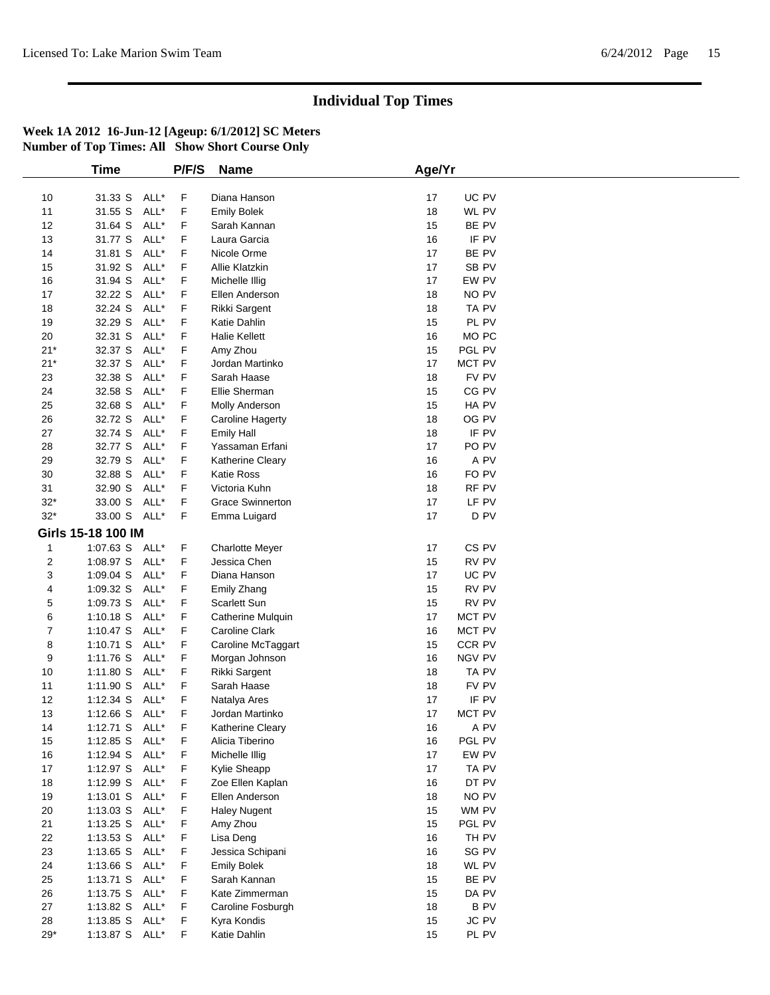|       | <b>Time</b>        |      | P/F/S | <b>Name</b>             | Age/Yr                 |
|-------|--------------------|------|-------|-------------------------|------------------------|
|       |                    |      |       |                         |                        |
| 10    | 31.33 S ALL*       |      | F     | Diana Hanson            | 17<br>UC PV            |
| 11    | 31.55 S            | ALL* | F     | <b>Emily Bolek</b>      | 18<br>WL PV            |
| 12    | 31.64 S            | ALL* | F     | Sarah Kannan            | BE PV<br>15            |
| 13    | 31.77 S            | ALL* | F     | Laura Garcia            | 16<br>IF PV            |
| 14    | 31.81 S            | ALL* | F     | Nicole Orme             | 17<br>BE PV            |
| 15    | 31.92 S            | ALL* | F     | Allie Klatzkin          | 17<br>SB PV            |
| 16    | 31.94 S            | ALL* | F     | Michelle Illig          | EW PV<br>17            |
| 17    | 32.22 S            | ALL* | F     | Ellen Anderson          | NO PV<br>18            |
| 18    | 32.24 S            | ALL* | F     | Rikki Sargent           | 18<br>TA PV            |
| 19    | 32.29 S            | ALL* | F     | Katie Dahlin            | 15<br>PL PV            |
| 20    | 32.31 S            | ALL* | F     | <b>Halie Kellett</b>    | 16<br>MO <sub>PC</sub> |
| $21*$ | 32.37 S            | ALL* | F     | Amy Zhou                | 15<br>PGL PV           |
| $21*$ | 32.37 S            | ALL* | F     | Jordan Martinko         | 17<br>MCT PV           |
| 23    | 32.38 S            | ALL* | F     | Sarah Haase             | FV PV<br>18            |
| 24    | 32.58 S            | ALL* | F     | Ellie Sherman           | 15<br>CG PV            |
| 25    | 32.68 S            | ALL* | F     |                         | 15<br>HA PV            |
| 26    | 32.72 S            | ALL* | F     | Molly Anderson          | 18<br>OG PV            |
|       |                    |      |       | <b>Caroline Hagerty</b> |                        |
| 27    | 32.74 S            | ALL* | F     | <b>Emily Hall</b>       | IF PV<br>18            |
| 28    | 32.77 S            | ALL* | F     | Yassaman Erfani         | PO <sub>PV</sub><br>17 |
| 29    | 32.79 S            | ALL* | F     | Katherine Cleary        | A PV<br>16             |
| 30    | 32.88 S            | ALL* | F     | Katie Ross              | FO PV<br>16            |
| 31    | 32.90 S            | ALL* | F     | Victoria Kuhn           | 18<br>RF PV            |
| $32*$ | 33.00 S            | ALL* | F     | <b>Grace Swinnerton</b> | 17<br>LF PV            |
| $32*$ | 33.00 S ALL*       |      | F     | Emma Luigard            | 17<br>D <sub>PV</sub>  |
|       | Girls 15-18 100 IM |      |       |                         |                        |
| 1     | 1:07.63 S ALL*     |      | F     | <b>Charlotte Meyer</b>  | CS <sub>PV</sub><br>17 |
| 2     | 1:08.97 S          | ALL* | F     | Jessica Chen            | 15<br>RV PV            |
| 3     | 1:09.04 S ALL*     |      | F     | Diana Hanson            | 17<br>UC PV            |
| 4     | 1:09.32 S          | ALL* | F     | Emily Zhang             | RV PV<br>15            |
| 5     | 1:09.73 S          | ALL* | F     | Scarlett Sun            | RV PV<br>15            |
| 6     | $1:10.18$ S        | ALL* | F     | Catherine Mulquin       | 17<br>MCT PV           |
| 7     | $1:10.47$ S        | ALL* | F     | Caroline Clark          | 16<br>MCT PV           |
| 8     | $1:10.71$ S        | ALL* | F     | Caroline McTaggart      | CCR PV<br>15           |
| 9     | 1:11.76 S ALL*     |      | F     | Morgan Johnson          | NGV PV<br>16           |
| 10    | 1:11.80 S          | ALL* | F     | Rikki Sargent           | TA PV<br>18            |
| 11    | 1:11.90 S          | ALL* | F     | Sarah Haase             | FV PV<br>18            |
| 12    | $1:12.34$ S        | ALL* | F     | Natalya Ares            | 17<br>IF PV            |
| 13    | 1:12.66 S ALL*     |      | F     | Jordan Martinko         | 17<br><b>MCT PV</b>    |
| 14    | 1:12.71 S ALL*     |      | F     | Katherine Cleary        | 16<br>A PV             |
| 15    | 1:12.85 S ALL*     |      | F     | Alicia Tiberino         | PGL PV<br>16           |
| 16    | 1:12.94 S ALL*     |      |       | Michelle Illig          | EW PV<br>17            |
| 17    | 1:12.97 S ALL*     |      | F.    |                         | TA PV<br>17            |
|       | 1:12.99 S ALL*     |      | F     | Kylie Sheapp            |                        |
| 18    |                    |      | F     | Zoe Ellen Kaplan        | 16<br>DT PV            |
| 19    | $1:13.01$ S        | ALL* | F     | Ellen Anderson          | NO PV<br>18            |
| 20    | $1:13.03$ S        | ALL* | F     | <b>Haley Nugent</b>     | WM PV<br>15            |
| 21    | 1:13.25 S ALL*     |      | F     | Amy Zhou                | PGL PV<br>15           |
| 22    | 1:13.53 S ALL*     |      | F     | Lisa Deng               | TH PV<br>16            |
| 23    | $1:13.65$ S        | ALL* | F     | Jessica Schipani        | SG PV<br>16            |
| 24    | 1:13.66 S ALL*     |      | F     | <b>Emily Bolek</b>      | 18<br>WL PV            |
| 25    | 1:13.71 S ALL*     |      | F     | Sarah Kannan            | BE PV<br>15            |
| 26    | 1:13.75 S ALL*     |      | F     | Kate Zimmerman          | 15<br>DA PV            |
| 27    | 1:13.82 S ALL*     |      | F     | Caroline Fosburgh       | <b>BPV</b><br>18       |
| 28    | 1:13.85 S ALL*     |      | F     | Kyra Kondis             | JC PV<br>15            |
| $29*$ | 1:13.87 S ALL*     |      | F     | Katie Dahlin            | PL PV<br>15            |
|       |                    |      |       |                         |                        |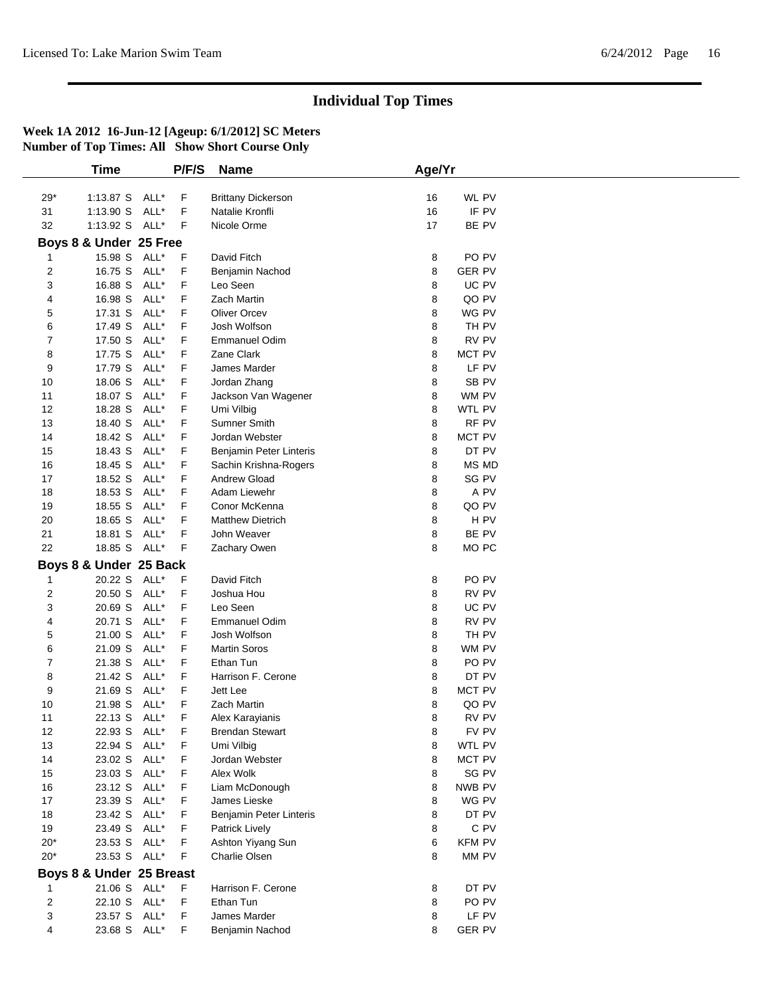|              | <b>Time</b>              |      | P/F/S       | <b>Name</b>               | Age/Yr |                  |  |
|--------------|--------------------------|------|-------------|---------------------------|--------|------------------|--|
|              |                          |      |             |                           |        |                  |  |
| $29^{\star}$ | 1:13.87 S ALL*           |      | F           | <b>Brittany Dickerson</b> | 16     | WL PV            |  |
| 31           | 1:13.90 S                | ALL* | F           | Natalie Kronfli           | 16     | IF PV            |  |
| 32           | 1:13.92 S ALL*           |      | F           | Nicole Orme               | 17     | BE PV            |  |
|              | Boys 8 & Under 25 Free   |      |             |                           |        |                  |  |
|              | 15.98 S ALL*             |      | F           | David Fitch               | 8      | PO <sub>PV</sub> |  |
| 2            | 16.75 S ALL*             |      | F           | Benjamin Nachod           | 8      | <b>GER PV</b>    |  |
| 3            | 16.88 S                  | ALL* | F           | Leo Seen                  | 8      | UC PV            |  |
| 4            | 16.98 S                  | ALL* | F           | <b>Zach Martin</b>        | 8      | QO PV            |  |
| 5            | 17.31 S                  | ALL* | F           | <b>Oliver Orcev</b>       | 8      | WG PV            |  |
| 6            | 17.49 S                  | ALL* | F           | Josh Wolfson              | 8      | TH PV            |  |
| 7            | 17.50 S                  | ALL* | F           | Emmanuel Odim             | 8      | RV PV            |  |
| 8            | 17.75 S                  | ALL* | F           | Zane Clark                | 8      | MCT PV           |  |
| 9            | 17.79 S                  | ALL* | F           | James Marder              | 8      | LF PV            |  |
| 10           | 18.06 S                  | ALL* | F           | Jordan Zhang              | 8      | SB <sub>PV</sub> |  |
| 11           | 18.07 S                  | ALL* | F           | Jackson Van Wagener       | 8      | WM PV            |  |
| 12           | 18.28 S                  | ALL* | F           | Umi Vilbig                | 8      | <b>WTL PV</b>    |  |
| 13           | 18.40 S                  | ALL* | F           | Sumner Smith              | 8      | RF PV            |  |
| 14           | 18.42 S                  | ALL* | F           | Jordan Webster            | 8      | MCT PV           |  |
| 15           | 18.43 S                  | ALL* | F           | Benjamin Peter Linteris   | 8      | DT PV            |  |
| 16           | 18.45 S                  | ALL* | F           | Sachin Krishna-Rogers     | 8      | MS MD            |  |
| 17           | 18.52 S                  | ALL* | F           | <b>Andrew Gload</b>       | 8      | SG PV            |  |
| 18           | 18.53 S ALL*             |      | F           | Adam Liewehr              | 8      | A PV             |  |
| 19           | 18.55 S                  | ALL* | F           | Conor McKenna             | 8      | QO PV            |  |
| 20           | 18.65 S                  | ALL* | F           | <b>Matthew Dietrich</b>   | 8      | H <sub>PV</sub>  |  |
| 21           | 18.81 S                  | ALL* | F           | John Weaver               | 8      | BE PV            |  |
| 22           | 18.85 S ALL*             |      | $\mathsf F$ | Zachary Owen              | 8      | MO PC            |  |
|              | Boys 8 & Under 25 Back   |      |             |                           |        |                  |  |
|              | 20.22 S ALL*             |      | F           | David Fitch               | 8      | PO <sub>PV</sub> |  |
| 2            | 20.50 S                  | ALL* | F           | Joshua Hou                | 8      | RV PV            |  |
| 3            | 20.69 S                  | ALL* | F           | Leo Seen                  | 8      | UC PV            |  |
| 4            | 20.71 S                  | ALL* | F           | <b>Emmanuel Odim</b>      | 8      | RV PV            |  |
| 5            | 21.00 S                  | ALL* | F           | Josh Wolfson              | 8      | TH PV            |  |
| 6            | 21.09 S                  | ALL* | F           | <b>Martin Soros</b>       | 8      | WM PV            |  |
| 7            | 21.38 S                  | ALL* | F           | Ethan Tun                 | 8      | PO <sub>PV</sub> |  |
| 8            | 21.42 S                  | ALL* | F           | Harrison F. Cerone        | 8      | DT PV            |  |
| 9            | 21.69 S                  | ALL* | F           | Jett Lee                  | 8      | MCT PV           |  |
| 10           | 21.98 S                  | ALL* | F           | <b>Zach Martin</b>        | 8      | QO PV            |  |
| 11           | 22.13 S ALL*             |      | F           | Alex Karayianis           | 8      | RV PV            |  |
| 12           | 22.93 S ALL*             |      | F           | <b>Brendan Stewart</b>    | 8      | FV PV            |  |
| 13           | 22.94 S                  | ALL* | F           | Umi Vilbig                | 8      | WTL PV           |  |
| 14           | 23.02 S                  | ALL* | F           | Jordan Webster            | 8      | MCT PV           |  |
| 15           | 23.03 S ALL*             |      | F           | Alex Wolk                 | 8      | SG PV            |  |
| 16           | 23.12 S ALL*             |      | F.          | Liam McDonough            | 8      | NWB PV           |  |
| 17           | 23.39 S ALL*             |      | F           | James Lieske              | 8      | WG PV            |  |
| 18           | 23.42 S                  | ALL* | F.          | Benjamin Peter Linteris   | 8      | DT PV            |  |
| 19           | 23.49 S                  | ALL* | F           | Patrick Lively            | 8      | C PV             |  |
| $20*$        | 23.53 S ALL*             |      | F           | Ashton Yiyang Sun         | 6      | <b>KFM PV</b>    |  |
| $20*$        | 23.53 S ALL*             |      | F           | Charlie Olsen             | 8      | MM PV            |  |
|              | Boys 8 & Under 25 Breast |      |             |                           |        |                  |  |
|              | 21.06 S ALL*             |      | F.          | Harrison F. Cerone        | 8      | DT PV            |  |
| 2            | 22.10 S ALL*             |      | F           | Ethan Tun                 | 8      | PO PV            |  |
| 3            | 23.57 S ALL*             |      | F           | James Marder              | 8      | LF PV            |  |
| 4            | 23.68 S ALL*             |      | F.          |                           | 8      | <b>GER PV</b>    |  |
|              |                          |      |             | Benjamin Nachod           |        |                  |  |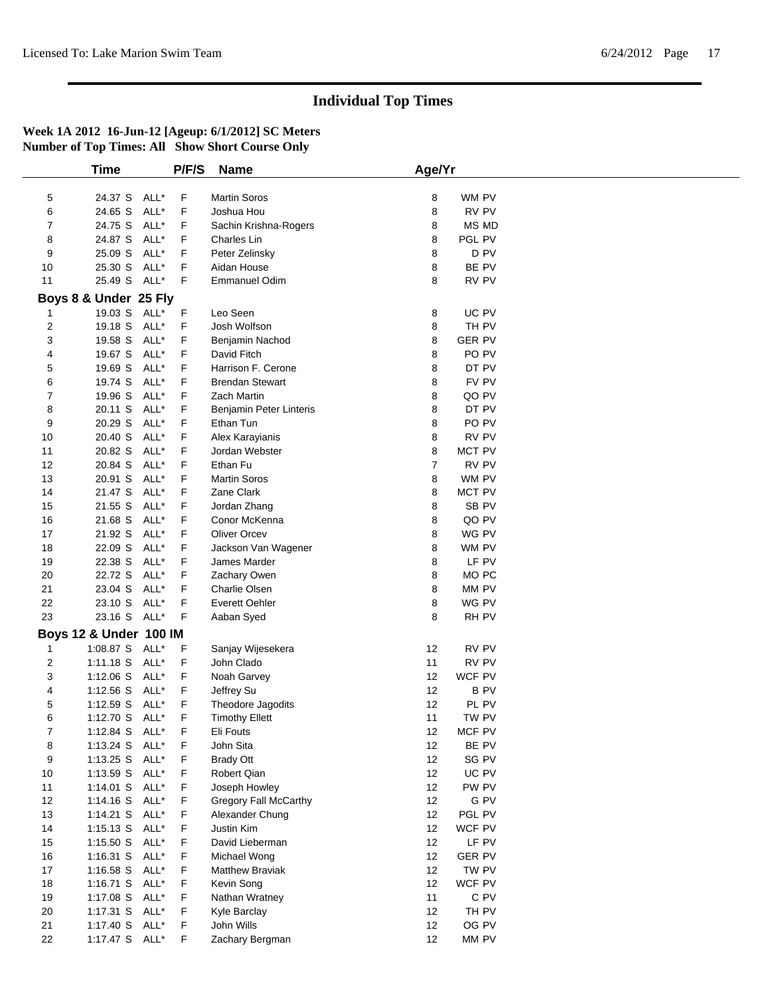| Martin Soros<br>24.37 S ALL*<br>F<br>WM PV<br>5<br>8<br>24.65 S<br>ALL*<br>F<br>8<br>RV PV<br>6<br>Joshua Hou<br>24.75 S<br>ALL*<br>F<br>8<br>MS MD<br>7<br>Sachin Krishna-Rogers<br>8<br>24.87 S<br>ALL*<br>F<br>8<br>PGL PV<br>Charles Lin<br>25.09 S<br>ALL*<br>F<br>8<br>D PV<br>9<br>Peter Zelinsky<br>BE PV<br>25.30 S<br>ALL*<br>F<br>8<br>10<br>Aidan House<br>25.49 S ALL*<br>F<br>8<br>RV PV<br>11<br><b>Emmanuel Odim</b><br>Boys 8 & Under 25 Fly<br>19.03 S ALL*<br>Leo Seen<br>UC PV<br>F<br>8<br>$\mathbf 1$<br>$\overline{2}$<br>19.18 S<br>ALL*<br>F<br>Josh Wolfson<br>8<br>TH PV<br>3<br>19.58 S<br>ALL*<br>F<br>8<br><b>GER PV</b><br>Benjamin Nachod<br>ALL*<br>F<br>8<br>PO PV<br>19.67 S<br>David Fitch<br>4<br>F<br>ALL*<br>DT PV<br>5<br>19.69 S<br>Harrison F. Cerone<br>8<br>ALL*<br>F<br>FV PV<br>19.74 S<br><b>Brendan Stewart</b><br>8<br>6<br>ALL*<br>$\overline{7}$<br>19.96 S<br>F<br>8<br>QO PV<br><b>Zach Martin</b><br>DT PV<br>20.11 S<br>ALL*<br>F<br>8<br>8<br>Benjamin Peter Linteris<br>20.29 S<br>ALL*<br>F<br>Ethan Tun<br>8<br>PO PV<br>9<br>20.40 S<br>ALL*<br>F<br>8<br>RV PV<br>10<br>Alex Karayianis<br>8<br>20.82 S<br>ALL*<br>F<br>MCT PV<br>11<br>Jordan Webster<br>$\boldsymbol{7}$<br>RV PV<br>12<br>20.84 S<br>ALL*<br>F<br>Ethan Fu<br>13<br>20.91 S<br>ALL*<br>F<br>8<br>WM PV<br><b>Martin Soros</b><br>21.47 S<br>ALL*<br>F<br>Zane Clark<br>8<br>MCT PV<br>14<br>15<br>21.55 S<br>ALL*<br>F<br>8<br>SB PV<br>Jordan Zhang<br>ALL*<br>F<br>8<br>QO PV<br>16<br>21.68 S<br>Conor McKenna<br>F<br>ALL*<br>Oliver Orcev<br>8<br>WG PV<br>17<br>21.92 S<br>8<br>18<br>22.09 S<br>ALL*<br>F<br>WM PV<br>Jackson Van Wagener<br>22.38 S ALL*<br>F<br>8<br>LF PV<br>19<br>James Marder<br>22.72 S ALL*<br>F<br>8<br>MO <sub>PC</sub><br>20<br>Zachary Owen<br>8<br>21<br>23.04 S<br>ALL*<br>F<br>Charlie Olsen<br>MM PV<br>8<br>23.10 S ALL*<br>F<br><b>Everett Oehler</b><br>WG PV<br>22<br>23<br>23.16 S<br>ALL*<br>8<br>RH PV<br>F<br>Aaban Syed<br>Boys 12 & Under 100 IM<br>1:08.87 S ALL*<br>RV PV<br>F<br>Sanjay Wijesekera<br>12<br>$\mathbf{1}$<br>1:11.18 S ALL*<br>F<br>John Clado<br>11<br>RV PV<br>$\overline{2}$<br>WCF PV<br>3<br>ALL*<br>F<br>12<br>$1:12.06$ S<br>Noah Garvey<br>ALL*<br>F<br>12<br><b>BPV</b><br>$1:12.56$ S<br>Jeffrey Su<br>4<br>$1:12.59$ S<br>ALL*<br>F<br>12<br>PL PV<br>5<br>Theodore Jagodits<br>1:12.70 S ALL*<br>F<br>TW PV<br><b>Timothy Ellett</b><br>11<br>6<br>7<br>1:12.84 S<br>ALL*<br>F<br>Eli Fouts<br>12<br>MCF PV<br>8<br>$1:13.24$ S<br>ALL*<br>F<br>John Sita<br>12<br>BE PV<br>1:13.25 S ALL*<br>SG PV<br>9<br>F<br><b>Brady Ott</b><br>12<br>1:13.59 S ALL*<br>F<br>Robert Qian<br>12<br>UC PV<br>10<br>PW PV<br>$1:14.01$ S<br>ALL*<br>F<br>Joseph Howley<br>12<br>11<br>G PV<br>12<br>1:14.16 S ALL*<br>F<br>Gregory Fall McCarthy<br>12<br>F<br>12<br>PGL PV<br>13<br>1:14.21 S ALL*<br>Alexander Chung<br>F<br>1:15.13 S ALL*<br>Justin Kim<br>12<br>WCF PV<br>14<br>12<br>1:15.50 S ALL*<br>F<br>David Lieberman<br>LF PV<br>15<br>16<br>1:16.31 S ALL*<br>F<br>12<br><b>GER PV</b><br>Michael Wong<br>12<br>TW PV<br>17<br>1:16.58 S ALL*<br>F<br>Matthew Braviak<br>WCF PV<br>1:16.71 S ALL*<br>F<br>Kevin Song<br>12<br>18<br>1:17.08 S ALL*<br>11<br>C PV<br>19<br>F<br>Nathan Wratney<br>12<br>20<br>1:17.31 S ALL*<br>F<br>TH PV<br>Kyle Barclay<br>21<br>1:17.40 S ALL*<br>F<br>John Wills<br>12<br>OG PV<br>1:17.47 S ALL* |    | <b>Time</b> | P/F/S | <b>Name</b>     | Age/Yr      |  |
|-----------------------------------------------------------------------------------------------------------------------------------------------------------------------------------------------------------------------------------------------------------------------------------------------------------------------------------------------------------------------------------------------------------------------------------------------------------------------------------------------------------------------------------------------------------------------------------------------------------------------------------------------------------------------------------------------------------------------------------------------------------------------------------------------------------------------------------------------------------------------------------------------------------------------------------------------------------------------------------------------------------------------------------------------------------------------------------------------------------------------------------------------------------------------------------------------------------------------------------------------------------------------------------------------------------------------------------------------------------------------------------------------------------------------------------------------------------------------------------------------------------------------------------------------------------------------------------------------------------------------------------------------------------------------------------------------------------------------------------------------------------------------------------------------------------------------------------------------------------------------------------------------------------------------------------------------------------------------------------------------------------------------------------------------------------------------------------------------------------------------------------------------------------------------------------------------------------------------------------------------------------------------------------------------------------------------------------------------------------------------------------------------------------------------------------------------------------------------------------------------------------------------------------------------------------------------------------------------------------------------------------------------------------------------------------------------------------------------------------------------------------------------------------------------------------------------------------------------------------------------------------------------------------------------------------------------------------------------------------------------------------------------------------------------------------------------------------------------------------------------------------------------------------------------------------------------------------------------------------------------------------------------------------------------------------------------------------------------------------------------------------------------------------------------------------------------------|----|-------------|-------|-----------------|-------------|--|
|                                                                                                                                                                                                                                                                                                                                                                                                                                                                                                                                                                                                                                                                                                                                                                                                                                                                                                                                                                                                                                                                                                                                                                                                                                                                                                                                                                                                                                                                                                                                                                                                                                                                                                                                                                                                                                                                                                                                                                                                                                                                                                                                                                                                                                                                                                                                                                                                                                                                                                                                                                                                                                                                                                                                                                                                                                                                                                                                                                                                                                                                                                                                                                                                                                                                                                                                                                                                                                                     |    |             |       |                 |             |  |
|                                                                                                                                                                                                                                                                                                                                                                                                                                                                                                                                                                                                                                                                                                                                                                                                                                                                                                                                                                                                                                                                                                                                                                                                                                                                                                                                                                                                                                                                                                                                                                                                                                                                                                                                                                                                                                                                                                                                                                                                                                                                                                                                                                                                                                                                                                                                                                                                                                                                                                                                                                                                                                                                                                                                                                                                                                                                                                                                                                                                                                                                                                                                                                                                                                                                                                                                                                                                                                                     |    |             |       |                 |             |  |
|                                                                                                                                                                                                                                                                                                                                                                                                                                                                                                                                                                                                                                                                                                                                                                                                                                                                                                                                                                                                                                                                                                                                                                                                                                                                                                                                                                                                                                                                                                                                                                                                                                                                                                                                                                                                                                                                                                                                                                                                                                                                                                                                                                                                                                                                                                                                                                                                                                                                                                                                                                                                                                                                                                                                                                                                                                                                                                                                                                                                                                                                                                                                                                                                                                                                                                                                                                                                                                                     |    |             |       |                 |             |  |
|                                                                                                                                                                                                                                                                                                                                                                                                                                                                                                                                                                                                                                                                                                                                                                                                                                                                                                                                                                                                                                                                                                                                                                                                                                                                                                                                                                                                                                                                                                                                                                                                                                                                                                                                                                                                                                                                                                                                                                                                                                                                                                                                                                                                                                                                                                                                                                                                                                                                                                                                                                                                                                                                                                                                                                                                                                                                                                                                                                                                                                                                                                                                                                                                                                                                                                                                                                                                                                                     |    |             |       |                 |             |  |
|                                                                                                                                                                                                                                                                                                                                                                                                                                                                                                                                                                                                                                                                                                                                                                                                                                                                                                                                                                                                                                                                                                                                                                                                                                                                                                                                                                                                                                                                                                                                                                                                                                                                                                                                                                                                                                                                                                                                                                                                                                                                                                                                                                                                                                                                                                                                                                                                                                                                                                                                                                                                                                                                                                                                                                                                                                                                                                                                                                                                                                                                                                                                                                                                                                                                                                                                                                                                                                                     |    |             |       |                 |             |  |
|                                                                                                                                                                                                                                                                                                                                                                                                                                                                                                                                                                                                                                                                                                                                                                                                                                                                                                                                                                                                                                                                                                                                                                                                                                                                                                                                                                                                                                                                                                                                                                                                                                                                                                                                                                                                                                                                                                                                                                                                                                                                                                                                                                                                                                                                                                                                                                                                                                                                                                                                                                                                                                                                                                                                                                                                                                                                                                                                                                                                                                                                                                                                                                                                                                                                                                                                                                                                                                                     |    |             |       |                 |             |  |
|                                                                                                                                                                                                                                                                                                                                                                                                                                                                                                                                                                                                                                                                                                                                                                                                                                                                                                                                                                                                                                                                                                                                                                                                                                                                                                                                                                                                                                                                                                                                                                                                                                                                                                                                                                                                                                                                                                                                                                                                                                                                                                                                                                                                                                                                                                                                                                                                                                                                                                                                                                                                                                                                                                                                                                                                                                                                                                                                                                                                                                                                                                                                                                                                                                                                                                                                                                                                                                                     |    |             |       |                 |             |  |
|                                                                                                                                                                                                                                                                                                                                                                                                                                                                                                                                                                                                                                                                                                                                                                                                                                                                                                                                                                                                                                                                                                                                                                                                                                                                                                                                                                                                                                                                                                                                                                                                                                                                                                                                                                                                                                                                                                                                                                                                                                                                                                                                                                                                                                                                                                                                                                                                                                                                                                                                                                                                                                                                                                                                                                                                                                                                                                                                                                                                                                                                                                                                                                                                                                                                                                                                                                                                                                                     |    |             |       |                 |             |  |
|                                                                                                                                                                                                                                                                                                                                                                                                                                                                                                                                                                                                                                                                                                                                                                                                                                                                                                                                                                                                                                                                                                                                                                                                                                                                                                                                                                                                                                                                                                                                                                                                                                                                                                                                                                                                                                                                                                                                                                                                                                                                                                                                                                                                                                                                                                                                                                                                                                                                                                                                                                                                                                                                                                                                                                                                                                                                                                                                                                                                                                                                                                                                                                                                                                                                                                                                                                                                                                                     |    |             |       |                 |             |  |
|                                                                                                                                                                                                                                                                                                                                                                                                                                                                                                                                                                                                                                                                                                                                                                                                                                                                                                                                                                                                                                                                                                                                                                                                                                                                                                                                                                                                                                                                                                                                                                                                                                                                                                                                                                                                                                                                                                                                                                                                                                                                                                                                                                                                                                                                                                                                                                                                                                                                                                                                                                                                                                                                                                                                                                                                                                                                                                                                                                                                                                                                                                                                                                                                                                                                                                                                                                                                                                                     |    |             |       |                 |             |  |
|                                                                                                                                                                                                                                                                                                                                                                                                                                                                                                                                                                                                                                                                                                                                                                                                                                                                                                                                                                                                                                                                                                                                                                                                                                                                                                                                                                                                                                                                                                                                                                                                                                                                                                                                                                                                                                                                                                                                                                                                                                                                                                                                                                                                                                                                                                                                                                                                                                                                                                                                                                                                                                                                                                                                                                                                                                                                                                                                                                                                                                                                                                                                                                                                                                                                                                                                                                                                                                                     |    |             |       |                 |             |  |
|                                                                                                                                                                                                                                                                                                                                                                                                                                                                                                                                                                                                                                                                                                                                                                                                                                                                                                                                                                                                                                                                                                                                                                                                                                                                                                                                                                                                                                                                                                                                                                                                                                                                                                                                                                                                                                                                                                                                                                                                                                                                                                                                                                                                                                                                                                                                                                                                                                                                                                                                                                                                                                                                                                                                                                                                                                                                                                                                                                                                                                                                                                                                                                                                                                                                                                                                                                                                                                                     |    |             |       |                 |             |  |
|                                                                                                                                                                                                                                                                                                                                                                                                                                                                                                                                                                                                                                                                                                                                                                                                                                                                                                                                                                                                                                                                                                                                                                                                                                                                                                                                                                                                                                                                                                                                                                                                                                                                                                                                                                                                                                                                                                                                                                                                                                                                                                                                                                                                                                                                                                                                                                                                                                                                                                                                                                                                                                                                                                                                                                                                                                                                                                                                                                                                                                                                                                                                                                                                                                                                                                                                                                                                                                                     |    |             |       |                 |             |  |
|                                                                                                                                                                                                                                                                                                                                                                                                                                                                                                                                                                                                                                                                                                                                                                                                                                                                                                                                                                                                                                                                                                                                                                                                                                                                                                                                                                                                                                                                                                                                                                                                                                                                                                                                                                                                                                                                                                                                                                                                                                                                                                                                                                                                                                                                                                                                                                                                                                                                                                                                                                                                                                                                                                                                                                                                                                                                                                                                                                                                                                                                                                                                                                                                                                                                                                                                                                                                                                                     |    |             |       |                 |             |  |
|                                                                                                                                                                                                                                                                                                                                                                                                                                                                                                                                                                                                                                                                                                                                                                                                                                                                                                                                                                                                                                                                                                                                                                                                                                                                                                                                                                                                                                                                                                                                                                                                                                                                                                                                                                                                                                                                                                                                                                                                                                                                                                                                                                                                                                                                                                                                                                                                                                                                                                                                                                                                                                                                                                                                                                                                                                                                                                                                                                                                                                                                                                                                                                                                                                                                                                                                                                                                                                                     |    |             |       |                 |             |  |
|                                                                                                                                                                                                                                                                                                                                                                                                                                                                                                                                                                                                                                                                                                                                                                                                                                                                                                                                                                                                                                                                                                                                                                                                                                                                                                                                                                                                                                                                                                                                                                                                                                                                                                                                                                                                                                                                                                                                                                                                                                                                                                                                                                                                                                                                                                                                                                                                                                                                                                                                                                                                                                                                                                                                                                                                                                                                                                                                                                                                                                                                                                                                                                                                                                                                                                                                                                                                                                                     |    |             |       |                 |             |  |
|                                                                                                                                                                                                                                                                                                                                                                                                                                                                                                                                                                                                                                                                                                                                                                                                                                                                                                                                                                                                                                                                                                                                                                                                                                                                                                                                                                                                                                                                                                                                                                                                                                                                                                                                                                                                                                                                                                                                                                                                                                                                                                                                                                                                                                                                                                                                                                                                                                                                                                                                                                                                                                                                                                                                                                                                                                                                                                                                                                                                                                                                                                                                                                                                                                                                                                                                                                                                                                                     |    |             |       |                 |             |  |
|                                                                                                                                                                                                                                                                                                                                                                                                                                                                                                                                                                                                                                                                                                                                                                                                                                                                                                                                                                                                                                                                                                                                                                                                                                                                                                                                                                                                                                                                                                                                                                                                                                                                                                                                                                                                                                                                                                                                                                                                                                                                                                                                                                                                                                                                                                                                                                                                                                                                                                                                                                                                                                                                                                                                                                                                                                                                                                                                                                                                                                                                                                                                                                                                                                                                                                                                                                                                                                                     |    |             |       |                 |             |  |
|                                                                                                                                                                                                                                                                                                                                                                                                                                                                                                                                                                                                                                                                                                                                                                                                                                                                                                                                                                                                                                                                                                                                                                                                                                                                                                                                                                                                                                                                                                                                                                                                                                                                                                                                                                                                                                                                                                                                                                                                                                                                                                                                                                                                                                                                                                                                                                                                                                                                                                                                                                                                                                                                                                                                                                                                                                                                                                                                                                                                                                                                                                                                                                                                                                                                                                                                                                                                                                                     |    |             |       |                 |             |  |
|                                                                                                                                                                                                                                                                                                                                                                                                                                                                                                                                                                                                                                                                                                                                                                                                                                                                                                                                                                                                                                                                                                                                                                                                                                                                                                                                                                                                                                                                                                                                                                                                                                                                                                                                                                                                                                                                                                                                                                                                                                                                                                                                                                                                                                                                                                                                                                                                                                                                                                                                                                                                                                                                                                                                                                                                                                                                                                                                                                                                                                                                                                                                                                                                                                                                                                                                                                                                                                                     |    |             |       |                 |             |  |
|                                                                                                                                                                                                                                                                                                                                                                                                                                                                                                                                                                                                                                                                                                                                                                                                                                                                                                                                                                                                                                                                                                                                                                                                                                                                                                                                                                                                                                                                                                                                                                                                                                                                                                                                                                                                                                                                                                                                                                                                                                                                                                                                                                                                                                                                                                                                                                                                                                                                                                                                                                                                                                                                                                                                                                                                                                                                                                                                                                                                                                                                                                                                                                                                                                                                                                                                                                                                                                                     |    |             |       |                 |             |  |
|                                                                                                                                                                                                                                                                                                                                                                                                                                                                                                                                                                                                                                                                                                                                                                                                                                                                                                                                                                                                                                                                                                                                                                                                                                                                                                                                                                                                                                                                                                                                                                                                                                                                                                                                                                                                                                                                                                                                                                                                                                                                                                                                                                                                                                                                                                                                                                                                                                                                                                                                                                                                                                                                                                                                                                                                                                                                                                                                                                                                                                                                                                                                                                                                                                                                                                                                                                                                                                                     |    |             |       |                 |             |  |
|                                                                                                                                                                                                                                                                                                                                                                                                                                                                                                                                                                                                                                                                                                                                                                                                                                                                                                                                                                                                                                                                                                                                                                                                                                                                                                                                                                                                                                                                                                                                                                                                                                                                                                                                                                                                                                                                                                                                                                                                                                                                                                                                                                                                                                                                                                                                                                                                                                                                                                                                                                                                                                                                                                                                                                                                                                                                                                                                                                                                                                                                                                                                                                                                                                                                                                                                                                                                                                                     |    |             |       |                 |             |  |
|                                                                                                                                                                                                                                                                                                                                                                                                                                                                                                                                                                                                                                                                                                                                                                                                                                                                                                                                                                                                                                                                                                                                                                                                                                                                                                                                                                                                                                                                                                                                                                                                                                                                                                                                                                                                                                                                                                                                                                                                                                                                                                                                                                                                                                                                                                                                                                                                                                                                                                                                                                                                                                                                                                                                                                                                                                                                                                                                                                                                                                                                                                                                                                                                                                                                                                                                                                                                                                                     |    |             |       |                 |             |  |
|                                                                                                                                                                                                                                                                                                                                                                                                                                                                                                                                                                                                                                                                                                                                                                                                                                                                                                                                                                                                                                                                                                                                                                                                                                                                                                                                                                                                                                                                                                                                                                                                                                                                                                                                                                                                                                                                                                                                                                                                                                                                                                                                                                                                                                                                                                                                                                                                                                                                                                                                                                                                                                                                                                                                                                                                                                                                                                                                                                                                                                                                                                                                                                                                                                                                                                                                                                                                                                                     |    |             |       |                 |             |  |
|                                                                                                                                                                                                                                                                                                                                                                                                                                                                                                                                                                                                                                                                                                                                                                                                                                                                                                                                                                                                                                                                                                                                                                                                                                                                                                                                                                                                                                                                                                                                                                                                                                                                                                                                                                                                                                                                                                                                                                                                                                                                                                                                                                                                                                                                                                                                                                                                                                                                                                                                                                                                                                                                                                                                                                                                                                                                                                                                                                                                                                                                                                                                                                                                                                                                                                                                                                                                                                                     |    |             |       |                 |             |  |
|                                                                                                                                                                                                                                                                                                                                                                                                                                                                                                                                                                                                                                                                                                                                                                                                                                                                                                                                                                                                                                                                                                                                                                                                                                                                                                                                                                                                                                                                                                                                                                                                                                                                                                                                                                                                                                                                                                                                                                                                                                                                                                                                                                                                                                                                                                                                                                                                                                                                                                                                                                                                                                                                                                                                                                                                                                                                                                                                                                                                                                                                                                                                                                                                                                                                                                                                                                                                                                                     |    |             |       |                 |             |  |
|                                                                                                                                                                                                                                                                                                                                                                                                                                                                                                                                                                                                                                                                                                                                                                                                                                                                                                                                                                                                                                                                                                                                                                                                                                                                                                                                                                                                                                                                                                                                                                                                                                                                                                                                                                                                                                                                                                                                                                                                                                                                                                                                                                                                                                                                                                                                                                                                                                                                                                                                                                                                                                                                                                                                                                                                                                                                                                                                                                                                                                                                                                                                                                                                                                                                                                                                                                                                                                                     |    |             |       |                 |             |  |
|                                                                                                                                                                                                                                                                                                                                                                                                                                                                                                                                                                                                                                                                                                                                                                                                                                                                                                                                                                                                                                                                                                                                                                                                                                                                                                                                                                                                                                                                                                                                                                                                                                                                                                                                                                                                                                                                                                                                                                                                                                                                                                                                                                                                                                                                                                                                                                                                                                                                                                                                                                                                                                                                                                                                                                                                                                                                                                                                                                                                                                                                                                                                                                                                                                                                                                                                                                                                                                                     |    |             |       |                 |             |  |
|                                                                                                                                                                                                                                                                                                                                                                                                                                                                                                                                                                                                                                                                                                                                                                                                                                                                                                                                                                                                                                                                                                                                                                                                                                                                                                                                                                                                                                                                                                                                                                                                                                                                                                                                                                                                                                                                                                                                                                                                                                                                                                                                                                                                                                                                                                                                                                                                                                                                                                                                                                                                                                                                                                                                                                                                                                                                                                                                                                                                                                                                                                                                                                                                                                                                                                                                                                                                                                                     |    |             |       |                 |             |  |
|                                                                                                                                                                                                                                                                                                                                                                                                                                                                                                                                                                                                                                                                                                                                                                                                                                                                                                                                                                                                                                                                                                                                                                                                                                                                                                                                                                                                                                                                                                                                                                                                                                                                                                                                                                                                                                                                                                                                                                                                                                                                                                                                                                                                                                                                                                                                                                                                                                                                                                                                                                                                                                                                                                                                                                                                                                                                                                                                                                                                                                                                                                                                                                                                                                                                                                                                                                                                                                                     |    |             |       |                 |             |  |
|                                                                                                                                                                                                                                                                                                                                                                                                                                                                                                                                                                                                                                                                                                                                                                                                                                                                                                                                                                                                                                                                                                                                                                                                                                                                                                                                                                                                                                                                                                                                                                                                                                                                                                                                                                                                                                                                                                                                                                                                                                                                                                                                                                                                                                                                                                                                                                                                                                                                                                                                                                                                                                                                                                                                                                                                                                                                                                                                                                                                                                                                                                                                                                                                                                                                                                                                                                                                                                                     |    |             |       |                 |             |  |
|                                                                                                                                                                                                                                                                                                                                                                                                                                                                                                                                                                                                                                                                                                                                                                                                                                                                                                                                                                                                                                                                                                                                                                                                                                                                                                                                                                                                                                                                                                                                                                                                                                                                                                                                                                                                                                                                                                                                                                                                                                                                                                                                                                                                                                                                                                                                                                                                                                                                                                                                                                                                                                                                                                                                                                                                                                                                                                                                                                                                                                                                                                                                                                                                                                                                                                                                                                                                                                                     |    |             |       |                 |             |  |
|                                                                                                                                                                                                                                                                                                                                                                                                                                                                                                                                                                                                                                                                                                                                                                                                                                                                                                                                                                                                                                                                                                                                                                                                                                                                                                                                                                                                                                                                                                                                                                                                                                                                                                                                                                                                                                                                                                                                                                                                                                                                                                                                                                                                                                                                                                                                                                                                                                                                                                                                                                                                                                                                                                                                                                                                                                                                                                                                                                                                                                                                                                                                                                                                                                                                                                                                                                                                                                                     |    |             |       |                 |             |  |
|                                                                                                                                                                                                                                                                                                                                                                                                                                                                                                                                                                                                                                                                                                                                                                                                                                                                                                                                                                                                                                                                                                                                                                                                                                                                                                                                                                                                                                                                                                                                                                                                                                                                                                                                                                                                                                                                                                                                                                                                                                                                                                                                                                                                                                                                                                                                                                                                                                                                                                                                                                                                                                                                                                                                                                                                                                                                                                                                                                                                                                                                                                                                                                                                                                                                                                                                                                                                                                                     |    |             |       |                 |             |  |
|                                                                                                                                                                                                                                                                                                                                                                                                                                                                                                                                                                                                                                                                                                                                                                                                                                                                                                                                                                                                                                                                                                                                                                                                                                                                                                                                                                                                                                                                                                                                                                                                                                                                                                                                                                                                                                                                                                                                                                                                                                                                                                                                                                                                                                                                                                                                                                                                                                                                                                                                                                                                                                                                                                                                                                                                                                                                                                                                                                                                                                                                                                                                                                                                                                                                                                                                                                                                                                                     |    |             |       |                 |             |  |
|                                                                                                                                                                                                                                                                                                                                                                                                                                                                                                                                                                                                                                                                                                                                                                                                                                                                                                                                                                                                                                                                                                                                                                                                                                                                                                                                                                                                                                                                                                                                                                                                                                                                                                                                                                                                                                                                                                                                                                                                                                                                                                                                                                                                                                                                                                                                                                                                                                                                                                                                                                                                                                                                                                                                                                                                                                                                                                                                                                                                                                                                                                                                                                                                                                                                                                                                                                                                                                                     |    |             |       |                 |             |  |
|                                                                                                                                                                                                                                                                                                                                                                                                                                                                                                                                                                                                                                                                                                                                                                                                                                                                                                                                                                                                                                                                                                                                                                                                                                                                                                                                                                                                                                                                                                                                                                                                                                                                                                                                                                                                                                                                                                                                                                                                                                                                                                                                                                                                                                                                                                                                                                                                                                                                                                                                                                                                                                                                                                                                                                                                                                                                                                                                                                                                                                                                                                                                                                                                                                                                                                                                                                                                                                                     |    |             |       |                 |             |  |
|                                                                                                                                                                                                                                                                                                                                                                                                                                                                                                                                                                                                                                                                                                                                                                                                                                                                                                                                                                                                                                                                                                                                                                                                                                                                                                                                                                                                                                                                                                                                                                                                                                                                                                                                                                                                                                                                                                                                                                                                                                                                                                                                                                                                                                                                                                                                                                                                                                                                                                                                                                                                                                                                                                                                                                                                                                                                                                                                                                                                                                                                                                                                                                                                                                                                                                                                                                                                                                                     |    |             |       |                 |             |  |
|                                                                                                                                                                                                                                                                                                                                                                                                                                                                                                                                                                                                                                                                                                                                                                                                                                                                                                                                                                                                                                                                                                                                                                                                                                                                                                                                                                                                                                                                                                                                                                                                                                                                                                                                                                                                                                                                                                                                                                                                                                                                                                                                                                                                                                                                                                                                                                                                                                                                                                                                                                                                                                                                                                                                                                                                                                                                                                                                                                                                                                                                                                                                                                                                                                                                                                                                                                                                                                                     |    |             |       |                 |             |  |
|                                                                                                                                                                                                                                                                                                                                                                                                                                                                                                                                                                                                                                                                                                                                                                                                                                                                                                                                                                                                                                                                                                                                                                                                                                                                                                                                                                                                                                                                                                                                                                                                                                                                                                                                                                                                                                                                                                                                                                                                                                                                                                                                                                                                                                                                                                                                                                                                                                                                                                                                                                                                                                                                                                                                                                                                                                                                                                                                                                                                                                                                                                                                                                                                                                                                                                                                                                                                                                                     |    |             |       |                 |             |  |
|                                                                                                                                                                                                                                                                                                                                                                                                                                                                                                                                                                                                                                                                                                                                                                                                                                                                                                                                                                                                                                                                                                                                                                                                                                                                                                                                                                                                                                                                                                                                                                                                                                                                                                                                                                                                                                                                                                                                                                                                                                                                                                                                                                                                                                                                                                                                                                                                                                                                                                                                                                                                                                                                                                                                                                                                                                                                                                                                                                                                                                                                                                                                                                                                                                                                                                                                                                                                                                                     |    |             |       |                 |             |  |
|                                                                                                                                                                                                                                                                                                                                                                                                                                                                                                                                                                                                                                                                                                                                                                                                                                                                                                                                                                                                                                                                                                                                                                                                                                                                                                                                                                                                                                                                                                                                                                                                                                                                                                                                                                                                                                                                                                                                                                                                                                                                                                                                                                                                                                                                                                                                                                                                                                                                                                                                                                                                                                                                                                                                                                                                                                                                                                                                                                                                                                                                                                                                                                                                                                                                                                                                                                                                                                                     |    |             |       |                 |             |  |
|                                                                                                                                                                                                                                                                                                                                                                                                                                                                                                                                                                                                                                                                                                                                                                                                                                                                                                                                                                                                                                                                                                                                                                                                                                                                                                                                                                                                                                                                                                                                                                                                                                                                                                                                                                                                                                                                                                                                                                                                                                                                                                                                                                                                                                                                                                                                                                                                                                                                                                                                                                                                                                                                                                                                                                                                                                                                                                                                                                                                                                                                                                                                                                                                                                                                                                                                                                                                                                                     |    |             |       |                 |             |  |
|                                                                                                                                                                                                                                                                                                                                                                                                                                                                                                                                                                                                                                                                                                                                                                                                                                                                                                                                                                                                                                                                                                                                                                                                                                                                                                                                                                                                                                                                                                                                                                                                                                                                                                                                                                                                                                                                                                                                                                                                                                                                                                                                                                                                                                                                                                                                                                                                                                                                                                                                                                                                                                                                                                                                                                                                                                                                                                                                                                                                                                                                                                                                                                                                                                                                                                                                                                                                                                                     |    |             |       |                 |             |  |
|                                                                                                                                                                                                                                                                                                                                                                                                                                                                                                                                                                                                                                                                                                                                                                                                                                                                                                                                                                                                                                                                                                                                                                                                                                                                                                                                                                                                                                                                                                                                                                                                                                                                                                                                                                                                                                                                                                                                                                                                                                                                                                                                                                                                                                                                                                                                                                                                                                                                                                                                                                                                                                                                                                                                                                                                                                                                                                                                                                                                                                                                                                                                                                                                                                                                                                                                                                                                                                                     |    |             |       |                 |             |  |
|                                                                                                                                                                                                                                                                                                                                                                                                                                                                                                                                                                                                                                                                                                                                                                                                                                                                                                                                                                                                                                                                                                                                                                                                                                                                                                                                                                                                                                                                                                                                                                                                                                                                                                                                                                                                                                                                                                                                                                                                                                                                                                                                                                                                                                                                                                                                                                                                                                                                                                                                                                                                                                                                                                                                                                                                                                                                                                                                                                                                                                                                                                                                                                                                                                                                                                                                                                                                                                                     |    |             |       |                 |             |  |
|                                                                                                                                                                                                                                                                                                                                                                                                                                                                                                                                                                                                                                                                                                                                                                                                                                                                                                                                                                                                                                                                                                                                                                                                                                                                                                                                                                                                                                                                                                                                                                                                                                                                                                                                                                                                                                                                                                                                                                                                                                                                                                                                                                                                                                                                                                                                                                                                                                                                                                                                                                                                                                                                                                                                                                                                                                                                                                                                                                                                                                                                                                                                                                                                                                                                                                                                                                                                                                                     |    |             |       |                 |             |  |
|                                                                                                                                                                                                                                                                                                                                                                                                                                                                                                                                                                                                                                                                                                                                                                                                                                                                                                                                                                                                                                                                                                                                                                                                                                                                                                                                                                                                                                                                                                                                                                                                                                                                                                                                                                                                                                                                                                                                                                                                                                                                                                                                                                                                                                                                                                                                                                                                                                                                                                                                                                                                                                                                                                                                                                                                                                                                                                                                                                                                                                                                                                                                                                                                                                                                                                                                                                                                                                                     |    |             |       |                 |             |  |
|                                                                                                                                                                                                                                                                                                                                                                                                                                                                                                                                                                                                                                                                                                                                                                                                                                                                                                                                                                                                                                                                                                                                                                                                                                                                                                                                                                                                                                                                                                                                                                                                                                                                                                                                                                                                                                                                                                                                                                                                                                                                                                                                                                                                                                                                                                                                                                                                                                                                                                                                                                                                                                                                                                                                                                                                                                                                                                                                                                                                                                                                                                                                                                                                                                                                                                                                                                                                                                                     |    |             |       |                 |             |  |
|                                                                                                                                                                                                                                                                                                                                                                                                                                                                                                                                                                                                                                                                                                                                                                                                                                                                                                                                                                                                                                                                                                                                                                                                                                                                                                                                                                                                                                                                                                                                                                                                                                                                                                                                                                                                                                                                                                                                                                                                                                                                                                                                                                                                                                                                                                                                                                                                                                                                                                                                                                                                                                                                                                                                                                                                                                                                                                                                                                                                                                                                                                                                                                                                                                                                                                                                                                                                                                                     |    |             |       |                 |             |  |
|                                                                                                                                                                                                                                                                                                                                                                                                                                                                                                                                                                                                                                                                                                                                                                                                                                                                                                                                                                                                                                                                                                                                                                                                                                                                                                                                                                                                                                                                                                                                                                                                                                                                                                                                                                                                                                                                                                                                                                                                                                                                                                                                                                                                                                                                                                                                                                                                                                                                                                                                                                                                                                                                                                                                                                                                                                                                                                                                                                                                                                                                                                                                                                                                                                                                                                                                                                                                                                                     |    |             |       |                 |             |  |
|                                                                                                                                                                                                                                                                                                                                                                                                                                                                                                                                                                                                                                                                                                                                                                                                                                                                                                                                                                                                                                                                                                                                                                                                                                                                                                                                                                                                                                                                                                                                                                                                                                                                                                                                                                                                                                                                                                                                                                                                                                                                                                                                                                                                                                                                                                                                                                                                                                                                                                                                                                                                                                                                                                                                                                                                                                                                                                                                                                                                                                                                                                                                                                                                                                                                                                                                                                                                                                                     |    |             |       |                 |             |  |
|                                                                                                                                                                                                                                                                                                                                                                                                                                                                                                                                                                                                                                                                                                                                                                                                                                                                                                                                                                                                                                                                                                                                                                                                                                                                                                                                                                                                                                                                                                                                                                                                                                                                                                                                                                                                                                                                                                                                                                                                                                                                                                                                                                                                                                                                                                                                                                                                                                                                                                                                                                                                                                                                                                                                                                                                                                                                                                                                                                                                                                                                                                                                                                                                                                                                                                                                                                                                                                                     |    |             |       |                 |             |  |
|                                                                                                                                                                                                                                                                                                                                                                                                                                                                                                                                                                                                                                                                                                                                                                                                                                                                                                                                                                                                                                                                                                                                                                                                                                                                                                                                                                                                                                                                                                                                                                                                                                                                                                                                                                                                                                                                                                                                                                                                                                                                                                                                                                                                                                                                                                                                                                                                                                                                                                                                                                                                                                                                                                                                                                                                                                                                                                                                                                                                                                                                                                                                                                                                                                                                                                                                                                                                                                                     |    |             |       |                 |             |  |
|                                                                                                                                                                                                                                                                                                                                                                                                                                                                                                                                                                                                                                                                                                                                                                                                                                                                                                                                                                                                                                                                                                                                                                                                                                                                                                                                                                                                                                                                                                                                                                                                                                                                                                                                                                                                                                                                                                                                                                                                                                                                                                                                                                                                                                                                                                                                                                                                                                                                                                                                                                                                                                                                                                                                                                                                                                                                                                                                                                                                                                                                                                                                                                                                                                                                                                                                                                                                                                                     |    |             |       |                 |             |  |
|                                                                                                                                                                                                                                                                                                                                                                                                                                                                                                                                                                                                                                                                                                                                                                                                                                                                                                                                                                                                                                                                                                                                                                                                                                                                                                                                                                                                                                                                                                                                                                                                                                                                                                                                                                                                                                                                                                                                                                                                                                                                                                                                                                                                                                                                                                                                                                                                                                                                                                                                                                                                                                                                                                                                                                                                                                                                                                                                                                                                                                                                                                                                                                                                                                                                                                                                                                                                                                                     | 22 |             | F     | Zachary Bergman | 12<br>MM PV |  |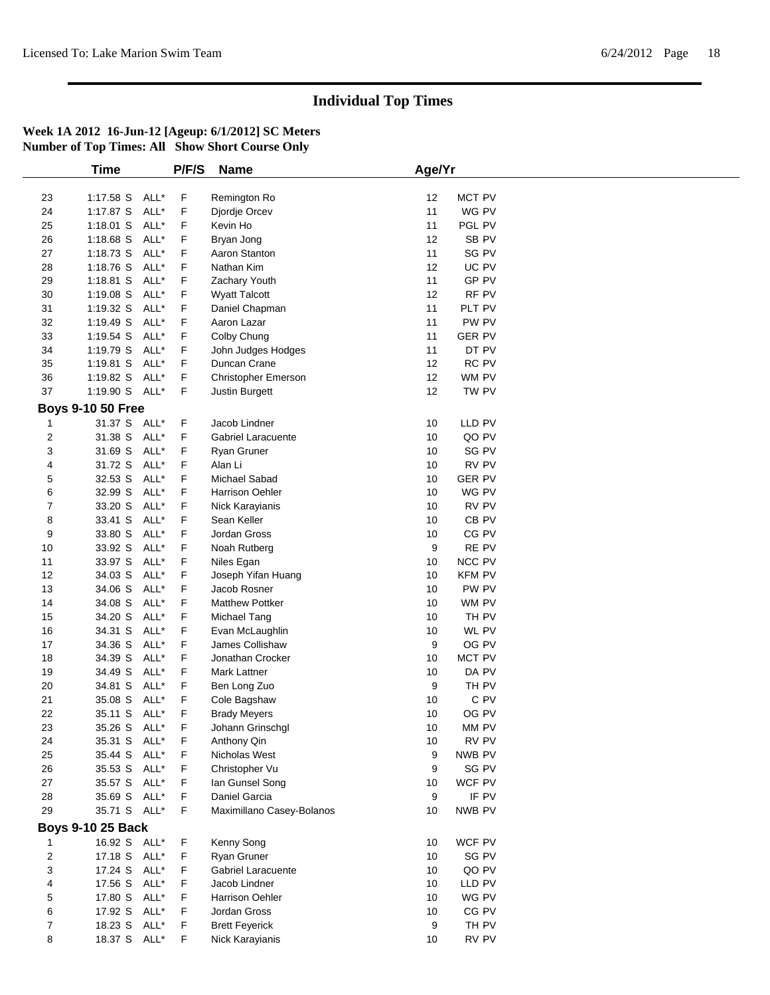|             | <b>Time</b>              | P/F/S | <b>Name</b>               | Age/Yr |                  |  |
|-------------|--------------------------|-------|---------------------------|--------|------------------|--|
|             |                          |       |                           |        |                  |  |
| 23          | 1:17.58 S ALL*           | F     | Remington Ro              | 12     | <b>MCT PV</b>    |  |
| 24          | 1:17.87 S ALL*           | F     | Djordje Orcev             | 11     | WG PV            |  |
| 25          | $1:18.01$ S<br>ALL*      | F     | Kevin Ho                  | 11     | PGL PV           |  |
| 26          | 1:18.68 S<br>ALL*        | F     | Bryan Jong                | 12     | SB <sub>PV</sub> |  |
| 27          | ALL*<br>1:18.73 S        | F     | Aaron Stanton             | 11     | SG PV            |  |
| 28          | 1:18.76 S<br>ALL*        | F     | Nathan Kim                | 12     | UC PV            |  |
| 29          | 1:18.81 S<br>ALL*        | F     | Zachary Youth             | 11     | GP PV            |  |
| 30          | ALL*<br>$1:19.08$ S      | F     | <b>Wyatt Talcott</b>      | 12     | RF PV            |  |
| 31          | 1:19.32 S<br>ALL*        | F     | Daniel Chapman            | 11     | PLT PV           |  |
| 32          | 1:19.49 S<br>ALL*        | F     | Aaron Lazar               | 11     | PW PV            |  |
| 33          | 1:19.54 S<br>ALL*        | F     | Colby Chung               | 11     | <b>GER PV</b>    |  |
| 34          | 1:19.79 S<br>ALL*        | F     | John Judges Hodges        | 11     | DT PV            |  |
| 35          | 1:19.81 S<br>ALL*        | F     | Duncan Crane              | 12     | RC PV            |  |
| 36          | 1:19.82 S ALL*           | F     |                           | 12     | WM PV            |  |
| 37          |                          |       | Christopher Emerson       |        |                  |  |
|             | 1:19.90 S ALL*           | F     | Justin Burgett            | 12     | TW PV            |  |
|             | <b>Boys 9-10 50 Free</b> |       |                           |        |                  |  |
| 1           | 31.37 S ALL*             | F     | Jacob Lindner             | 10     | LLD PV           |  |
| 2           | 31.38 S<br>ALL*          | F     | Gabriel Laracuente        | 10     | QO PV            |  |
| 3           | ALL*<br>31.69 S          | F     | Ryan Gruner               | 10     | SG PV            |  |
| 4           | 31.72 S<br>ALL*          | F     | Alan Li                   | 10     | RV PV            |  |
| 5           | 32.53 S<br>ALL*          | F     | Michael Sabad             | 10     | <b>GER PV</b>    |  |
| 6           | 32.99 S<br>ALL*          | F     | <b>Harrison Oehler</b>    | 10     | WG PV            |  |
| 7           | 33.20 S ALL*             | F     | Nick Karayianis           | 10     | RV PV            |  |
| 8           | 33.41 S<br>ALL*          | F     | Sean Keller               | 10     | CB <sub>PV</sub> |  |
| 9           | ALL*<br>33.80 S          | F     | Jordan Gross              | 10     | CG PV            |  |
| 10          | 33.92 S<br>ALL*          | F     | Noah Rutberg              | 9      | RE PV            |  |
| 11          | 33.97 S<br>ALL*          | F     | Niles Egan                | 10     | <b>NCC PV</b>    |  |
| 12          | 34.03 S<br>ALL*          | F     | Joseph Yifan Huang        | 10     | <b>KFM PV</b>    |  |
| 13          | 34.06 S<br>ALL*          | F     | Jacob Rosner              | 10     | PW PV            |  |
| 14          | 34.08 S<br>ALL*          | F     | <b>Matthew Pottker</b>    | 10     | WM PV            |  |
| 15          | ALL*<br>34.20 S          | F     | Michael Tang              | 10     | TH PV            |  |
| 16          | ALL*<br>34.31 S          | F     | Evan McLaughlin           | 10     | WL PV            |  |
| 17          | ALL*<br>34.36 S          | F     | James Collishaw           | 9      | OG PV            |  |
| 18          | 34.39 S<br>ALL*          | F     | Jonathan Crocker          | 10     | <b>MCT PV</b>    |  |
| 19          | ALL*<br>34.49 S          | F     | Mark Lattner              | 10     | DA PV            |  |
| 20          | 34.81 S<br>ALL*          | F     | Ben Long Zuo              | 9      | TH PV            |  |
| 21          | 35.08 S<br>ALL*          | F     | Cole Bagshaw              | 10     | C PV             |  |
| 22          | 35.11 S ALL*             | F     |                           | 10     | OG PV            |  |
|             | 35.26 S ALL*             | F     | <b>Brady Meyers</b>       |        |                  |  |
| 23          |                          |       | Johann Grinschgl          | $10$   | MM PV            |  |
| 24          | 35.31 S ALL*             | F     | Anthony Qin               | 10     | RV PV            |  |
| 25          | 35.44 S ALL*             | F     | Nicholas West             | 9      | NWB PV           |  |
| 26          | 35.53 S ALL*             | F     | Christopher Vu            | 9      | SG PV            |  |
| 27          | 35.57 S ALL*             | F     | lan Gunsel Song           | 10     | WCF PV           |  |
| 28          | 35.69 S ALL*             | F     | Daniel Garcia             | 9      | IF PV            |  |
| 29          | 35.71 S ALL*             | F     | Maximillano Casey-Bolanos | 10     | NWB PV           |  |
|             | <b>Boys 9-10 25 Back</b> |       |                           |        |                  |  |
|             | 16.92 S ALL*             | F     | Kenny Song                | 10     | WCF PV           |  |
| $\mathbf 2$ | 17.18 S ALL*             | F     | Ryan Gruner               | 10     | SG PV            |  |
| 3           | 17.24 S ALL*             | F     | <b>Gabriel Laracuente</b> | 10     | QO PV            |  |
| 4           | 17.56 S ALL*             | F     | Jacob Lindner             | 10     | LLD PV           |  |
| 5           | 17.80 S ALL*             | F     | Harrison Oehler           | 10     | WG PV            |  |
| 6           | 17.92 S ALL*             | F     | Jordan Gross              | 10     | CG PV            |  |
| 7           | 18.23 S ALL*             | F     | <b>Brett Feyerick</b>     | 9      | TH PV            |  |
| 8           | 18.37 S ALL*             | F.    | Nick Karayianis           | 10     | RV PV            |  |
|             |                          |       |                           |        |                  |  |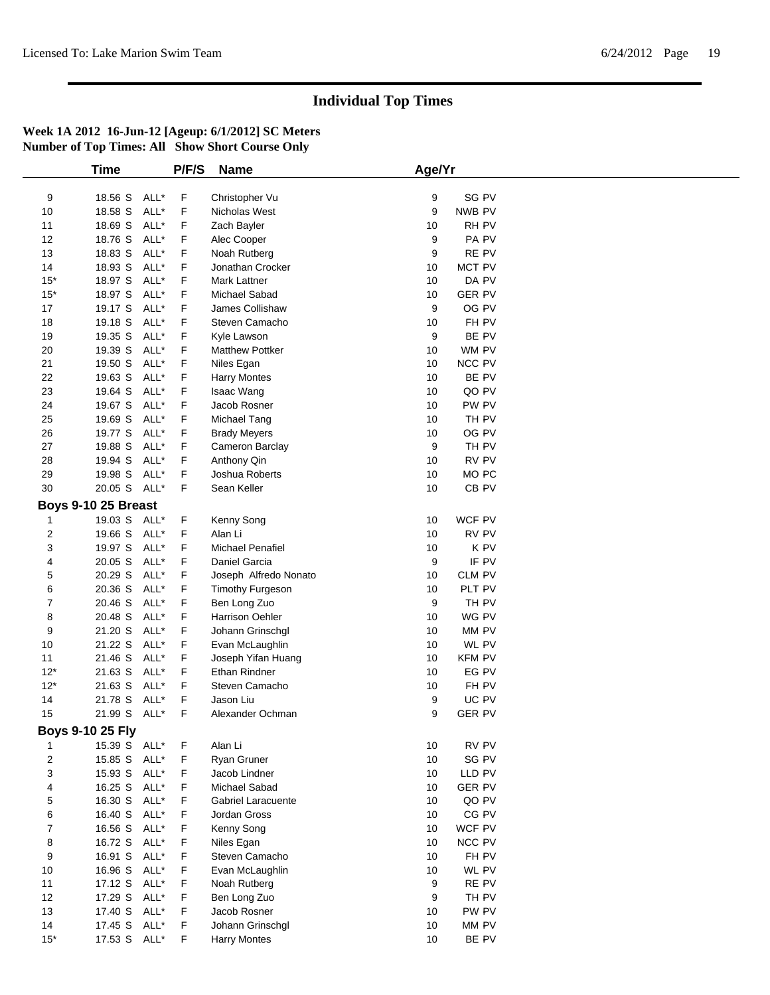|                         | <b>Time</b>             |      | P/F/S  | <b>Name</b>               | Age/Yr |                  |  |
|-------------------------|-------------------------|------|--------|---------------------------|--------|------------------|--|
|                         |                         |      |        |                           |        |                  |  |
| 9                       | 18.56 S ALL*            |      | F      | Christopher Vu            | 9      | SG PV            |  |
| 10                      | 18.58 S                 | ALL* | F      | Nicholas West             | 9      | NWB PV           |  |
| 11                      | 18.69 S                 | ALL* | F      | Zach Bayler               | 10     | RH PV            |  |
| 12                      | 18.76 S                 | ALL* | F      | Alec Cooper               | 9      | PA PV            |  |
| 13                      | 18.83 S                 | ALL* | F      | Noah Rutberg              | 9      | RE PV            |  |
| 14                      | 18.93 S                 | ALL* | F      | Jonathan Crocker          | 10     | MCT PV           |  |
| $15*$                   | 18.97 S                 | ALL* | F      | Mark Lattner              | 10     | DA PV            |  |
| $15*$                   | 18.97 S                 | ALL* | F      | Michael Sabad             | 10     | <b>GER PV</b>    |  |
| 17                      | 19.17 S                 | ALL* | F      | James Collishaw           | 9      | OG PV            |  |
| 18                      | 19.18 S                 | ALL* | F      | Steven Camacho            | 10     | FH PV            |  |
| 19                      | 19.35 S                 | ALL* | F      | Kyle Lawson               | 9      | BE PV            |  |
| 20                      | 19.39 S                 | ALL* | F      | Matthew Pottker           | 10     | WM PV            |  |
| 21                      | 19.50 S                 | ALL* | F      | Niles Egan                | 10     | NCC PV           |  |
| 22                      | 19.63 S                 | ALL* | F      | <b>Harry Montes</b>       | 10     | BE PV            |  |
| 23                      | 19.64 S                 | ALL* | F      | Isaac Wang                | 10     | QO PV            |  |
| 24                      | 19.67 S                 | ALL* | F      | Jacob Rosner              | 10     | PW PV            |  |
| 25                      | 19.69 S                 | ALL* | F      | Michael Tang              | 10     | TH PV            |  |
| 26                      | 19.77 S                 | ALL* | F      | <b>Brady Meyers</b>       | 10     | OG PV            |  |
| 27                      | 19.88 S                 | ALL* | F      | Cameron Barclay           | 9      | TH PV            |  |
| 28                      | 19.94 S                 | ALL* | F      | Anthony Qin               | 10     | RV PV            |  |
| 29                      | 19.98 S                 | ALL* | F      | Joshua Roberts            | 10     | MO <sub>PC</sub> |  |
| 30                      | 20.05 S ALL*            |      | F      | Sean Keller               | 10     | CB <sub>PV</sub> |  |
|                         | Boys 9-10 25 Breast     |      |        |                           |        |                  |  |
| 1                       | 19.03 S ALL*            |      | F      | Kenny Song                | 10     | WCF PV           |  |
| $\overline{c}$          | 19.66 S                 | ALL* | F      | Alan Li                   | 10     | RV PV            |  |
| 3                       | 19.97 S                 | ALL* | F      | Michael Penafiel          | 10     | K PV             |  |
| 4                       | 20.05 S                 | ALL* | F      | Daniel Garcia             | 9      | IF PV            |  |
| 5                       | 20.29 S                 | ALL* | F      | Joseph Alfredo Nonato     | 10     | <b>CLM PV</b>    |  |
| 6                       | 20.36 S                 | ALL* | F      | <b>Timothy Furgeson</b>   | 10     | PLT PV           |  |
| $\overline{7}$          | 20.46 S                 | ALL* | F      | Ben Long Zuo              | 9      | TH PV            |  |
| 8                       | 20.48 S                 | ALL* | F      | Harrison Oehler           | 10     | WG PV            |  |
| 9                       | 21.20 S                 | ALL* | F      | Johann Grinschgl          | 10     | MM PV            |  |
|                         |                         | ALL* |        |                           | 10     | WL PV            |  |
| 10                      | 21.22 S<br>21.46 S      | ALL* | F<br>F | Evan McLaughlin           |        |                  |  |
| 11                      |                         |      |        | Joseph Yifan Huang        | 10     | <b>KFM PV</b>    |  |
| $12*$                   | 21.63 S                 | ALL* | F      | Ethan Rindner             | 10     | EG PV            |  |
| $12*$                   | 21.63 S                 | ALL* | F      | Steven Camacho            | 10     | FH PV            |  |
| 14                      | 21.78 S                 | ALL* | F      | Jason Liu                 | 9      | UC PV            |  |
| 15                      | 21.99 S ALL*            |      | F      | Alexander Ochman          | 9      | <b>GER PV</b>    |  |
|                         | <b>Boys 9-10 25 Fly</b> |      |        |                           |        |                  |  |
| 1                       | 15.39 S ALL*            |      | F      | Alan Li                   | 10     | RV PV            |  |
| $\overline{\mathbf{c}}$ | 15.85 S ALL*            |      | F      | Ryan Gruner               | 10     | SG PV            |  |
| 3                       | 15.93 S ALL*            |      | F      | Jacob Lindner             | 10     | LLD PV           |  |
| 4                       | 16.25 S ALL*            |      | F      | Michael Sabad             | 10     | <b>GER PV</b>    |  |
| 5                       | 16.30 S ALL*            |      | F      | <b>Gabriel Laracuente</b> | 10     | QO PV            |  |
| 6                       | 16.40 S                 | ALL* | F.     | Jordan Gross              | 10     | CG PV            |  |
| $\overline{7}$          | 16.56 S ALL*            |      | F      | Kenny Song                | 10     | WCF PV           |  |
| 8                       | 16.72 S ALL*            |      | F      | Niles Egan                | 10     | NCC PV           |  |
| 9                       | 16.91 S                 | ALL* | F      | Steven Camacho            | 10     | FH PV            |  |
| 10                      | 16.96 S ALL*            |      | F      | Evan McLaughlin           | 10     | WL PV            |  |
| 11                      | 17.12 S ALL*            |      | F      | Noah Rutberg              | 9      | RE PV            |  |
| 12                      | 17.29 S ALL*            |      | F.     | Ben Long Zuo              | 9      | TH PV            |  |
| 13                      | 17.40 S ALL*            |      | F      | Jacob Rosner              | 10     | PW PV            |  |
| 14                      | 17.45 S ALL*            |      | F      | Johann Grinschgl          | 10     | MM PV            |  |
| $15^*$                  | 17.53 S ALL*            |      | F      | <b>Harry Montes</b>       | 10     | BE PV            |  |
|                         |                         |      |        |                           |        |                  |  |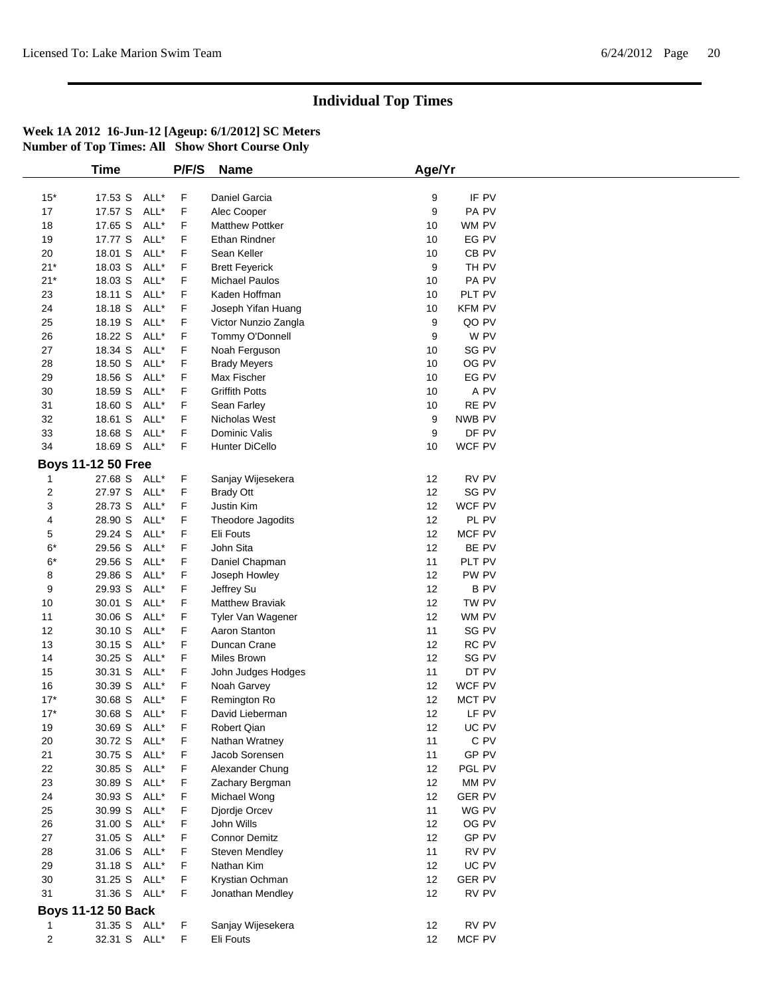|                         | Time                      | P/F/S | <b>Name</b>            | Age/Yr |                  |  |
|-------------------------|---------------------------|-------|------------------------|--------|------------------|--|
|                         |                           |       |                        |        |                  |  |
| $15*$                   | 17.53 S ALL*              | F     | Daniel Garcia          | 9      | IF PV            |  |
| 17                      | 17.57 S<br>ALL*           | F     | Alec Cooper            | 9      | PA PV            |  |
| 18                      | 17.65 S<br>ALL*           | F     | <b>Matthew Pottker</b> | 10     | WM PV            |  |
| 19                      | 17.77 S<br>ALL*           | F     | Ethan Rindner          | 10     | EG PV            |  |
| 20                      | 18.01 S<br>ALL*           | F     | Sean Keller            | 10     | CB <sub>PV</sub> |  |
| $21*$                   | 18.03 S<br>ALL*           | F     | <b>Brett Feyerick</b>  | 9      | TH PV            |  |
| $21*$                   | 18.03 S<br>ALL*           | F     | <b>Michael Paulos</b>  | 10     | PA PV            |  |
| 23                      | 18.11 S<br>ALL*           | F     | Kaden Hoffman          | 10     | PLT PV           |  |
| 24                      | 18.18 S<br>ALL*           | F     | Joseph Yifan Huang     | 10     | <b>KFM PV</b>    |  |
| 25                      | ALL*<br>18.19 S           | F     | Victor Nunzio Zangla   | 9      | QO PV            |  |
| 26                      | 18.22 S<br>ALL*           | F     | Tommy O'Donnell        | 9      | W PV             |  |
| 27                      | 18.34 S<br>ALL*           | F     | Noah Ferguson          | 10     | SG PV            |  |
| 28                      | 18.50 S<br>ALL*           | F     | <b>Brady Meyers</b>    | 10     | OG PV            |  |
| 29                      | 18.56 S<br>ALL*           | F     | Max Fischer            | 10     | EG PV            |  |
| $30\,$                  | ALL*<br>18.59 S           | F     | <b>Griffith Potts</b>  | 10     | A PV             |  |
| 31                      | ALL*<br>18.60 S           | F     | Sean Farley            | 10     | RE PV            |  |
| 32                      | ALL*<br>18.61 S           | F     | Nicholas West          | 9      | NWB PV           |  |
| 33                      | 18.68 S<br>ALL*           | F     | Dominic Valis          | 9      | DF PV            |  |
| 34                      | 18.69 S ALL*              | F     | Hunter DiCello         | 10     | WCF PV           |  |
|                         | <b>Boys 11-12 50 Free</b> |       |                        |        |                  |  |
|                         | 27.68 S ALL*              |       | Sanjay Wijesekera      | 12     | RV PV            |  |
| 1                       |                           | F     |                        |        |                  |  |
| 2                       | 27.97 S ALL*              | F     | <b>Brady Ott</b>       | 12     | SG PV            |  |
| 3                       | 28.73 S<br>ALL*           | F     | Justin Kim             | 12     | WCF PV           |  |
| 4                       | 28.90 S<br>ALL*           | F     | Theodore Jagodits      | 12     | PL PV            |  |
| 5                       | ALL*<br>29.24 S           | F     | Eli Fouts              | 12     | MCF PV           |  |
| $6^{\ast}$              | 29.56 S<br>ALL*           | F     | John Sita              | 12     | BE PV            |  |
| $6*$                    | 29.56 S<br>ALL*           | F     | Daniel Chapman         | 11     | PLT PV           |  |
| 8                       | ALL*<br>29.86 S           | F     | Joseph Howley          | 12     | PW PV            |  |
| 9                       | 29.93 S<br>ALL*           | F     | Jeffrey Su             | 12     | <b>BPV</b>       |  |
| 10                      | 30.01 S<br>ALL*           | F     | <b>Matthew Braviak</b> | 12     | TW PV            |  |
| 11                      | ALL*<br>30.06 S           | F     | Tyler Van Wagener      | 12     | WM PV            |  |
| 12                      | 30.10 S<br>ALL*           | F     | Aaron Stanton          | 11     | SG PV            |  |
| 13                      | 30.15 S<br>ALL*           | F     | Duncan Crane           | 12     | RC PV            |  |
| 14                      | 30.25 S<br>ALL*           | F     | Miles Brown            | 12     | SG PV            |  |
| 15                      | 30.31 S<br>ALL*           | F     | John Judges Hodges     | 11     | DT PV            |  |
| 16                      | 30.39 S<br>ALL*           | F     | Noah Garvey            | 12     | WCF PV           |  |
| $17*$                   | ALL*<br>30.68 S           | F     | Remington Ro           | 12     | MCT PV           |  |
| $17*$                   | 30.68 S<br>ALL*           | F     | David Lieberman        | 12     | LF PV            |  |
| 19                      | 30.69 S ALL*              | F     | Robert Qian            | 12     | UC PV            |  |
| 20                      | 30.72 S ALL*              | F     | Nathan Wratney         | 11     | C PV             |  |
| 21                      | 30.75 S ALL*              | F     | Jacob Sorensen         | 11     | GP PV            |  |
| 22                      | 30.85 S<br>ALL*           | F     | Alexander Chung        | 12     | PGL PV           |  |
| 23                      | 30.89 S ALL*              | F     | Zachary Bergman        | 12     | MM PV            |  |
| 24                      | 30.93 S ALL*              | F     | Michael Wong           | 12     | <b>GER PV</b>    |  |
| 25                      | ALL*<br>30.99 S           | F     | Djordje Orcev          | 11     | WG PV            |  |
| 26                      | 31.00 S ALL*              | F     | John Wills             | 12     | OG PV            |  |
| $27\,$                  | 31.05 S ALL*              | F     | <b>Connor Demitz</b>   | 12     | GP PV            |  |
| 28                      | 31.06 S<br>ALL*           | F     | Steven Mendley         | 11     | RV PV            |  |
| 29                      | 31.18 S ALL*              | F     | Nathan Kim             | 12     | UC PV            |  |
|                         |                           |       |                        |        |                  |  |
| 30                      | 31.25 S ALL*              | F     | Krystian Ochman        | 12     | <b>GER PV</b>    |  |
| 31                      | 31.36 S ALL*              | F     | Jonathan Mendley       | 12     | RV PV            |  |
|                         | <b>Boys 11-12 50 Back</b> |       |                        |        |                  |  |
| 1                       | 31.35 S ALL*              | F     | Sanjay Wijesekera      | 12     | RV PV            |  |
| $\overline{\mathbf{c}}$ | 32.31 S ALL*              | F     | Eli Fouts              | 12     | MCF PV           |  |
|                         |                           |       |                        |        |                  |  |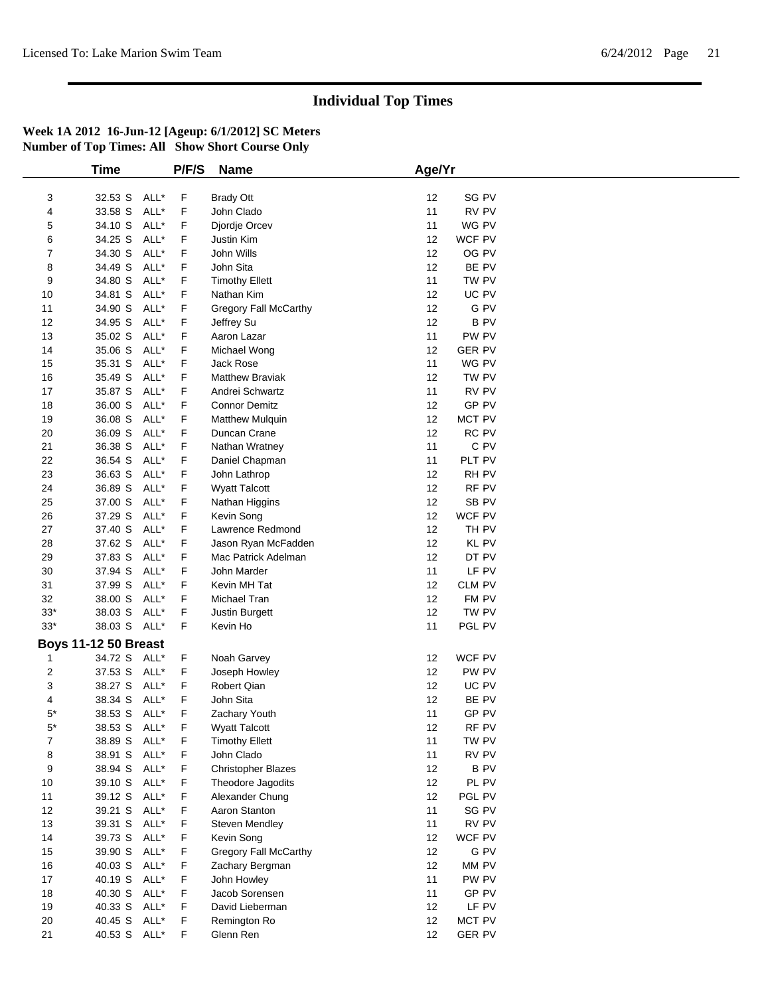|        | <b>Time</b>                 |      | P/F/S | <b>Name</b>                  | Age/Yr |                  |  |  |
|--------|-----------------------------|------|-------|------------------------------|--------|------------------|--|--|
|        |                             |      |       |                              |        |                  |  |  |
| 3      | 32.53 S                     | ALL* | F     | <b>Brady Ott</b>             | 12     | SG PV            |  |  |
| 4      | 33.58 S                     | ALL* | F     | John Clado                   | 11     | RV PV            |  |  |
| 5      | 34.10 S                     | ALL* | F     | Djordje Orcev                | 11     | WG PV            |  |  |
| 6      | 34.25 S                     | ALL* | F     | Justin Kim                   | 12     | WCF PV           |  |  |
| 7      | 34.30 S                     | ALL* | F     | John Wills                   | 12     | OG PV            |  |  |
| 8      | 34.49 S                     | ALL* | F     | John Sita                    | 12     | BE PV            |  |  |
| 9      | 34.80 S                     | ALL* | F     | <b>Timothy Ellett</b>        | 11     | TW PV            |  |  |
| 10     | 34.81 S                     | ALL* | F     | Nathan Kim                   | 12     | UC PV            |  |  |
| 11     | 34.90 S                     | ALL* | F     | <b>Gregory Fall McCarthy</b> | 12     | G PV             |  |  |
| 12     | 34.95 S                     | ALL* | F     | Jeffrey Su                   | 12     | <b>BPV</b>       |  |  |
| 13     | 35.02 S                     | ALL* | F     | Aaron Lazar                  | 11     | PW PV            |  |  |
| 14     | 35.06 S                     | ALL* | F     | Michael Wong                 | 12     | <b>GER PV</b>    |  |  |
| 15     | 35.31 S                     | ALL* | F     | <b>Jack Rose</b>             | 11     | WG PV            |  |  |
| 16     | 35.49 S                     | ALL* | F     | <b>Matthew Braviak</b>       | 12     | TW PV            |  |  |
| 17     | 35.87 S                     | ALL* | F     | Andrei Schwartz              | 11     | RV PV            |  |  |
| 18     | 36.00 S                     | ALL* | F     | <b>Connor Demitz</b>         | 12     | GP PV            |  |  |
| 19     | 36.08 S                     | ALL* | F     | <b>Matthew Mulquin</b>       | 12     | MCT PV           |  |  |
| 20     | 36.09 S                     | ALL* | F     | Duncan Crane                 | 12     | RC PV            |  |  |
| 21     | 36.38 S                     | ALL* | F     | Nathan Wratney               | 11     | C PV             |  |  |
| 22     | 36.54 S                     | ALL* | F     | Daniel Chapman               | 11     | PLT PV           |  |  |
| 23     | 36.63 S                     | ALL* | F     | John Lathrop                 | 12     | RH PV            |  |  |
| 24     | 36.89 S                     | ALL* | F     | <b>Wyatt Talcott</b>         | 12     | RF PV            |  |  |
| 25     | 37.00 S                     | ALL* | F     | Nathan Higgins               | 12     | SB <sub>PV</sub> |  |  |
| 26     | 37.29 S                     | ALL* | F     | Kevin Song                   | 12     | WCF PV           |  |  |
| 27     | 37.40 S                     | ALL* | F     | Lawrence Redmond             | 12     | TH PV            |  |  |
| 28     | 37.62 S                     | ALL* | F     | Jason Ryan McFadden          | 12     | <b>KL PV</b>     |  |  |
| 29     | 37.83 S                     | ALL* | F     | Mac Patrick Adelman          | 12     | DT PV            |  |  |
| 30     | 37.94 S                     | ALL* | F     | John Marder                  | 11     | LF PV            |  |  |
| 31     | 37.99 S                     | ALL* | F     | Kevin MH Tat                 | 12     | CLM PV           |  |  |
| 32     | 38.00 S                     | ALL* | F     | Michael Tran                 | 12     | FM PV            |  |  |
| $33*$  | 38.03 S                     | ALL* | F     | Justin Burgett               | 12     | TW PV            |  |  |
| $33*$  | 38.03 S ALL*                |      | F.    | Kevin Ho                     | 11     | PGL PV           |  |  |
|        |                             |      |       |                              |        |                  |  |  |
|        | <b>Boys 11-12 50 Breast</b> |      |       |                              |        |                  |  |  |
| 1      | 34.72 S ALL*                |      | F.    | Noah Garvey                  | 12     | WCF PV           |  |  |
| 2      | 37.53 S                     | ALL* | F     | Joseph Howley                | 12     | PW PV            |  |  |
| 3      | 38.27 S                     | ALL* | F     | <b>Robert Qian</b>           | 12     | UC PV            |  |  |
| 4      | 38.34 S                     | ALL* | F     | John Sita                    | 12     | BE PV            |  |  |
| $5*$   | 38.53 S                     | ALL* | F     | Zachary Youth                | 11     | GP PV            |  |  |
| $5^*$  | 38.53 S ALL*                |      | F     | Wyatt Talcott                | 12     | RF PV            |  |  |
| 7      | 38.89 S ALL*                |      | F     | <b>Timothy Ellett</b>        | 11     | TW PV            |  |  |
| 8      | 38.91 S                     | ALL* | F     | John Clado                   | 11     | RV PV            |  |  |
| 9      | 38.94 S                     | ALL* | F     | <b>Christopher Blazes</b>    | 12     | <b>BPV</b>       |  |  |
| 10     | 39.10 S                     | ALL* | F     | Theodore Jagodits            | 12     | PL PV            |  |  |
| 11     | 39.12 S                     | ALL* | F     | Alexander Chung              | 12     | PGL PV           |  |  |
| 12     | 39.21 S                     | ALL* | F     | Aaron Stanton                | 11     | SG PV            |  |  |
| 13     | 39.31 S                     | ALL* | F     | Steven Mendley               | 11     | RV PV            |  |  |
| 14     | 39.73 S                     | ALL* | F     | Kevin Song                   | 12     | WCF PV           |  |  |
| 15     | 39.90 S                     | ALL* | F     | Gregory Fall McCarthy        | 12     | G PV             |  |  |
| 16     | 40.03 S                     | ALL* | F     | Zachary Bergman              | 12     | MM PV            |  |  |
| $17\,$ | 40.19 S                     | ALL* | F     | John Howley                  | 11     | PW PV            |  |  |
| 18     | 40.30 S ALL*                |      | F     | Jacob Sorensen               | 11     | GP PV            |  |  |
| 19     | 40.33 S                     | ALL* | F     | David Lieberman              | 12     | LF PV            |  |  |
| 20     | 40.45 S                     | ALL* | F     | Remington Ro                 | 12     | MCT PV           |  |  |
| 21     | 40.53 S ALL*                |      | F     | Glenn Ren                    | 12     | <b>GER PV</b>    |  |  |
|        |                             |      |       |                              |        |                  |  |  |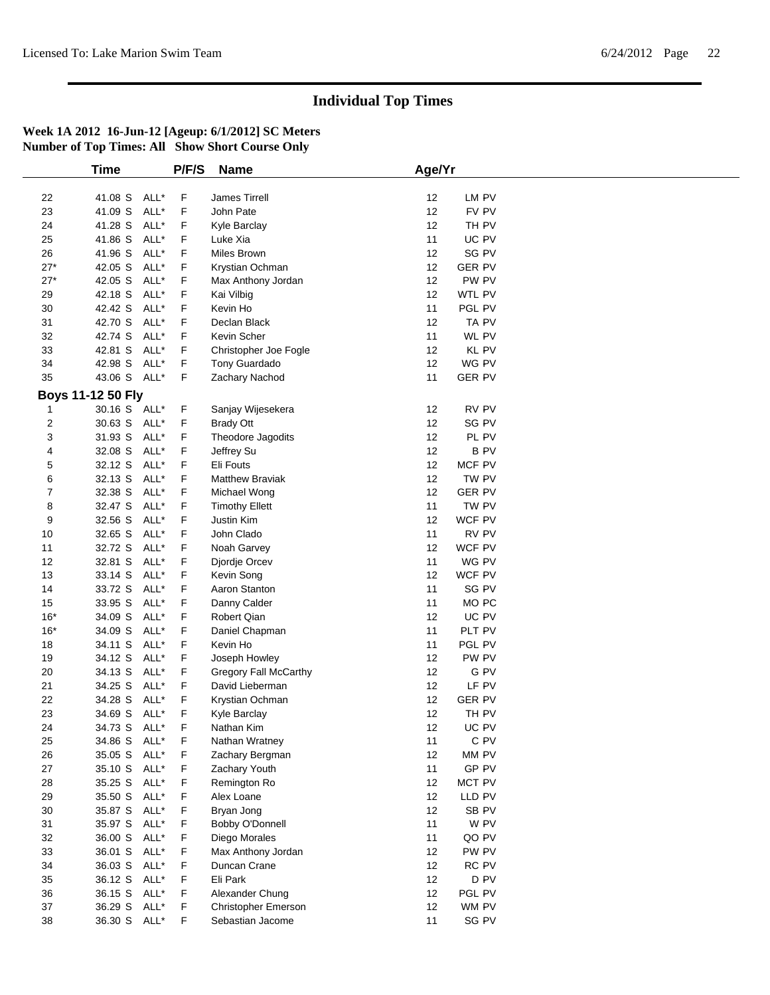|                         | <b>Time</b>       |      | P/F/S | <b>Name</b>            | Age/Yr |                  |  |
|-------------------------|-------------------|------|-------|------------------------|--------|------------------|--|
|                         |                   |      |       |                        |        |                  |  |
| 22                      | 41.08 S ALL*      |      | F     | James Tirrell          | 12     | LM PV            |  |
| 23                      | 41.09 S           | ALL* | F     | John Pate              | 12     | FV PV            |  |
| 24                      | 41.28 S           | ALL* | F     | Kyle Barclay           | 12     | TH PV            |  |
| 25                      | 41.86 S           | ALL* | F     | Luke Xia               | 11     | UC PV            |  |
| 26                      | 41.96 S           | ALL* | F     | Miles Brown            | 12     | SG PV            |  |
| $27*$                   | 42.05 S           | ALL* | F     | Krystian Ochman        | 12     | <b>GER PV</b>    |  |
| $27*$                   | 42.05 S           | ALL* | F     | Max Anthony Jordan     | 12     | PW PV            |  |
| 29                      | 42.18 S           | ALL* | F     | Kai Vilbig             | 12     | WTL PV           |  |
| 30                      | 42.42 S           | ALL* | F     | Kevin Ho               | 11     | PGL PV           |  |
| 31                      | 42.70 S           | ALL* | F     | Declan Black           | 12     | TA PV            |  |
| 32                      | 42.74 S           | ALL* | F     | Kevin Scher            | 11     | WL PV            |  |
| 33                      | 42.81 S           | ALL* | F     | Christopher Joe Fogle  | 12     | KL PV            |  |
| 34                      | 42.98 S           | ALL* | F     | Tony Guardado          | 12     | WG PV            |  |
| 35                      | 43.06 S ALL*      |      | F     | Zachary Nachod         | 11     | <b>GER PV</b>    |  |
|                         | Boys 11-12 50 Fly |      |       |                        |        |                  |  |
| 1                       | 30.16 S ALL*      |      | F     | Sanjay Wijesekera      | 12     | RV PV            |  |
| $\overline{\mathbf{c}}$ | 30.63 S           | ALL* | F     | <b>Brady Ott</b>       | 12     | SG PV            |  |
| 3                       | 31.93 S           | ALL* | F     | Theodore Jagodits      | 12     | PL PV            |  |
| 4                       | 32.08 S           | ALL* | F     | Jeffrey Su             | 12     | <b>BPV</b>       |  |
| 5                       | 32.12 S           | ALL* | F     | Eli Fouts              | 12     | MCF PV           |  |
| 6                       | 32.13 S           | ALL* | F     | <b>Matthew Braviak</b> | 12     | TW PV            |  |
| 7                       | 32.38 S           | ALL* | F     | Michael Wong           | 12     | <b>GER PV</b>    |  |
| 8                       | 32.47 S           | ALL* | F     | <b>Timothy Ellett</b>  | 11     | TW PV            |  |
| 9                       | 32.56 S           | ALL* | F     | Justin Kim             | 12     | WCF PV           |  |
| 10                      | 32.65 S           | ALL* | F     | John Clado             | 11     | RV PV            |  |
| 11                      | 32.72 S           | ALL* | F     | Noah Garvey            | 12     | WCF PV           |  |
| 12                      | 32.81 S           | ALL* | F     | Djordje Orcev          | 11     | WG PV            |  |
| 13                      | 33.14 S           | ALL* | F     |                        | 12     | WCF PV           |  |
|                         |                   | ALL* | F     | Kevin Song             |        | SG PV            |  |
| 14                      | 33.72 S           |      |       | Aaron Stanton          | 11     |                  |  |
| 15                      | 33.95 S           | ALL* | F     | Danny Calder           | 11     | MO <sub>PC</sub> |  |
| $16*$                   | 34.09 S           | ALL* | F     | Robert Qian            | 12     | UC PV            |  |
| $16*$                   | 34.09 S           | ALL* | F     | Daniel Chapman         | 11     | PLT PV           |  |
| 18                      | 34.11 S           | ALL* | F     | Kevin Ho               | 11     | PGL PV           |  |
| 19                      | 34.12 S           | ALL* | F     | Joseph Howley          | 12     | PW PV            |  |
| 20                      | 34.13 S           | ALL* | F     | Gregory Fall McCarthy  | 12     | G PV             |  |
| 21                      | 34.25 S           | ALL* | F     | David Lieberman        | 12     | LF PV            |  |
| 22                      | 34.28 S           | ALL* | F     | Krystian Ochman        | 12     | <b>GER PV</b>    |  |
| 23                      | 34.69 S           | ALL* | F     | Kyle Barclay           | 12     | TH PV            |  |
| 24                      | 34.73 S ALL*      |      | F     | Nathan Kim             | 12     | UC PV            |  |
| 25                      | 34.86 S ALL*      |      | F     | Nathan Wratney         | 11     | C PV             |  |
| 26                      | 35.05 S ALL*      |      | F     | Zachary Bergman        | 12     | MM PV            |  |
| 27                      | 35.10 S           | ALL* | F     | Zachary Youth          | 11     | GP PV            |  |
| 28                      | 35.25 S           | ALL* | F     | Remington Ro           | 12     | MCT PV           |  |
| 29                      | 35.50 S           | ALL* | F     | Alex Loane             | 12     | LLD PV           |  |
| 30                      | 35.87 S           | ALL* | F     | Bryan Jong             | 12     | SB PV            |  |
| 31                      | 35.97 S ALL*      |      | F     | Bobby O'Donnell        | 11     | W PV             |  |
| 32                      | 36.00 S           | ALL* | F     | Diego Morales          | 11     | QO PV            |  |
| 33                      | 36.01 S           | ALL* | F     | Max Anthony Jordan     | 12     | PW PV            |  |
| 34                      | 36.03 S           | ALL* | F     | Duncan Crane           | 12     | RC PV            |  |
| 35                      | 36.12 S           | ALL* | F     | Eli Park               | 12     | D PV             |  |
| 36                      | 36.15 S           | ALL* | F     | Alexander Chung        | 12     | PGL PV           |  |
| 37                      | 36.29 S ALL*      |      | F     | Christopher Emerson    | 12     | WM PV            |  |
| 38                      | 36.30 S ALL*      |      | F     | Sebastian Jacome       | 11     | SG PV            |  |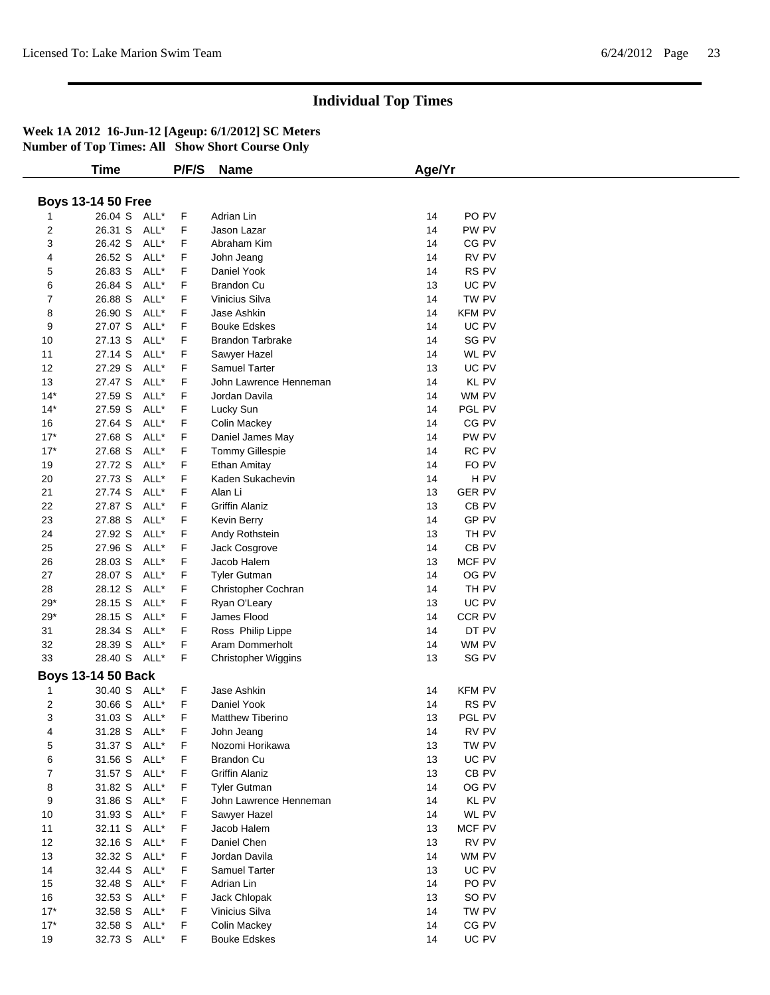|                | <b>Time</b>               |      | P/F/S | <b>Name</b>                | Age/Yr |                  |  |
|----------------|---------------------------|------|-------|----------------------------|--------|------------------|--|
|                |                           |      |       |                            |        |                  |  |
|                | <b>Boys 13-14 50 Free</b> |      |       |                            |        |                  |  |
|                | 26.04 S ALL*              |      | F     | Adrian Lin                 | 14     | PO PV            |  |
| 2              | 26.31 S                   | ALL* | F     | Jason Lazar                | 14     | PW PV            |  |
| 3              | 26.42 S                   | ALL* | F     | Abraham Kim                | 14     | CG PV            |  |
| 4              | 26.52 S                   | ALL* | F     | John Jeang                 | 14     | RV PV            |  |
| 5              | 26.83 S                   | ALL* | F     | Daniel Yook                | 14     | RS PV            |  |
| 6              | 26.84 S                   | ALL* | F     | <b>Brandon Cu</b>          | 13     | UC PV            |  |
| 7              | 26.88 S                   | ALL* | F     | Vinicius Silva             | 14     | TW PV            |  |
| 8              | 26.90 S                   | ALL* | F     | Jase Ashkin                | 14     | <b>KFM PV</b>    |  |
|                | 27.07 S                   | ALL* | F     | <b>Bouke Edskes</b>        | 14     | UC PV            |  |
| 9              |                           |      |       |                            |        |                  |  |
| 10             | 27.13 S                   | ALL* | F     | <b>Brandon Tarbrake</b>    | 14     | SG PV            |  |
| 11             | 27.14 S                   | ALL* | F     | Sawyer Hazel               | 14     | WL PV            |  |
| 12             | 27.29 S                   | ALL* | F     | <b>Samuel Tarter</b>       | 13     | UC PV            |  |
| 13             | 27.47 S                   | ALL* | F     | John Lawrence Henneman     | 14     | KL PV            |  |
| $14*$          | 27.59 S                   | ALL* | F     | Jordan Davila              | 14     | WM PV            |  |
| $14*$          | 27.59 S                   | ALL* | F     | Lucky Sun                  | 14     | PGL PV           |  |
| 16             | 27.64 S                   | ALL* | F     | <b>Colin Mackey</b>        | 14     | CG PV            |  |
| $17*$          | 27.68 S                   | ALL* | F     | Daniel James May           | 14     | PW PV            |  |
| $17*$          | 27.68 S                   | ALL* | F     | <b>Tommy Gillespie</b>     | 14     | RC PV            |  |
| 19             | 27.72 S                   | ALL* | F     | Ethan Amitay               | 14     | FO PV            |  |
| 20             | 27.73 S                   | ALL* | F     | Kaden Sukachevin           | 14     | H PV             |  |
| 21             | 27.74 S                   | ALL* | F     | Alan Li                    | 13     | <b>GER PV</b>    |  |
| 22             | 27.87 S                   | ALL* | F     | <b>Griffin Alaniz</b>      | 13     | CB <sub>PV</sub> |  |
| 23             | 27.88 S                   | ALL* | F     | Kevin Berry                | 14     | GP PV            |  |
| 24             | 27.92 S                   | ALL* | F     | Andy Rothstein             | 13     | TH PV            |  |
| 25             | 27.96 S                   | ALL* | F     | Jack Cosgrove              | 14     | CB <sub>PV</sub> |  |
| 26             | 28.03 S                   | ALL* | F     | Jacob Halem                | 13     | MCF PV           |  |
| 27             | 28.07 S                   | ALL* | F     | <b>Tyler Gutman</b>        | 14     | OG PV            |  |
| 28             | 28.12 S                   | ALL* | F     | Christopher Cochran        | 14     | TH PV            |  |
| $29*$          | 28.15 S                   | ALL* | F     | Ryan O'Leary               | 13     | UC PV            |  |
| $29*$          | 28.15 S                   | ALL* | F     | James Flood                | 14     | CCR PV           |  |
| 31             | 28.34 S                   | ALL* | F     | Ross Philip Lippe          | 14     | DT PV            |  |
| 32             | 28.39 S                   | ALL* | F     | Aram Dommerholt            | 14     | WM PV            |  |
| 33             | 28.40 S ALL*              |      | F     | <b>Christopher Wiggins</b> | 13     | SG PV            |  |
|                |                           |      |       |                            |        |                  |  |
|                | <b>Boys 13-14 50 Back</b> |      |       |                            |        |                  |  |
| 1              | 30.40 S ALL*              |      | F.    | Jase Ashkin                | 14     | <b>KFM PV</b>    |  |
| 2              | 30.66 S                   | ALL* | F     | Daniel Yook                | 14     | RS PV            |  |
| 3              | 31.03 S                   | ALL* | F     | <b>Matthew Tiberino</b>    | 13     | PGL PV           |  |
| 4              | 31.28 S                   | ALL* | F     | John Jeang                 | 14     | RV PV            |  |
| 5              | 31.37 S                   | ALL* | F     | Nozomi Horikawa            | 13     | TW PV            |  |
| 6              | 31.56 S                   | ALL* | F     | Brandon Cu                 | 13     | UC PV            |  |
| $\overline{7}$ | 31.57 S ALL*              |      | F     | <b>Griffin Alaniz</b>      | 13     | CB PV            |  |
| 8              | 31.82 S                   | ALL* | F     | <b>Tyler Gutman</b>        | 14     | OG PV            |  |
| 9              | 31.86 S                   | ALL* | F     | John Lawrence Henneman     | 14     | KL PV            |  |
| 10             | 31.93 S                   | ALL* | F     | Sawyer Hazel               | 14     | WL PV            |  |
| 11             | 32.11 S                   | ALL* | F     | Jacob Halem                | 13     | MCF PV           |  |
| 12             | 32.16 S                   | ALL* | F     | Daniel Chen                | 13     | RV PV            |  |
| 13             | 32.32 S                   | ALL* | F     | Jordan Davila              | 14     | WM PV            |  |
| 14             | 32.44 S                   | ALL* | F     | Samuel Tarter              | 13     | UC PV            |  |
| 15             | 32.48 S                   | ALL* | F.    | Adrian Lin                 | 14     | PO PV            |  |
| 16             | 32.53 S                   | ALL* | F     |                            | 13     | SO PV            |  |
|                |                           |      |       | Jack Chlopak               |        |                  |  |
| $17*$          | 32.58 S                   | ALL* | F     | Vinicius Silva             | 14     | TW PV            |  |
| $17*$          | 32.58 S                   | ALL* | F     | <b>Colin Mackey</b>        | 14     | CG PV            |  |
| 19             | 32.73 S ALL*              |      | F.    | <b>Bouke Edskes</b>        | 14     | UC PV            |  |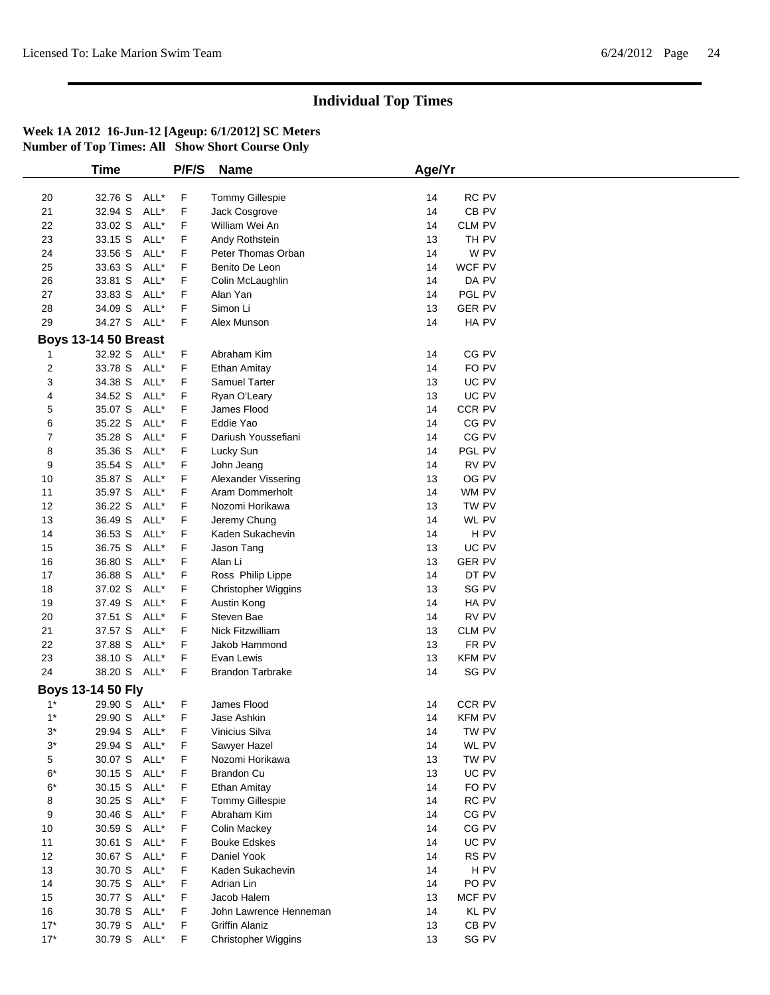|            | <b>Time</b>                 | P/F/S | <b>Name</b>                        | Age/Yr                 |  |
|------------|-----------------------------|-------|------------------------------------|------------------------|--|
|            |                             |       |                                    |                        |  |
| 20         | 32.76 S<br>ALL*             | F     | <b>Tommy Gillespie</b>             | RC PV<br>14            |  |
| 21         | 32.94 S<br>ALL*             | F     | Jack Cosgrove                      | 14<br>CB PV            |  |
| 22         | 33.02 S<br>ALL*             | F     | William Wei An                     | 14<br>CLM PV           |  |
| 23         | 33.15 S<br>ALL*             | F     | Andy Rothstein                     | 13<br>TH PV            |  |
| 24         | 33.56 S<br>ALL*             | F     | Peter Thomas Orban                 | 14<br>W PV             |  |
| 25         | 33.63 S<br>ALL*             | F     | Benito De Leon                     | WCF PV<br>14           |  |
| 26         | 33.81 S<br>ALL*             | F     | Colin McLaughlin                   | DA PV<br>14            |  |
| 27         | ALL*<br>33.83 S             | F     | Alan Yan                           | PGL PV<br>14           |  |
| 28         | 34.09 S<br>ALL*             | F     | Simon Li                           | 13<br><b>GER PV</b>    |  |
| 29         | 34.27 S ALL*                | F     | Alex Munson                        | 14<br>HA PV            |  |
|            | <b>Boys 13-14 50 Breast</b> |       |                                    |                        |  |
|            |                             |       |                                    | CG PV                  |  |
| 1          | 32.92 S ALL*                | F     | Abraham Kim                        | 14                     |  |
| 2          | ALL*<br>33.78 S             | F     | Ethan Amitay                       | 14<br>FO PV            |  |
| 3          | ALL*<br>34.38 S             | F     | Samuel Tarter                      | UC PV<br>13            |  |
| 4          | 34.52 S<br>ALL*             | F     | Ryan O'Leary                       | UC PV<br>13            |  |
| 5          | 35.07 S ALL*                | F     | James Flood                        | 14<br>CCR PV           |  |
| 6          | 35.22 S<br>ALL*             | F     | Eddie Yao                          | CG PV<br>14            |  |
| 7          | 35.28 S<br>ALL*             | F     | Dariush Youssefiani                | CG PV<br>14            |  |
| 8          | 35.36 S<br>ALL*             | F     | Lucky Sun                          | 14<br>PGL PV           |  |
| 9          | 35.54 S<br>ALL*             | F     | John Jeang                         | RV PV<br>14            |  |
| 10         | 35.87 S<br>ALL*             | F     | Alexander Vissering                | OG PV<br>13            |  |
| 11         | 35.97 S ALL*                | F     | Aram Dommerholt                    | 14<br>WM PV            |  |
| 12         | 36.22 S<br>ALL*             | F     | Nozomi Horikawa                    | TW PV<br>13            |  |
| 13         | 36.49 S<br>ALL*             | F     | Jeremy Chung                       | WL PV<br>14            |  |
| 14         | 36.53 S<br>ALL*             | F     | Kaden Sukachevin                   | 14<br>H <sub>PV</sub>  |  |
| 15         | ALL*<br>36.75 S             | F     | Jason Tang                         | UC PV<br>13            |  |
| 16         | ALL*<br>36.80 S             | F     | Alan Li                            | <b>GER PV</b><br>13    |  |
| 17         | ALL*<br>36.88 S             | F     | Ross Philip Lippe                  | DT PV<br>14            |  |
| 18         | 37.02 S<br>ALL*             | F     | Christopher Wiggins                | SG PV<br>13            |  |
| 19         | 37.49 S<br>ALL*             | F     | Austin Kong                        | HA PV<br>14            |  |
| 20         | ALL*<br>37.51 S             | F     | Steven Bae                         | 14<br>RV PV            |  |
| 21         | 37.57 S<br>ALL*             | F     | Nick Fitzwilliam                   | 13<br><b>CLM PV</b>    |  |
| 22         | 37.88 S<br>ALL*             | F     | Jakob Hammond                      | 13<br>FR PV            |  |
| 23         | 38.10 S ALL*                | F     | Evan Lewis                         | 13<br><b>KFM PV</b>    |  |
| 24         | 38.20 S ALL*                | F     | <b>Brandon Tarbrake</b>            | 14<br>SG PV            |  |
|            | Boys 13-14 50 Fly           |       |                                    |                        |  |
| $1^*$      | 29.90 S ALL*                | F     | James Flood                        | CCR PV<br>14           |  |
| $1^*$      | 29.90 S ALL*                | F     | Jase Ashkin                        | <b>KFM PV</b><br>14    |  |
| $3^*$      | 29.94 S<br>ALL*             | F     | Vinicius Silva                     | 14<br>tw pv            |  |
| $3^{\ast}$ | 29.94 S<br>ALL*             | F     | Sawyer Hazel                       | 14<br>WL PV            |  |
| 5          | ALL*<br>30.07 S             | F     | Nozomi Horikawa                    | TW PV<br>13            |  |
| $6*$       | 30.15 S ALL*                | F     | <b>Brandon Cu</b>                  | 13<br>UC PV            |  |
| $6*$       | 30.15 S ALL*                | F     | Ethan Amitay                       | FO PV<br>14            |  |
| 8          | 30.25 S<br>ALL*             | F     | Tommy Gillespie                    | RC PV<br>14            |  |
| 9          | 30.46 S<br>ALL*             | F     | Abraham Kim                        | CG PV<br>14            |  |
|            |                             | F     |                                    | CG PV<br>14            |  |
| 10         | 30.59 S ALL*                |       | <b>Colin Mackey</b>                |                        |  |
| 11         | 30.61 S<br>ALL*             | F     | <b>Bouke Edskes</b><br>Daniel Yook | UC PV<br>14            |  |
| 12         | 30.67 S ALL*                | F     |                                    | 14<br>RS PV            |  |
| 13         | 30.70 S ALL*                | F     | Kaden Sukachevin                   | H PV<br>14             |  |
| 14         | 30.75 S ALL*                | F     | Adrian Lin                         | PO <sub>PV</sub><br>14 |  |
| 15         | 30.77 S ALL*                | F     | Jacob Halem                        | MCF PV<br>13           |  |
| 16         | 30.78 S ALL*                | F     | John Lawrence Henneman             | 14<br>KL PV            |  |
| $17*$      | 30.79 S ALL*                | F     | <b>Griffin Alaniz</b>              | CB PV<br>13            |  |
| $17*$      | 30.79 S ALL*                | F     | Christopher Wiggins                | 13<br>SG PV            |  |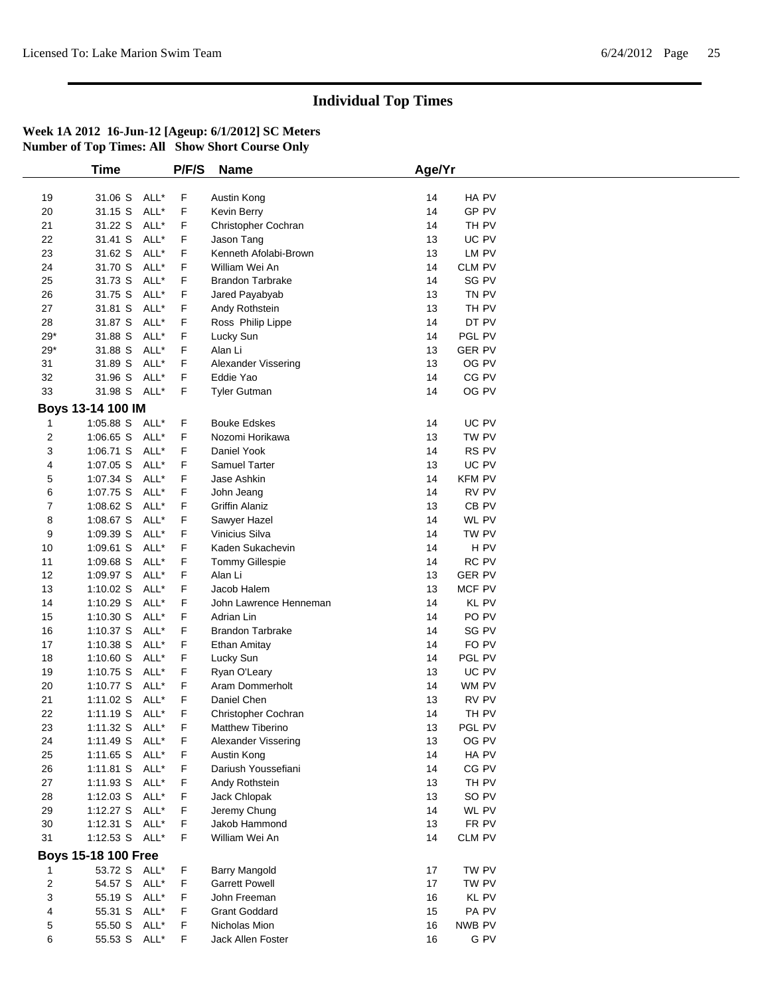| 19<br>20<br>21             | 31.06 S ALL*<br>31.15 S<br>31.22 S | ALL*         | F      | Austin Kong                    |    |                  |  |
|----------------------------|------------------------------------|--------------|--------|--------------------------------|----|------------------|--|
|                            |                                    |              |        |                                |    |                  |  |
|                            |                                    |              |        |                                | 14 | HA PV            |  |
|                            |                                    |              | F      | Kevin Berry                    | 14 | GP PV            |  |
|                            |                                    | ALL*         | F      | Christopher Cochran            | 14 | TH PV            |  |
| 22                         | 31.41 S                            | ALL*         | F      | Jason Tang                     | 13 | UC PV            |  |
| 23                         | 31.62 S                            | ALL*         | F      | Kenneth Afolabi-Brown          | 13 | LM PV            |  |
| 24                         | 31.70 S                            | ALL*         | F      | William Wei An                 | 14 | CLM PV           |  |
| 25                         | 31.73 S                            | ALL*         | F      | <b>Brandon Tarbrake</b>        | 14 | SG PV            |  |
| 26                         | 31.75 S                            | ALL*         | F      | Jared Payabyab                 | 13 | TN PV            |  |
| 27                         | 31.81 S                            | ALL*         | F      | Andy Rothstein                 | 13 | TH PV            |  |
| 28                         | 31.87 S                            | ALL*         | F      | Ross Philip Lippe              | 14 | DT PV            |  |
| $29*$                      | 31.88 S                            | ALL*         | F      | Lucky Sun                      | 14 | PGL PV           |  |
| $29*$                      | 31.88 S                            | ALL*         | F      | Alan Li                        | 13 | <b>GER PV</b>    |  |
| 31                         | 31.89 S                            | ALL*         | F      | Alexander Vissering            | 13 | OG PV            |  |
| 32                         | 31.96 S                            | ALL*         | F      | Eddie Yao                      | 14 | CG PV            |  |
| 33                         | 31.98 S ALL*                       |              | F      | <b>Tyler Gutman</b>            | 14 | OG PV            |  |
| Boys 13-14 100 IM          |                                    |              |        |                                |    |                  |  |
| $\mathbf{1}$               | 1:05.88 S ALL*                     |              | F      | <b>Bouke Edskes</b>            | 14 | UC PV            |  |
| 2                          | 1:06.65 S ALL*                     |              | F      | Nozomi Horikawa                | 13 | TW PV            |  |
| 3                          | $1:06.71$ S                        | ALL*         | F      | Daniel Yook                    | 14 | RS PV            |  |
| 4                          | 1:07.05 S                          | ALL*         | F      | Samuel Tarter                  | 13 | UC PV            |  |
| 5                          | 1:07.34 S                          | ALL*         | F      | Jase Ashkin                    | 14 | <b>KFM PV</b>    |  |
| 6                          | 1:07.75 S                          | ALL*         | F      | John Jeang                     | 14 | RV PV            |  |
| 7                          | $1:08.62$ S                        | ALL*         | F      | <b>Griffin Alaniz</b>          | 13 | CB <sub>PV</sub> |  |
| 8                          | 1:08.67 S                          | ALL*         | F      | Sawyer Hazel                   | 14 | WL PV            |  |
| 9                          | 1:09.39 S                          | ALL*         | F      | Vinicius Silva                 | 14 | TW PV            |  |
| 10                         | 1:09.61 S                          | ALL*         | F      | Kaden Sukachevin               | 14 | H <sub>PV</sub>  |  |
| 11                         | 1:09.68 S                          | ALL*         | F      | <b>Tommy Gillespie</b>         | 14 | RC PV            |  |
| 12                         | 1:09.97 S                          | ALL*         | F      | Alan Li                        | 13 | <b>GER PV</b>    |  |
| 13                         | $1:10.02$ S                        | ALL*         | F      | Jacob Halem                    | 13 | MCF PV           |  |
| 14                         | $1:10.29$ S                        | ALL*         | F      | John Lawrence Henneman         | 14 | KL PV            |  |
| 15                         | $1:10.30$ S                        | ALL*         | F      | Adrian Lin                     | 14 | PO <sub>PV</sub> |  |
| 16                         | $1:10.37$ S                        | ALL*         | F      | <b>Brandon Tarbrake</b>        | 14 | SG PV            |  |
|                            |                                    | ALL*         |        |                                | 14 | FO PV            |  |
| 17<br>18                   | 1:10.38 S<br>$1:10.60$ S           | ALL*         | F<br>F | Ethan Amitay                   | 14 | PGL PV           |  |
|                            |                                    |              |        | Lucky Sun                      |    | UC PV            |  |
| 19                         | 1:10.75 $S$                        | ALL*         | F      | Ryan O'Leary                   | 13 |                  |  |
| 20                         | 1:10.77 $S$                        | ALL*<br>ALL* | F      | Aram Dommerholt<br>Daniel Chen | 14 | WM PV            |  |
| 21                         | 1:11.02 S                          |              | F      |                                | 13 | RV PV            |  |
| 22                         | 1:11.19 S ALL*                     |              | F      | Christopher Cochran            | 14 | TH PV            |  |
| 23                         | 1:11.32 S ALL*                     |              | F      | Matthew Tiberino               | 13 | PGL PV           |  |
| 24                         | 1:11.49 S ALL*                     |              | F      | Alexander Vissering            | 13 | OG PV            |  |
| 25                         | 1:11.65 S ALL*                     |              | F      | Austin Kong                    | 14 | HA PV            |  |
| 26                         | 1:11.81 S ALL*                     |              | F      | Dariush Youssefiani            | 14 | CG PV            |  |
| 27                         | 1:11.93 S ALL*                     |              | F      | Andy Rothstein                 | 13 | TH PV            |  |
| 28                         | 1:12.03 S ALL*                     |              | F      | Jack Chlopak                   | 13 | SO PV            |  |
| 29                         | 1:12.27 S ALL*                     |              | F      | Jeremy Chung                   | 14 | WL PV            |  |
| 30                         | 1:12.31 S ALL*                     |              | F      | Jakob Hammond                  | 13 | FR PV            |  |
| 31                         | 1:12.53 S ALL*                     |              | F      | William Wei An                 | 14 | CLM PV           |  |
| <b>Boys 15-18 100 Free</b> |                                    |              |        |                                |    |                  |  |
|                            | 53.72 S ALL*                       |              | F      | Barry Mangold                  | 17 | TW PV            |  |
| 2                          | 54.57 S ALL*                       |              | F      | <b>Garrett Powell</b>          | 17 | TW PV            |  |
| 3                          | 55.19 S ALL*                       |              | F      | John Freeman                   | 16 | KL PV            |  |
| 4                          | 55.31 S ALL*                       |              | F      | <b>Grant Goddard</b>           | 15 | PA PV            |  |
| 5                          | 55.50 S ALL*                       |              | F      | Nicholas Mion                  | 16 | NWB PV           |  |
| 6                          | 55.53 S ALL*                       |              | F      | Jack Allen Foster              | 16 | G PV             |  |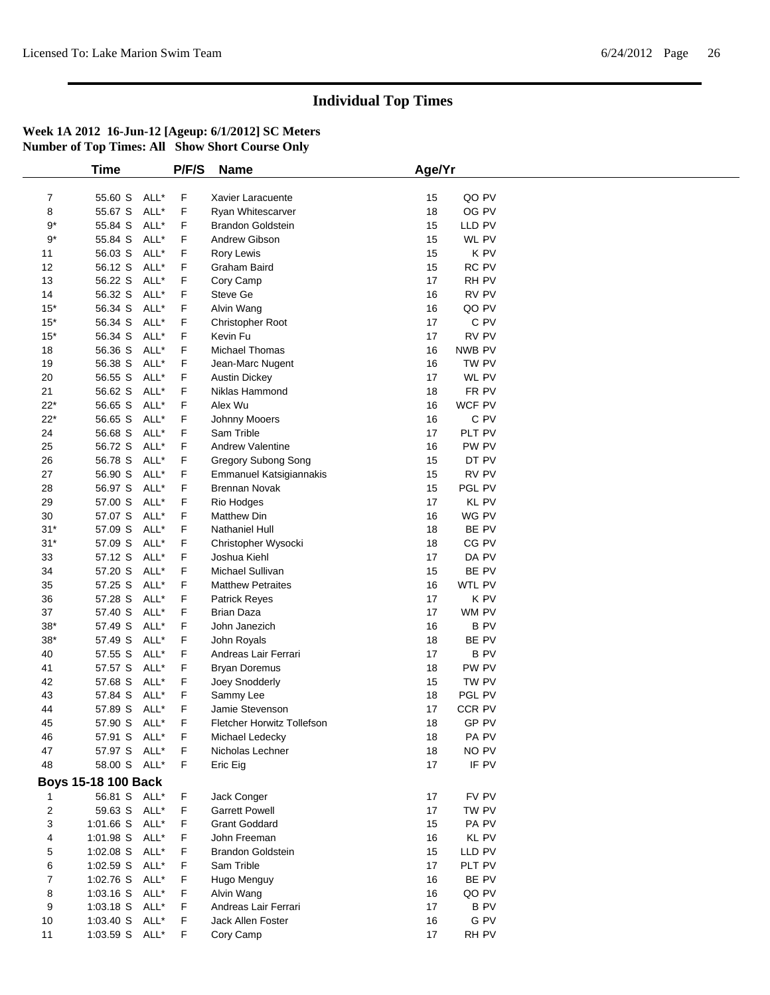|                  | <b>Time</b>                |      | P/F/S  | <b>Name</b>                        | Age/Yr   |                |  |
|------------------|----------------------------|------|--------|------------------------------------|----------|----------------|--|
|                  |                            |      |        |                                    |          |                |  |
| $\overline{7}$   | 55.60 S ALL*               | ALL* | F<br>F | Xavier Laracuente                  | 15<br>18 | QO PV<br>OG PV |  |
| 8                | 55.67 S                    |      |        | Ryan Whitescarver                  |          |                |  |
| $9*$             | 55.84 S                    | ALL* | F      | <b>Brandon Goldstein</b>           | 15       | LLD PV         |  |
| $9*$             | 55.84 S                    | ALL* | F      | Andrew Gibson                      | 15       | WL PV          |  |
| 11               | 56.03 S                    | ALL* | F      | Rory Lewis                         | 15       | K PV           |  |
| 12               | 56.12 S                    | ALL* | F      | Graham Baird                       | 15       | RC PV          |  |
| 13               | 56.22 S                    | ALL* | F      | Cory Camp                          | 17       | RH PV          |  |
| 14               | 56.32 S                    | ALL* | F      | Steve Ge                           | 16       | RV PV          |  |
| $15*$            | 56.34 S                    | ALL* | F      | Alvin Wang                         | 16       | QO PV          |  |
| $15*$            | 56.34 S                    | ALL* | F      | Christopher Root                   | 17       | C PV           |  |
| $15*$            | 56.34 S                    | ALL* | F      | Kevin Fu                           | 17       | RV PV          |  |
| 18               | 56.36 S                    | ALL* | F      | Michael Thomas                     | 16       | NWB PV         |  |
| 19               | 56.38 S                    | ALL* | F      | Jean-Marc Nugent                   | 16       | TW PV          |  |
| 20               | 56.55 S                    | ALL* | F      | <b>Austin Dickey</b>               | 17       | WL PV          |  |
| 21               | 56.62 S                    | ALL* | F      | Niklas Hammond                     | 18       | FR PV          |  |
| $22*$            | 56.65 S                    | ALL* | F      | Alex Wu                            | 16       | WCF PV         |  |
| $22*$            | 56.65 S                    | ALL* | F      | Johnny Mooers                      | 16       | C PV           |  |
| 24               | 56.68 S                    | ALL* | F      | Sam Trible                         | 17       | PLT PV         |  |
| 25               | 56.72 S                    | ALL* | F      | Andrew Valentine                   | 16       | PW PV          |  |
| 26               | 56.78 S                    | ALL* | F      | Gregory Subong Song                | 15       | DT PV          |  |
| 27               | 56.90 S                    | ALL* | F      | <b>Emmanuel Katsigiannakis</b>     | 15       | RV PV          |  |
| 28               | 56.97 S ALL*               |      | F      | <b>Brennan Novak</b>               | 15       | PGL PV         |  |
| 29               | 57.00 S                    | ALL* | F      | Rio Hodges                         | 17       | <b>KL PV</b>   |  |
| 30               | 57.07 S                    | ALL* | F      | Matthew Din                        | 16       | WG PV          |  |
| $31*$            | 57.09 S                    | ALL* | F      | Nathaniel Hull                     | 18       | BE PV          |  |
| $31*$            | 57.09 S                    | ALL* | F      | Christopher Wysocki                | 18       | CG PV          |  |
| 33               | 57.12 S                    | ALL* | F      | Joshua Kiehl                       | 17       | DA PV          |  |
| 34               | 57.20 S                    | ALL* | F      | Michael Sullivan                   | 15       | BE PV          |  |
| 35               | 57.25 S                    | ALL* | F      | <b>Matthew Petraites</b>           | 16       | WTL PV         |  |
| 36               | 57.28 S                    | ALL* | F      | Patrick Reyes                      | 17       | K PV           |  |
| 37               | 57.40 S                    | ALL* | F      | <b>Brian Daza</b>                  | 17       | WM PV          |  |
| $38*$            | 57.49 S                    | ALL* | F      | John Janezich                      | 16       | B PV           |  |
| $38^{\ast}$      | 57.49 S                    | ALL* | F      | John Royals                        | 18       | BE PV          |  |
| 40               | 57.55 S                    | ALL* | F      | Andreas Lair Ferrari               | 17       | <b>BPV</b>     |  |
| 41               | 57.57 S                    | ALL* | F      | <b>Bryan Doremus</b>               | 18       | PW PV          |  |
| 42               | 57.68 S                    | ALL* | F      | Joey Snodderly                     | 15       | TW PV          |  |
| 43               | 57.84 S                    | ALL* | F      | Sammy Lee                          | 18       | PGL PV         |  |
| 44               | 57.89 S                    | ALL* | F      | Jamie Stevenson                    | 17       | CCR PV         |  |
| 45               | 57.90 S                    | ALL* | F      | Fletcher Horwitz Tollefson         | 18       | GP PV          |  |
| 46               | 57.91 S ALL*               |      | F      | Michael Ledecky                    | 18       | PA PV          |  |
| 47               | 57.97 S ALL*               |      | F      | Nicholas Lechner                   | 18       | NO PV          |  |
| 48               | 58.00 S ALL*               |      | F      | Eric Eig                           | 17       | IF PV          |  |
|                  | <b>Boys 15-18 100 Back</b> |      |        |                                    |          |                |  |
|                  | 56.81 S ALL*               |      | F      | Jack Conger                        | 17       | FV PV          |  |
| 2                | 59.63 S ALL*               |      | F      | <b>Garrett Powell</b>              | 17       | TW PV          |  |
| 3                | 1:01.66 S ALL*             |      | F      | <b>Grant Goddard</b>               | 15       | PA PV          |  |
| 4                | $1:01.98$ S                | ALL* | F      | John Freeman                       | 16       | KL PV          |  |
| 5                | 1:02.08 S ALL*             |      | F      | <b>Brandon Goldstein</b>           | 15       | LLD PV         |  |
| 6                | 1:02.59 S ALL*             |      | F      | Sam Trible                         | 17       | PLT PV         |  |
| $\boldsymbol{7}$ | 1:02.76 S ALL*             |      | F      | Hugo Menguy                        | 16       | BE PV          |  |
|                  | 1:03.16 S ALL*             |      | F      |                                    | 16       | QO PV          |  |
| 8                |                            |      | F      | Alvin Wang<br>Andreas Lair Ferrari | 17       | <b>BPV</b>     |  |
| 9                | 1:03.18 S ALL*             |      |        |                                    |          |                |  |
| 10               | 1:03.40 S ALL*             |      | F      | Jack Allen Foster                  | 16       | G PV           |  |
| 11               | 1:03.59 S ALL*             |      | F      | Cory Camp                          | 17       | RH PV          |  |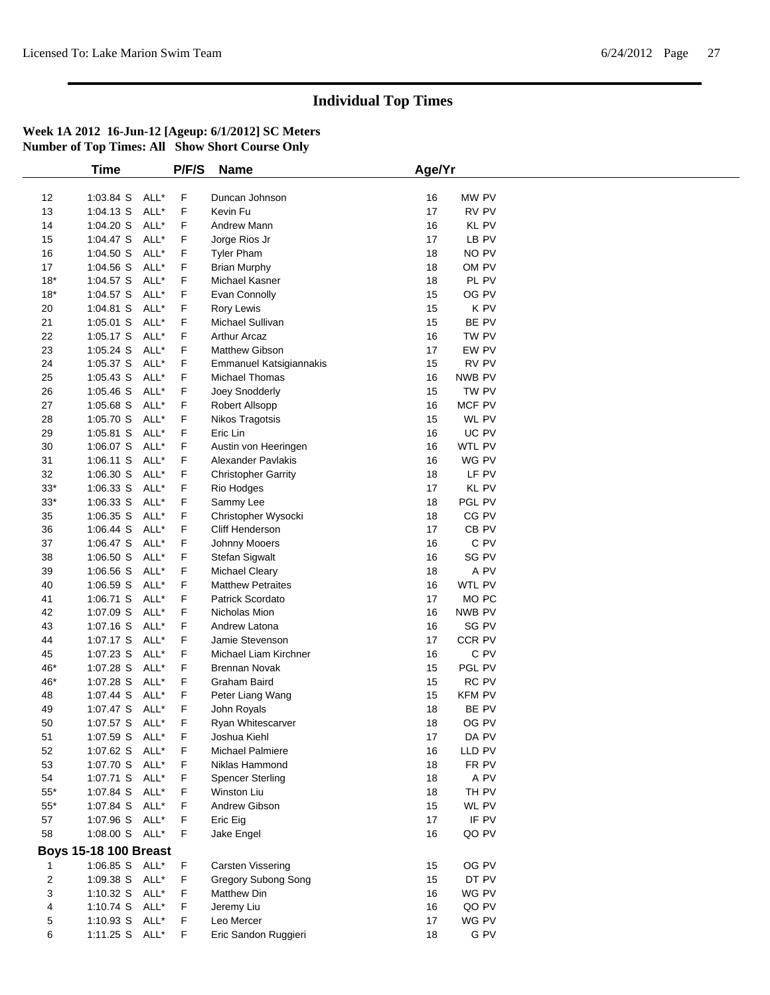|                | <b>Time</b>                  |      | P/F/S | <b>Name</b>                | Age/Yr |                  |  |
|----------------|------------------------------|------|-------|----------------------------|--------|------------------|--|
|                |                              |      |       |                            |        |                  |  |
| 12             | 1:03.84 S                    | ALL* | F     | Duncan Johnson             | 16     | MW PV            |  |
| 13             | 1:04.13 S                    | ALL* | F     | Kevin Fu                   | 17     | RV PV            |  |
| 14             | 1:04.20 S                    | ALL* | F     | Andrew Mann                | 16     | KL PV            |  |
| 15             | $1:04.47$ S                  | ALL* | F     | Jorge Rios Jr              | 17     | LB PV            |  |
| 16             | 1:04.50 S                    | ALL* | F     | <b>Tyler Pham</b>          | 18     | NO PV            |  |
| 17             | $1:04.56$ S                  | ALL* | F     | <b>Brian Murphy</b>        | 18     | OM PV            |  |
| $18*$          | 1:04.57 S                    | ALL* | F     | Michael Kasner             | 18     | PL PV            |  |
| $18*$          | 1:04.57 S                    | ALL* | F     | Evan Connolly              | 15     | OG PV            |  |
| 20             | 1:04.81 S                    | ALL* | F     | Rory Lewis                 | 15     | K PV             |  |
| 21             | 1:05.01 S                    | ALL* | F     | Michael Sullivan           | 15     | BE PV            |  |
| 22             | 1:05.17 S                    | ALL* | F     | <b>Arthur Arcaz</b>        | 16     | TW PV            |  |
| 23             | $1:05.24$ S                  | ALL* | F     | Matthew Gibson             | 17     | EW PV            |  |
| 24             | 1:05.37 S                    | ALL* | F     | Emmanuel Katsigiannakis    | 15     | RV PV            |  |
| 25             | 1:05.43 S                    | ALL* | F     | Michael Thomas             | 16     | NWB PV           |  |
| 26             | 1:05.46 S                    | ALL* | F     | Joey Snodderly             | 15     | TW PV            |  |
| 27             | 1:05.68 S                    | ALL* | F     |                            | 16     | MCF PV           |  |
|                |                              | ALL* |       | Robert Allsopp             | 15     | WL PV            |  |
| 28             | 1:05.70 S                    |      | F     | Nikos Tragotsis            |        |                  |  |
| 29             | $1:05.81$ S                  | ALL* | F     | Eric Lin                   | 16     | UC PV            |  |
| 30             | 1:06.07 S                    | ALL* | F     | Austin von Heeringen       | 16     | WTL PV           |  |
| 31             | $1:06.11$ S                  | ALL* | F     | Alexander Pavlakis         | 16     | WG PV            |  |
| 32             | 1:06.30 S                    | ALL* | F     | <b>Christopher Garrity</b> | 18     | LF PV            |  |
| $33^*$         | 1:06.33 S                    | ALL* | F     | Rio Hodges                 | 17     | KL PV            |  |
| $33^*$         | 1:06.33 S                    | ALL* | F     | Sammy Lee                  | 18     | PGL PV           |  |
| 35             | 1:06.35 S                    | ALL* | F     | Christopher Wysocki        | 18     | CG PV            |  |
| 36             | 1:06.44 S                    | ALL* | F     | Cliff Henderson            | 17     | CB PV            |  |
| 37             | 1:06.47 S                    | ALL* | F     | Johnny Mooers              | 16     | C PV             |  |
| 38             | 1:06.50 S                    | ALL* | F     | Stefan Sigwalt             | 16     | SG PV            |  |
| 39             | $1:06.56$ S                  | ALL* | F     | Michael Cleary             | 18     | A PV             |  |
| 40             | 1:06.59 S                    | ALL* | F     | <b>Matthew Petraites</b>   | 16     | WTL PV           |  |
| 41             | 1:06.71 S                    | ALL* | F     | Patrick Scordato           | 17     | MO <sub>PC</sub> |  |
| 42             | 1:07.09 S                    | ALL* | F     | Nicholas Mion              | 16     | NWB PV           |  |
| 43             | 1:07.16 S                    | ALL* | F     | Andrew Latona              | 16     | SG PV            |  |
| 44             | $1:07.17$ S                  | ALL* | F     | Jamie Stevenson            | 17     | CCR PV           |  |
| 45             | 1:07.23 S                    | ALL* | F     | Michael Liam Kirchner      | 16     | C PV             |  |
| 46*            | 1:07.28 S                    | ALL* | F     | <b>Brennan Novak</b>       | 15     | PGL PV           |  |
|                |                              | ALL* | F     |                            |        | RC PV            |  |
| 46*            | 1:07.28 S                    |      |       | Graham Baird               | 15     |                  |  |
| 48             | 1:07.44 S                    | ALL* | F     | Peter Liang Wang           | 15     | <b>KFM PV</b>    |  |
| 49             | $1:07.47$ S                  | ALL* | F     | John Royals                | 18     | BE PV            |  |
| 50             | 1:07.57 S                    | ALL* | F     | Ryan Whitescarver          | 18     | OG PV            |  |
| 51             | 1:07.59 S ALL*               |      | F     | Joshua Kiehl               | 17     | DA PV            |  |
| 52             | 1:07.62 S                    | ALL* | F     | Michael Palmiere           | 16     | LLD PV           |  |
| 53             | 1:07.70 S ALL*               |      | F     | Niklas Hammond             | 18     | FR PV            |  |
| 54             | 1:07.71 S ALL*               |      | F     | <b>Spencer Sterling</b>    | 18     | A PV             |  |
| $55^{\ast}$    | 1:07.84 S                    | ALL* | F.    | Winston Liu                | 18     | TH PV            |  |
| $55^{\ast}$    | 1:07.84 S                    | ALL* | F     | Andrew Gibson              | 15     | WL PV            |  |
| 57             | 1:07.96 S ALL*               |      | F.    | Eric Eig                   | 17     | IF PV            |  |
| 58             | 1:08.00 S ALL*               |      | F.    | Jake Engel                 | 16     | QO PV            |  |
|                | <b>Boys 15-18 100 Breast</b> |      |       |                            |        |                  |  |
| 1              | 1:06.85 S ALL*               |      | F     | Carsten Vissering          | 15     | OG PV            |  |
| $\overline{c}$ | 1:09.38 S ALL*               |      | F.    | Gregory Subong Song        | 15     | DT PV            |  |
| 3              | 1:10.32 S ALL*               |      | F.    | <b>Matthew Din</b>         | 16     | WG PV            |  |
| 4              | 1:10.74 S ALL*               |      | F.    | Jeremy Liu                 | 16     | QO PV            |  |
| 5              | 1:10.93 S ALL*               |      | F     | Leo Mercer                 | 17     | WG PV            |  |
| 6              | 1:11.25 S ALL*               |      | F     | Eric Sandon Ruggieri       | 18     | $G$ PV           |  |
|                |                              |      |       |                            |        |                  |  |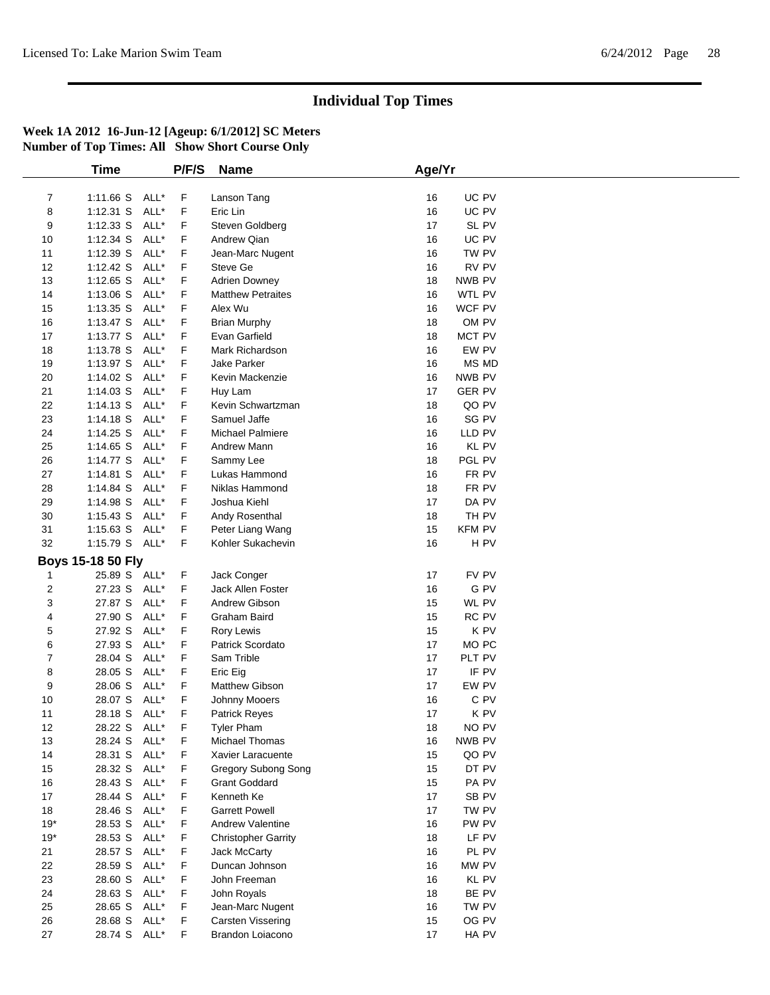|                | <b>Time</b>       |      | P/F/S | <b>Name</b>                | Age/Yr                 |
|----------------|-------------------|------|-------|----------------------------|------------------------|
|                |                   |      |       |                            |                        |
| $\overline{7}$ | 1:11.66 S ALL*    |      | F     | Lanson Tang                | UC PV<br>16            |
| 8              | $1:12.31$ S       | ALL* | F     | Eric Lin                   | 16<br>UC PV            |
| 9              | $1:12.33$ S       | ALL* | F     | Steven Goldberg            | 17<br>SL PV            |
| 10             | 1:12.34 S         | ALL* | F     | Andrew Qian                | UC PV<br>16            |
| 11             | 1:12.39 S         | ALL* | F     | Jean-Marc Nugent           | 16<br>TW PV            |
| 12             | 1:12.42 S         | ALL* | F     | Steve Ge                   | RV PV<br>16            |
| 13             | 1:12.65 S         | ALL* | F     | <b>Adrien Downey</b>       | NWB PV<br>18           |
| 14             | $1:13.06$ S       | ALL* | F     | <b>Matthew Petraites</b>   | 16<br>WTL PV           |
| 15             | $1:13.35$ S       | ALL* | F     | Alex Wu                    | 16<br>WCF PV           |
| 16             | $1:13.47$ S       | ALL* | F     | <b>Brian Murphy</b>        | 18<br>OM PV            |
| 17             | 1:13.77 S         | ALL* | F     | Evan Garfield              | 18<br>MCT PV           |
| 18             | 1:13.78 S         | ALL* | F     | Mark Richardson            | EW PV<br>16            |
| 19             | 1:13.97 S         | ALL* | F     | Jake Parker                | <b>MS MD</b><br>16     |
| 20             | 1:14.02 S         | ALL* | F     | Kevin Mackenzie            | 16<br>NWB PV           |
| 21             | $1:14.03$ S       | ALL* | F     | Huy Lam                    | 17<br><b>GER PV</b>    |
| 22             | 1:14.13 S         | ALL* | F     | Kevin Schwartzman          | 18<br>QO PV            |
| 23             | 1:14.18 S         | ALL* | F     | Samuel Jaffe               | SG PV<br>16            |
|                |                   | ALL* |       | <b>Michael Palmiere</b>    | 16                     |
| 24             | 1:14.25 S         |      | F     |                            | LLD PV                 |
| 25             | 1:14.65 S         | ALL* | F     | Andrew Mann                | KL PV<br>16            |
| 26             | 1:14.77 S         | ALL* | F     | Sammy Lee                  | 18<br>PGL PV           |
| 27             | 1:14.81 S         | ALL* | F     | Lukas Hammond              | 16<br>FR PV            |
| 28             | 1:14.84 S         | ALL* | F     | Niklas Hammond             | 18<br>FR PV            |
| 29             | 1:14.98 S         | ALL* | F     | Joshua Kiehl               | 17<br>DA PV            |
| 30             | 1:15.43 S         | ALL* | F     | Andy Rosenthal             | 18<br>TH PV            |
| 31             | $1:15.63$ S       | ALL* | F     | Peter Liang Wang           | 15<br><b>KFM PV</b>    |
| 32             | 1:15.79 S ALL*    |      | F.    | Kohler Sukachevin          | 16<br>H <sub>PV</sub>  |
|                | Boys 15-18 50 Fly |      |       |                            |                        |
| 1              | 25.89 S ALL*      |      | F     | Jack Conger                | FV PV<br>17            |
| 2              | 27.23 S           | ALL* | F     | Jack Allen Foster          | G PV<br>16             |
| 3              | 27.87 S           | ALL* | F     | Andrew Gibson              | WL PV<br>15            |
| 4              | 27.90 S           | ALL* | F     | Graham Baird               | 15<br>RC PV            |
| 5              | 27.92 S           | ALL* | F     | Rory Lewis                 | K PV<br>15             |
| 6              | 27.93 S           | ALL* | F     | Patrick Scordato           | 17<br>MO <sub>PC</sub> |
| 7              | 28.04 S           | ALL* | F     | Sam Trible                 | 17<br>PLT PV           |
| 8              | 28.05 S           | ALL* | F     | Eric Eig                   | 17<br>IF PV            |
| 9              | 28.06 S           | ALL* | F     | Matthew Gibson             | EW PV<br>17            |
| 10             | 28.07 S           | ALL* | F     | Johnny Mooers              | 16<br>C PV             |
| 11             | 28.18 S           | ALL* | F     | Patrick Reyes              | 17<br>K PV             |
| 12             | 28.22 S ALL*      |      | F     | <b>Tyler Pham</b>          | 18<br>NO PV            |
| 13             | 28.24 S ALL*      |      | F     | Michael Thomas             | NWB PV<br>16           |
|                |                   |      |       |                            |                        |
| 14             | 28.31 S           | ALL* | F     | Xavier Laracuente          | QO PV<br>15            |
| 15             | 28.32 S           | ALL* | F     | Gregory Subong Song        | DT PV<br>15            |
| 16             | 28.43 S           | ALL* | F     | <b>Grant Goddard</b>       | 15<br>PA PV            |
| $17\,$         | 28.44 S           | ALL* | F     | Kenneth Ke                 | 17<br>SB <sub>PV</sub> |
| 18             | 28.46 S           | ALL* | F     | <b>Garrett Powell</b>      | 17<br>TW PV            |
| $19*$          | 28.53 S           | ALL* | F     | <b>Andrew Valentine</b>    | PW PV<br>16            |
| $19*$          | 28.53 S           | ALL* | F     | <b>Christopher Garrity</b> | LF PV<br>18            |
| 21             | 28.57 S           | ALL* | F     | <b>Jack McCarty</b>        | PL PV<br>16            |
| 22             | 28.59 S           | ALL* | F     | Duncan Johnson             | 16<br>MW PV            |
| 23             | 28.60 S           | ALL* | F     | John Freeman               | KL PV<br>16            |
| 24             | 28.63 S ALL*      |      | F     | John Royals                | BE PV<br>18            |
| 25             | 28.65 S           | ALL* | F     | Jean-Marc Nugent           | 16<br>TW PV            |
| 26             | 28.68 S           | ALL* | F     | Carsten Vissering          | OG PV<br>15            |
| 27             | 28.74 S ALL*      |      | F     | Brandon Loiacono           | 17<br>HA PV            |
|                |                   |      |       |                            |                        |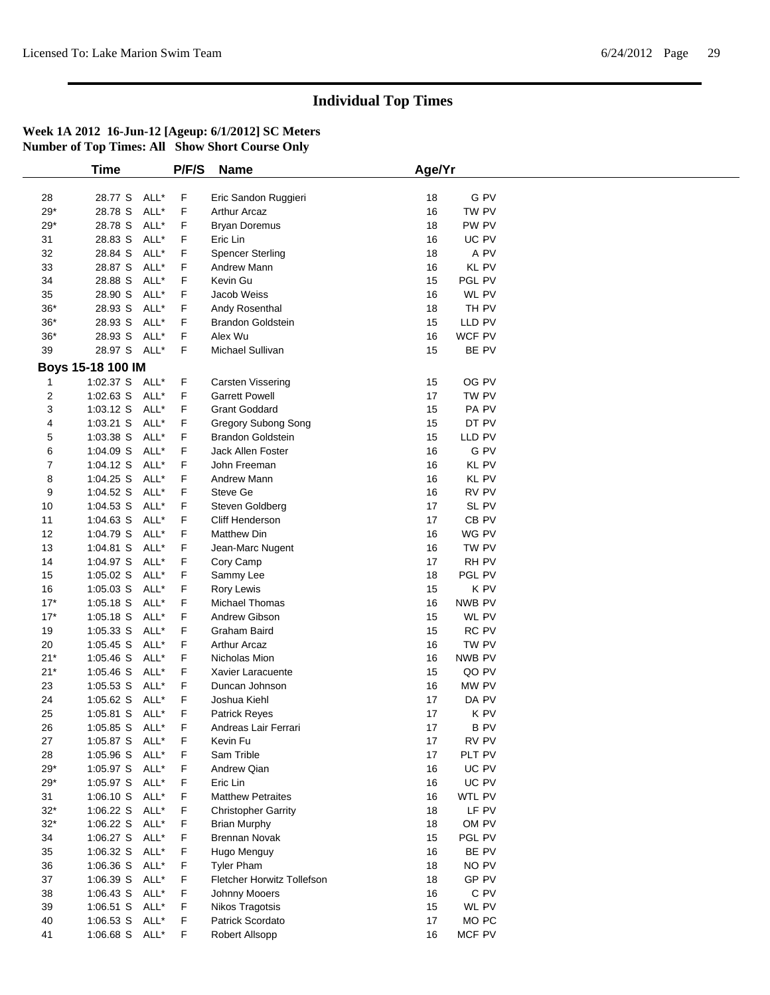|       | <b>Time</b>       |      | P/F/S       | <b>Name</b>                | Age/Yr |                  |
|-------|-------------------|------|-------------|----------------------------|--------|------------------|
|       |                   |      |             |                            |        |                  |
| 28    | 28.77 S           | ALL* | F           | Eric Sandon Ruggieri       | 18     | G PV             |
| 29*   | 28.78 S           | ALL* | F           | <b>Arthur Arcaz</b>        | 16     | TW PV            |
| 29*   | 28.78 S           | ALL* | F           | <b>Bryan Doremus</b>       | 18     | PW PV            |
| 31    | 28.83 S           | ALL* | F           | Eric Lin                   | 16     | UC PV            |
| 32    | 28.84 S           | ALL* | F           | <b>Spencer Sterling</b>    | 18     | A PV             |
| 33    | 28.87 S           | ALL* | F           | Andrew Mann                | 16     | KL PV            |
| 34    | 28.88 S           | ALL* | F           | Kevin Gu                   | 15     | PGL PV           |
| 35    | 28.90 S           | ALL* | F           | Jacob Weiss                | 16     | WL PV            |
| $36*$ | 28.93 S           | ALL* | F           | Andy Rosenthal             | 18     | TH PV            |
| $36*$ | 28.93 S           | ALL* | F           | <b>Brandon Goldstein</b>   | 15     | LLD PV           |
| $36*$ | 28.93 S           | ALL* | F           | Alex Wu                    | 16     | WCF PV           |
|       | 28.97 S ALL*      |      | F           |                            |        |                  |
| 39    |                   |      |             | Michael Sullivan           | 15     | BE PV            |
|       | Boys 15-18 100 IM |      |             |                            |        |                  |
|       | 1:02.37 S ALL*    |      | F           | Carsten Vissering          | 15     | OG PV            |
| 2     | $1:02.63$ S       | ALL* | F           | <b>Garrett Powell</b>      | 17     | TW PV            |
| 3     | $1:03.12$ S       | ALL* | F           | <b>Grant Goddard</b>       | 15     | PA PV            |
| 4     | 1:03.21 S         | ALL* | F           | Gregory Subong Song        | 15     | DT PV            |
| 5     | 1:03.38 S         | ALL* | F           | <b>Brandon Goldstein</b>   | 15     | LLD PV           |
| 6     | 1:04.09 S         | ALL* | F           | Jack Allen Foster          | 16     | G PV             |
| 7     | 1:04.12 S         | ALL* | F           | John Freeman               | 16     | <b>KL PV</b>     |
| 8     | 1:04.25 S         | ALL* | F           | Andrew Mann                | 16     | KL PV            |
| 9     | 1:04.52 S         | ALL* | F           | Steve Ge                   | 16     | RV PV            |
| 10    | 1:04.53 S         | ALL* | F           | Steven Goldberg            | 17     | SL PV            |
| 11    | $1:04.63$ S       | ALL* | F           | Cliff Henderson            | 17     | CB PV            |
| 12    | 1:04.79 S         | ALL* | F           | <b>Matthew Din</b>         | 16     | WG PV            |
|       |                   | ALL* |             |                            |        |                  |
| 13    | 1:04.81 S         |      | F           | Jean-Marc Nugent           | 16     | TW PV            |
| 14    | 1:04.97 S         | ALL* | F           | Cory Camp                  | 17     | RH PV            |
| 15    | $1:05.02$ S       | ALL* | F           | Sammy Lee                  | 18     | PGL PV           |
| 16    | $1:05.03$ S       | ALL* | F           | Rory Lewis                 | 15     | K PV             |
| $17*$ | $1:05.18$ S       | ALL* | F           | Michael Thomas             | 16     | NWB PV           |
| $17*$ | $1:05.18$ S       | ALL* | F           | Andrew Gibson              | 15     | WL PV            |
| 19    | $1:05.33$ S       | ALL* | F           | <b>Graham Baird</b>        | 15     | RC PV            |
| 20    | $1:05.45$ S       | ALL* | F           | <b>Arthur Arcaz</b>        | 16     | TW PV            |
| $21*$ | 1:05.46 S         | ALL* | F           | Nicholas Mion              | 16     | NWB PV           |
| $21*$ | 1:05.46 S         | ALL* | F           | Xavier Laracuente          | 15     | QO PV            |
| 23    | $1:05.53$ S       | ALL* | F           | Duncan Johnson             | 16     | MW PV            |
| 24    | $1:05.62$ S       | ALL* | F           | Joshua Kiehl               | 17     | DA PV            |
| 25    | 1:05.81 S ALL*    |      | F           | <b>Patrick Reyes</b>       | 17     | K PV             |
| 26    | 1:05.85 S         | ALL* | $\mathsf F$ | Andreas Lair Ferrari       | 17     | <b>B PV</b>      |
| 27    | 1:05.87 S         | ALL* | F           | Kevin Fu                   | 17     | RV PV            |
| 28    | 1:05.96 S         | ALL* | F           | Sam Trible                 | 17     | PLT PV           |
| $29*$ | 1:05.97 S ALL*    |      | F           | Andrew Qian                | 16     | UC PV            |
|       | 1:05.97 S ALL*    |      |             | Eric Lin                   |        |                  |
| $29*$ |                   |      | F           |                            | 16     | UC PV            |
| 31    | 1:06.10 S         | ALL* | F           | <b>Matthew Petraites</b>   | 16     | WTL PV           |
| $32*$ | 1:06.22 S         | ALL* | F           | <b>Christopher Garrity</b> | 18     | LF PV            |
| $32*$ | $1:06.22$ S       | ALL* | F           | <b>Brian Murphy</b>        | 18     | OM PV            |
| 34    | 1:06.27 S         | ALL* | F           | <b>Brennan Novak</b>       | 15     | PGL PV           |
| 35    | 1:06.32 S ALL*    |      | F           | Hugo Menguy                | 16     | BE PV            |
| 36    | 1:06.36 S         | ALL* | F           | <b>Tyler Pham</b>          | 18     | NO PV            |
| 37    | $1:06.39$ S       | ALL* | F           | Fletcher Horwitz Tollefson | 18     | GP PV            |
| 38    | 1:06.43 S         | ALL* | F           | Johnny Mooers              | 16     | C PV             |
| 39    | $1:06.51$ S       | ALL* | F           | Nikos Tragotsis            | 15     | WL PV            |
| 40    | $1:06.53$ S       | ALL* | F           | Patrick Scordato           | 17     | MO <sub>PC</sub> |
| 41    | 1:06.68 S ALL*    |      | F.          | Robert Allsopp             | 16     | MCF PV           |
|       |                   |      |             |                            |        |                  |